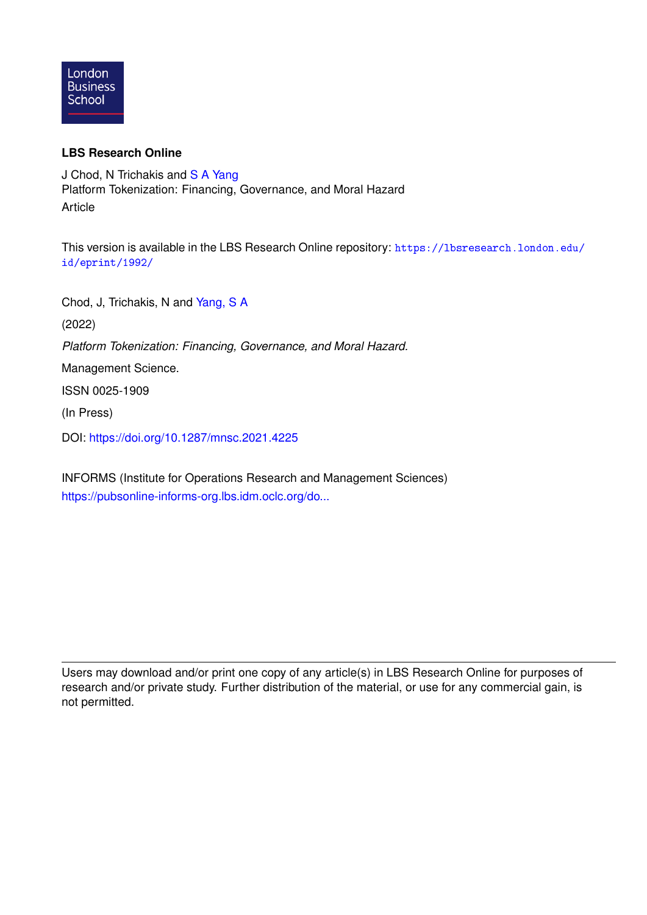

## **LBS Research Online**

J Chod, N Trichakis and [S A Yang](https://lbsresearch.london.edu/view/lbs_authors/1412817.html) Platform Tokenization: Financing, Governance, and Moral Hazard Article

This version is available in the LBS Research Online repository: [https://lbsresearch.london.edu/](https://lbsresearch.london.edu/id/eprint/1992/) [id/eprint/1992/](https://lbsresearch.london.edu/id/eprint/1992/)

Chod, J, Trichakis, N and [Yang, S A](https://lbsresearch.london.edu/view/lbs_authors/1412817.html)

(2022)

*Platform Tokenization: Financing, Governance, and Moral Hazard.*

Management Science.

ISSN 0025-1909

(In Press)

DOI: <https://doi.org/10.1287/mnsc.2021.4225>

INFORMS (Institute for Operations Research and Management Sciences) [https://pubsonline-informs-org.lbs.idm.oclc.org/do...](https://pubsonline-informs-org.lbs.idm.oclc.org/doi/abs/10.1287/mnsc.2021.4225)

Users may download and/or print one copy of any article(s) in LBS Research Online for purposes of research and/or private study. Further distribution of the material, or use for any commercial gain, is not permitted.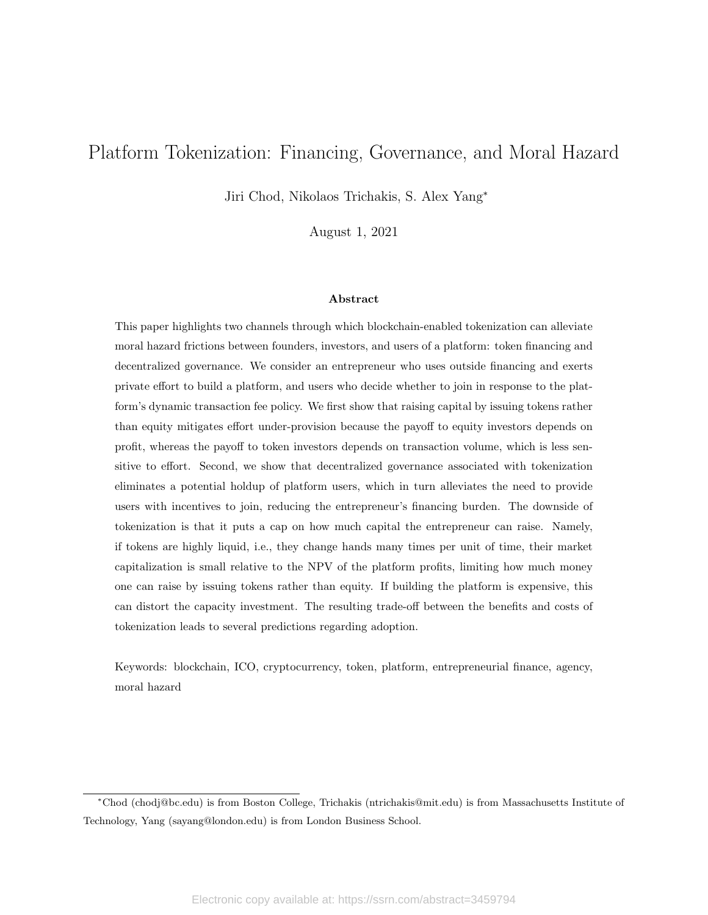# Platform Tokenization: Financing, Governance, and Moral Hazard

Jiri Chod, Nikolaos Trichakis, S. Alex Yang<sup>∗</sup>

August 1, 2021

#### Abstract

This paper highlights two channels through which blockchain-enabled tokenization can alleviate moral hazard frictions between founders, investors, and users of a platform: token financing and decentralized governance. We consider an entrepreneur who uses outside financing and exerts private effort to build a platform, and users who decide whether to join in response to the platform's dynamic transaction fee policy. We first show that raising capital by issuing tokens rather than equity mitigates effort under-provision because the payoff to equity investors depends on profit, whereas the payoff to token investors depends on transaction volume, which is less sensitive to effort. Second, we show that decentralized governance associated with tokenization eliminates a potential holdup of platform users, which in turn alleviates the need to provide users with incentives to join, reducing the entrepreneur's financing burden. The downside of tokenization is that it puts a cap on how much capital the entrepreneur can raise. Namely, if tokens are highly liquid, i.e., they change hands many times per unit of time, their market capitalization is small relative to the NPV of the platform profits, limiting how much money one can raise by issuing tokens rather than equity. If building the platform is expensive, this can distort the capacity investment. The resulting trade-off between the benefits and costs of tokenization leads to several predictions regarding adoption.

Keywords: blockchain, ICO, cryptocurrency, token, platform, entrepreneurial finance, agency, moral hazard

<sup>∗</sup>Chod (chodj@bc.edu) is from Boston College, Trichakis (ntrichakis@mit.edu) is from Massachusetts Institute of Technology, Yang (sayang@london.edu) is from London Business School.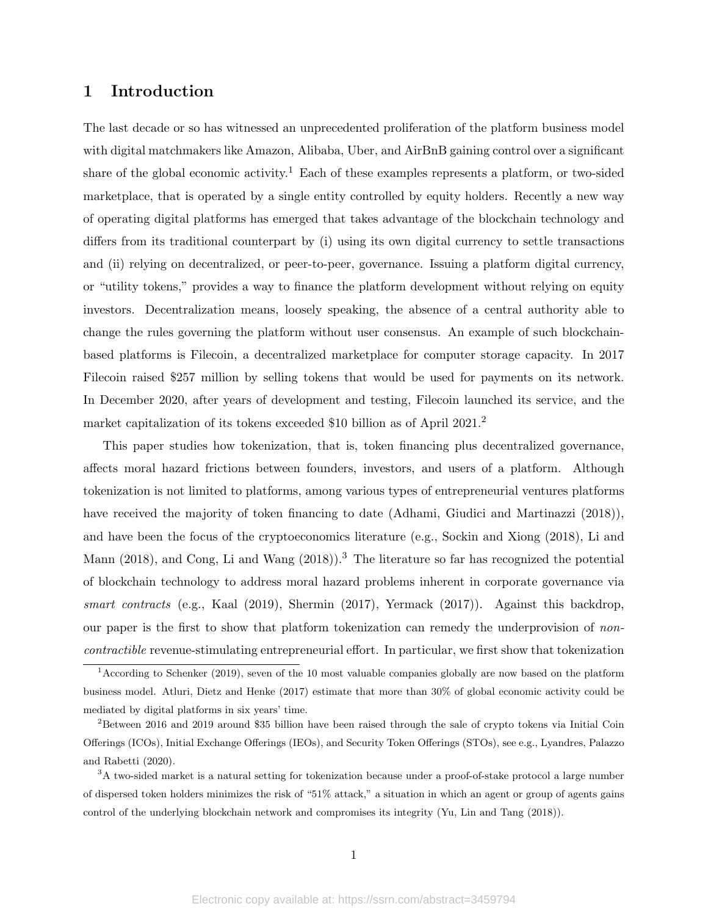## 1 Introduction

The last decade or so has witnessed an unprecedented proliferation of the platform business model with digital matchmakers like Amazon, Alibaba, Uber, and AirBnB gaining control over a significant share of the global economic activity.<sup>1</sup> Each of these examples represents a platform, or two-sided marketplace, that is operated by a single entity controlled by equity holders. Recently a new way of operating digital platforms has emerged that takes advantage of the blockchain technology and differs from its traditional counterpart by (i) using its own digital currency to settle transactions and (ii) relying on decentralized, or peer-to-peer, governance. Issuing a platform digital currency, or "utility tokens," provides a way to finance the platform development without relying on equity investors. Decentralization means, loosely speaking, the absence of a central authority able to change the rules governing the platform without user consensus. An example of such blockchainbased platforms is Filecoin, a decentralized marketplace for computer storage capacity. In 2017 Filecoin raised \$257 million by selling tokens that would be used for payments on its network. In December 2020, after years of development and testing, Filecoin launched its service, and the market capitalization of its tokens exceeded \$10 billion as of April 2021.<sup>2</sup>

This paper studies how tokenization, that is, token financing plus decentralized governance, affects moral hazard frictions between founders, investors, and users of a platform. Although tokenization is not limited to platforms, among various types of entrepreneurial ventures platforms have received the majority of token financing to date (Adhami, Giudici and Martinazzi (2018)), and have been the focus of the cryptoeconomics literature (e.g., Sockin and Xiong (2018), Li and Mann (2018), and Cong, Li and Wang (2018)).<sup>3</sup> The literature so far has recognized the potential of blockchain technology to address moral hazard problems inherent in corporate governance via smart contracts (e.g., Kaal (2019), Shermin (2017), Yermack (2017)). Against this backdrop, our paper is the first to show that platform tokenization can remedy the underprovision of noncontractible revenue-stimulating entrepreneurial effort. In particular, we first show that tokenization

<sup>1</sup>According to Schenker (2019), seven of the 10 most valuable companies globally are now based on the platform business model. Atluri, Dietz and Henke (2017) estimate that more than 30% of global economic activity could be mediated by digital platforms in six years' time.

<sup>2</sup>Between 2016 and 2019 around \$35 billion have been raised through the sale of crypto tokens via Initial Coin Offerings (ICOs), Initial Exchange Offerings (IEOs), and Security Token Offerings (STOs), see e.g., Lyandres, Palazzo and Rabetti (2020).

<sup>&</sup>lt;sup>3</sup>A two-sided market is a natural setting for tokenization because under a proof-of-stake protocol a large number of dispersed token holders minimizes the risk of "51% attack," a situation in which an agent or group of agents gains control of the underlying blockchain network and compromises its integrity (Yu, Lin and Tang (2018)).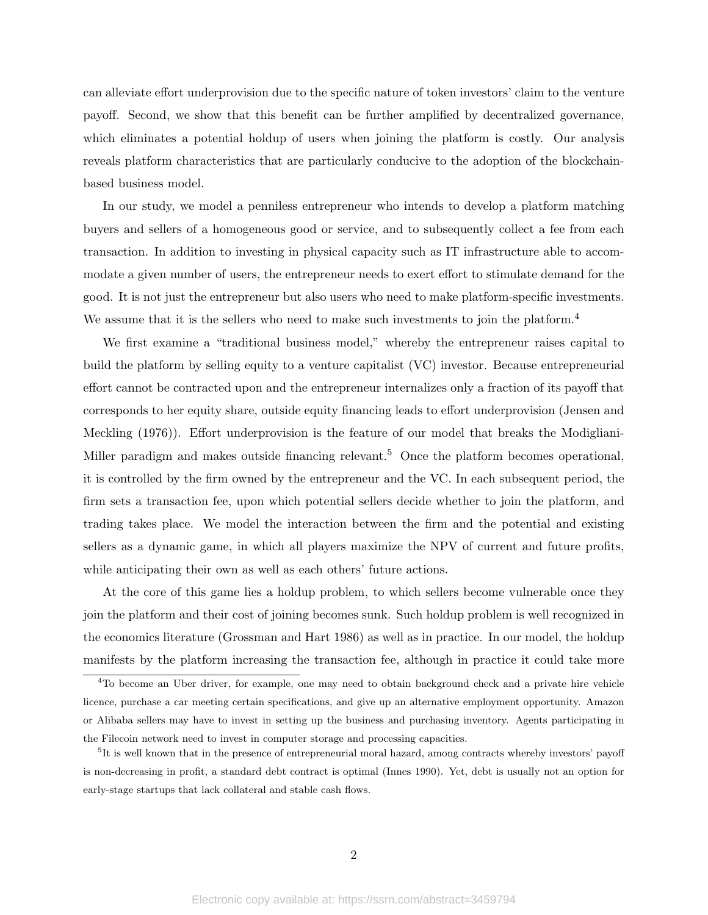can alleviate effort underprovision due to the specific nature of token investors' claim to the venture payoff. Second, we show that this benefit can be further amplified by decentralized governance, which eliminates a potential holdup of users when joining the platform is costly. Our analysis reveals platform characteristics that are particularly conducive to the adoption of the blockchainbased business model.

In our study, we model a penniless entrepreneur who intends to develop a platform matching buyers and sellers of a homogeneous good or service, and to subsequently collect a fee from each transaction. In addition to investing in physical capacity such as IT infrastructure able to accommodate a given number of users, the entrepreneur needs to exert effort to stimulate demand for the good. It is not just the entrepreneur but also users who need to make platform-specific investments. We assume that it is the sellers who need to make such investments to join the platform.<sup>4</sup>

We first examine a "traditional business model," whereby the entrepreneur raises capital to build the platform by selling equity to a venture capitalist (VC) investor. Because entrepreneurial effort cannot be contracted upon and the entrepreneur internalizes only a fraction of its payoff that corresponds to her equity share, outside equity financing leads to effort underprovision (Jensen and Meckling (1976)). Effort underprovision is the feature of our model that breaks the Modigliani-Miller paradigm and makes outside financing relevant.<sup>5</sup> Once the platform becomes operational, it is controlled by the firm owned by the entrepreneur and the VC. In each subsequent period, the firm sets a transaction fee, upon which potential sellers decide whether to join the platform, and trading takes place. We model the interaction between the firm and the potential and existing sellers as a dynamic game, in which all players maximize the NPV of current and future profits, while anticipating their own as well as each others' future actions.

At the core of this game lies a holdup problem, to which sellers become vulnerable once they join the platform and their cost of joining becomes sunk. Such holdup problem is well recognized in the economics literature (Grossman and Hart 1986) as well as in practice. In our model, the holdup manifests by the platform increasing the transaction fee, although in practice it could take more

<sup>4</sup>To become an Uber driver, for example, one may need to obtain background check and a private hire vehicle licence, purchase a car meeting certain specifications, and give up an alternative employment opportunity. Amazon or Alibaba sellers may have to invest in setting up the business and purchasing inventory. Agents participating in the Filecoin network need to invest in computer storage and processing capacities.

<sup>&</sup>lt;sup>5</sup>It is well known that in the presence of entrepreneurial moral hazard, among contracts whereby investors' payoff is non-decreasing in profit, a standard debt contract is optimal (Innes 1990). Yet, debt is usually not an option for early-stage startups that lack collateral and stable cash flows.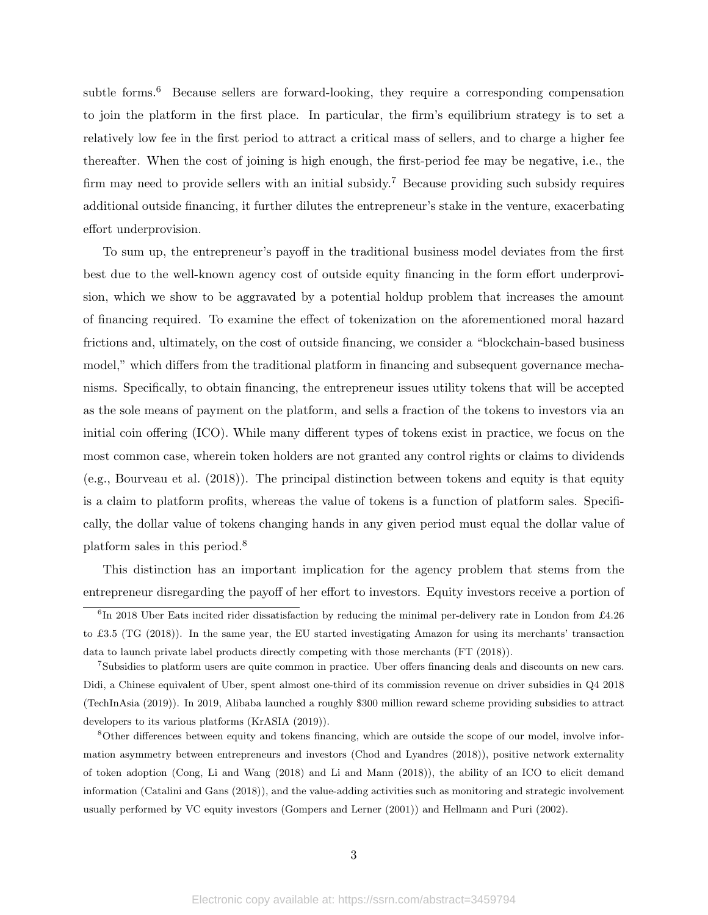subtle forms.<sup>6</sup> Because sellers are forward-looking, they require a corresponding compensation to join the platform in the first place. In particular, the firm's equilibrium strategy is to set a relatively low fee in the first period to attract a critical mass of sellers, and to charge a higher fee thereafter. When the cost of joining is high enough, the first-period fee may be negative, i.e., the firm may need to provide sellers with an initial subsidy.<sup>7</sup> Because providing such subsidy requires additional outside financing, it further dilutes the entrepreneur's stake in the venture, exacerbating effort underprovision.

To sum up, the entrepreneur's payoff in the traditional business model deviates from the first best due to the well-known agency cost of outside equity financing in the form effort underprovision, which we show to be aggravated by a potential holdup problem that increases the amount of financing required. To examine the effect of tokenization on the aforementioned moral hazard frictions and, ultimately, on the cost of outside financing, we consider a "blockchain-based business model," which differs from the traditional platform in financing and subsequent governance mechanisms. Specifically, to obtain financing, the entrepreneur issues utility tokens that will be accepted as the sole means of payment on the platform, and sells a fraction of the tokens to investors via an initial coin offering (ICO). While many different types of tokens exist in practice, we focus on the most common case, wherein token holders are not granted any control rights or claims to dividends (e.g., Bourveau et al. (2018)). The principal distinction between tokens and equity is that equity is a claim to platform profits, whereas the value of tokens is a function of platform sales. Specifically, the dollar value of tokens changing hands in any given period must equal the dollar value of platform sales in this period.<sup>8</sup>

This distinction has an important implication for the agency problem that stems from the entrepreneur disregarding the payoff of her effort to investors. Equity investors receive a portion of

<sup>7</sup>Subsidies to platform users are quite common in practice. Uber offers financing deals and discounts on new cars. Didi, a Chinese equivalent of Uber, spent almost one-third of its commission revenue on driver subsidies in Q4 2018 (TechInAsia (2019)). In 2019, Alibaba launched a roughly \$300 million reward scheme providing subsidies to attract developers to its various platforms (KrASIA (2019)).

<sup>8</sup>Other differences between equity and tokens financing, which are outside the scope of our model, involve information asymmetry between entrepreneurs and investors (Chod and Lyandres (2018)), positive network externality of token adoption (Cong, Li and Wang (2018) and Li and Mann (2018)), the ability of an ICO to elicit demand information (Catalini and Gans (2018)), and the value-adding activities such as monitoring and strategic involvement usually performed by VC equity investors (Gompers and Lerner (2001)) and Hellmann and Puri (2002).

<sup>&</sup>lt;sup>6</sup>In 2018 Uber Eats incited rider dissatisfaction by reducing the minimal per-delivery rate in London from £4.26 to £3.5 (TG (2018)). In the same year, the EU started investigating Amazon for using its merchants' transaction data to launch private label products directly competing with those merchants (FT (2018)).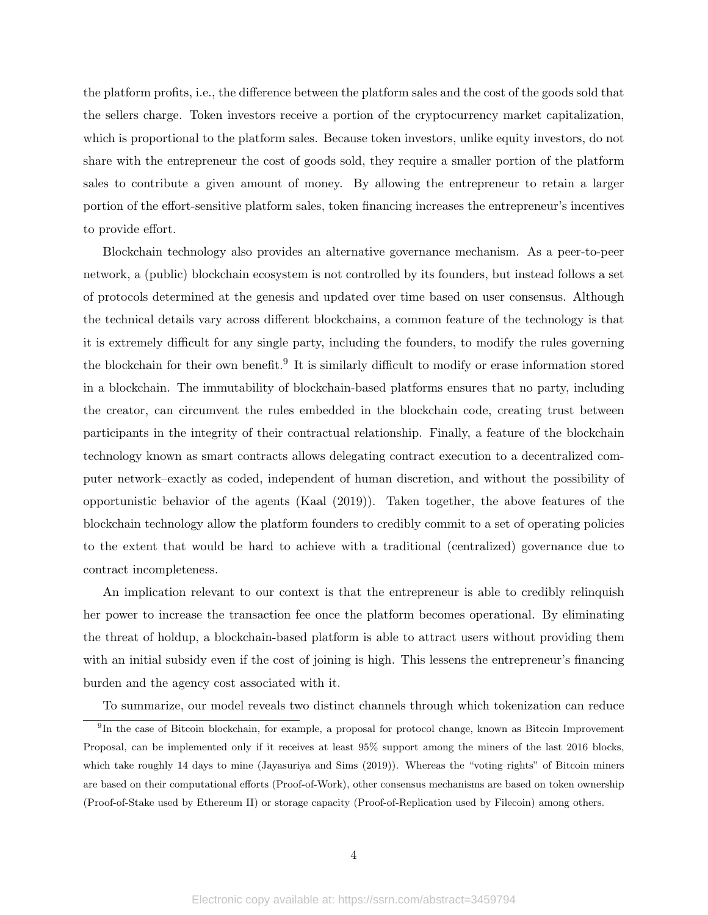the platform profits, i.e., the difference between the platform sales and the cost of the goods sold that the sellers charge. Token investors receive a portion of the cryptocurrency market capitalization, which is proportional to the platform sales. Because token investors, unlike equity investors, do not share with the entrepreneur the cost of goods sold, they require a smaller portion of the platform sales to contribute a given amount of money. By allowing the entrepreneur to retain a larger portion of the effort-sensitive platform sales, token financing increases the entrepreneur's incentives to provide effort.

Blockchain technology also provides an alternative governance mechanism. As a peer-to-peer network, a (public) blockchain ecosystem is not controlled by its founders, but instead follows a set of protocols determined at the genesis and updated over time based on user consensus. Although the technical details vary across different blockchains, a common feature of the technology is that it is extremely difficult for any single party, including the founders, to modify the rules governing the blockchain for their own benefit.<sup>9</sup> It is similarly difficult to modify or erase information stored in a blockchain. The immutability of blockchain-based platforms ensures that no party, including the creator, can circumvent the rules embedded in the blockchain code, creating trust between participants in the integrity of their contractual relationship. Finally, a feature of the blockchain technology known as smart contracts allows delegating contract execution to a decentralized computer network–exactly as coded, independent of human discretion, and without the possibility of opportunistic behavior of the agents (Kaal (2019)). Taken together, the above features of the blockchain technology allow the platform founders to credibly commit to a set of operating policies to the extent that would be hard to achieve with a traditional (centralized) governance due to contract incompleteness.

An implication relevant to our context is that the entrepreneur is able to credibly relinquish her power to increase the transaction fee once the platform becomes operational. By eliminating the threat of holdup, a blockchain-based platform is able to attract users without providing them with an initial subsidy even if the cost of joining is high. This lessens the entrepreneur's financing burden and the agency cost associated with it.

To summarize, our model reveals two distinct channels through which tokenization can reduce

<sup>&</sup>lt;sup>9</sup>In the case of Bitcoin blockchain, for example, a proposal for protocol change, known as Bitcoin Improvement Proposal, can be implemented only if it receives at least 95% support among the miners of the last 2016 blocks, which take roughly 14 days to mine (Jayasuriya and Sims (2019)). Whereas the "voting rights" of Bitcoin miners are based on their computational efforts (Proof-of-Work), other consensus mechanisms are based on token ownership (Proof-of-Stake used by Ethereum II) or storage capacity (Proof-of-Replication used by Filecoin) among others.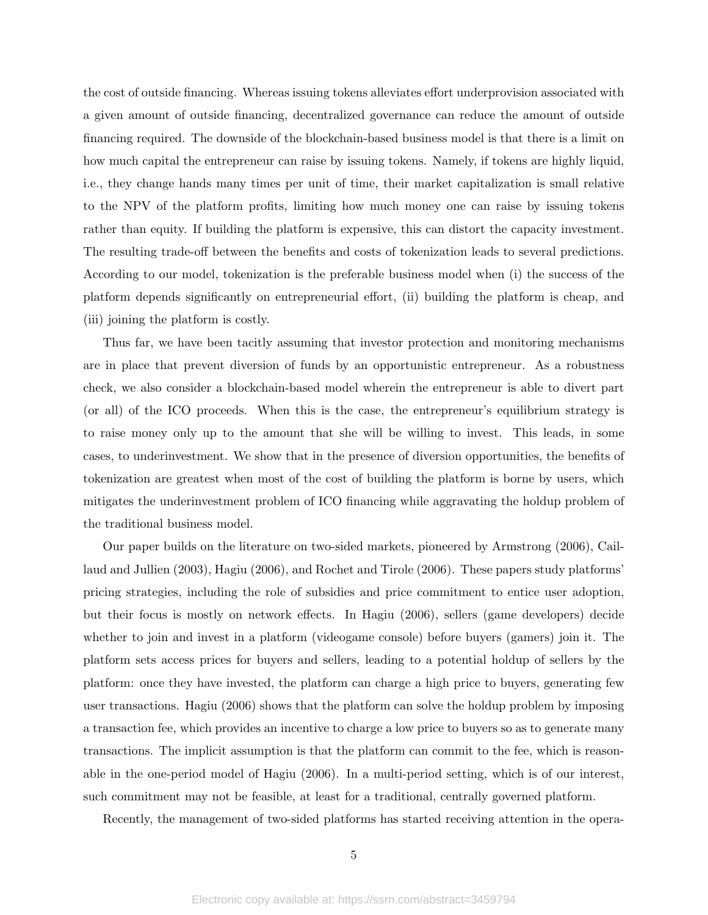the cost of outside financing. Whereas issuing tokens alleviates effort underprovision associated with a given amount of outside financing, decentralized governance can reduce the amount of outside financing required. The downside of the blockchain-based business model is that there is a limit on how much capital the entrepreneur can raise by issuing tokens. Namely, if tokens are highly liquid, i.e., they change hands many times per unit of time, their market capitalization is small relative to the NPV of the platform profits, limiting how much money one can raise by issuing tokens rather than equity. If building the platform is expensive, this can distort the capacity investment. The resulting trade-off between the benefits and costs of tokenization leads to several predictions. According to our model, tokenization is the preferable business model when (i) the success of the platform depends significantly on entrepreneurial effort, (ii) building the platform is cheap, and (iii) joining the platform is costly.

Thus far, we have been tacitly assuming that investor protection and monitoring mechanisms are in place that prevent diversion of funds by an opportunistic entrepreneur. As a robustness check, we also consider a blockchain-based model wherein the entrepreneur is able to divert part (or all) of the ICO proceeds. When this is the case, the entrepreneur's equilibrium strategy is to raise money only up to the amount that she will be willing to invest. This leads, in some cases, to underinvestment. We show that in the presence of diversion opportunities, the benefits of tokenization are greatest when most of the cost of building the platform is borne by users, which mitigates the underinvestment problem of ICO financing while aggravating the holdup problem of the traditional business model.

Our paper builds on the literature on two-sided markets, pioneered by Armstrong (2006), Caillaud and Jullien (2003), Hagiu (2006), and Rochet and Tirole (2006). These papers study platforms' pricing strategies, including the role of subsidies and price commitment to entice user adoption, but their focus is mostly on network effects. In Hagiu (2006), sellers (game developers) decide whether to join and invest in a platform (videogame console) before buyers (gamers) join it. The platform sets access prices for buyers and sellers, leading to a potential holdup of sellers by the platform: once they have invested, the platform can charge a high price to buyers, generating few user transactions. Hagiu (2006) shows that the platform can solve the holdup problem by imposing a transaction fee, which provides an incentive to charge a low price to buyers so as to generate many transactions. The implicit assumption is that the platform can commit to the fee, which is reasonable in the one-period model of Hagiu (2006). In a multi-period setting, which is of our interest, such commitment may not be feasible, at least for a traditional, centrally governed platform.

Recently, the management of two-sided platforms has started receiving attention in the opera-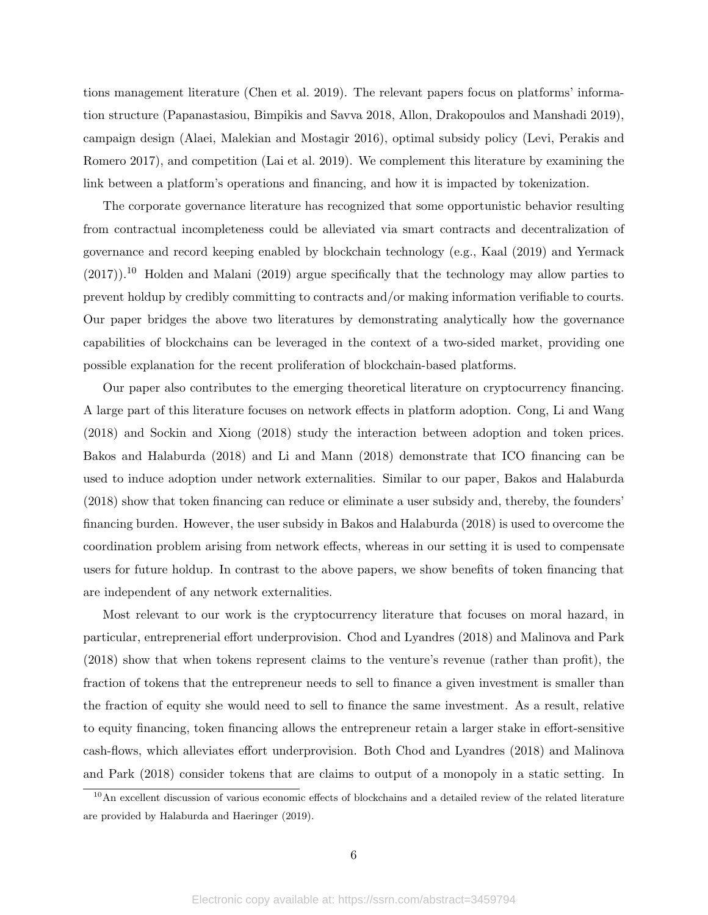tions management literature (Chen et al. 2019). The relevant papers focus on platforms' information structure (Papanastasiou, Bimpikis and Savva 2018, Allon, Drakopoulos and Manshadi 2019), campaign design (Alaei, Malekian and Mostagir 2016), optimal subsidy policy (Levi, Perakis and Romero 2017), and competition (Lai et al. 2019). We complement this literature by examining the link between a platform's operations and financing, and how it is impacted by tokenization.

The corporate governance literature has recognized that some opportunistic behavior resulting from contractual incompleteness could be alleviated via smart contracts and decentralization of governance and record keeping enabled by blockchain technology (e.g., Kaal (2019) and Yermack  $(2017)$ .<sup>10</sup> Holden and Malani (2019) argue specifically that the technology may allow parties to prevent holdup by credibly committing to contracts and/or making information verifiable to courts. Our paper bridges the above two literatures by demonstrating analytically how the governance capabilities of blockchains can be leveraged in the context of a two-sided market, providing one possible explanation for the recent proliferation of blockchain-based platforms.

Our paper also contributes to the emerging theoretical literature on cryptocurrency financing. A large part of this literature focuses on network effects in platform adoption. Cong, Li and Wang (2018) and Sockin and Xiong (2018) study the interaction between adoption and token prices. Bakos and Halaburda (2018) and Li and Mann (2018) demonstrate that ICO financing can be used to induce adoption under network externalities. Similar to our paper, Bakos and Halaburda (2018) show that token financing can reduce or eliminate a user subsidy and, thereby, the founders' financing burden. However, the user subsidy in Bakos and Halaburda (2018) is used to overcome the coordination problem arising from network effects, whereas in our setting it is used to compensate users for future holdup. In contrast to the above papers, we show benefits of token financing that are independent of any network externalities.

Most relevant to our work is the cryptocurrency literature that focuses on moral hazard, in particular, entreprenerial effort underprovision. Chod and Lyandres (2018) and Malinova and Park (2018) show that when tokens represent claims to the venture's revenue (rather than profit), the fraction of tokens that the entrepreneur needs to sell to finance a given investment is smaller than the fraction of equity she would need to sell to finance the same investment. As a result, relative to equity financing, token financing allows the entrepreneur retain a larger stake in effort-sensitive cash-flows, which alleviates effort underprovision. Both Chod and Lyandres (2018) and Malinova and Park (2018) consider tokens that are claims to output of a monopoly in a static setting. In

 $10$ An excellent discussion of various economic effects of blockchains and a detailed review of the related literature are provided by Halaburda and Haeringer (2019).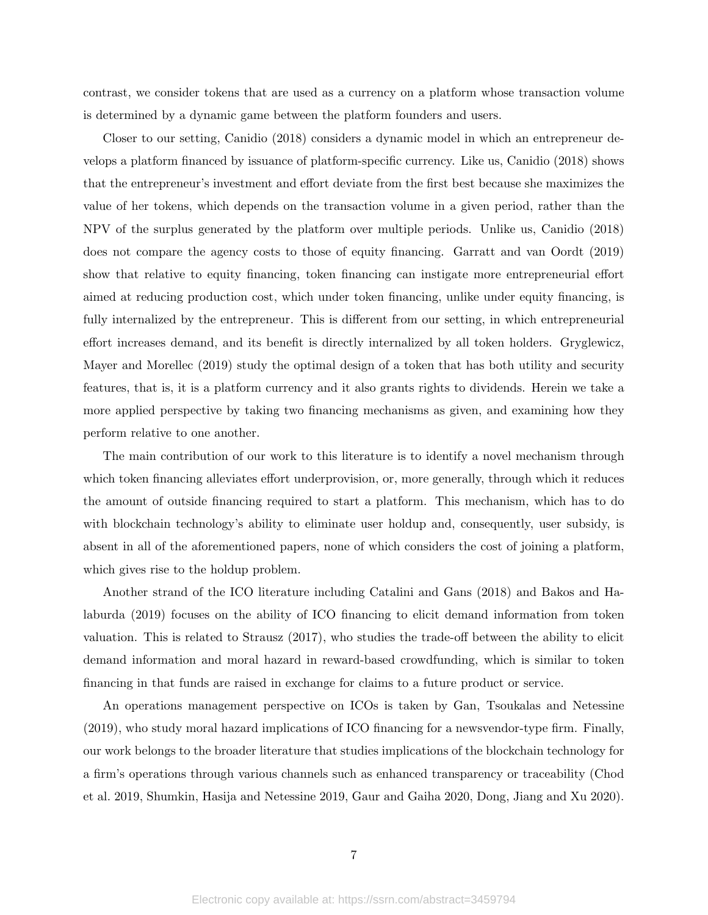contrast, we consider tokens that are used as a currency on a platform whose transaction volume is determined by a dynamic game between the platform founders and users.

Closer to our setting, Canidio (2018) considers a dynamic model in which an entrepreneur develops a platform financed by issuance of platform-specific currency. Like us, Canidio (2018) shows that the entrepreneur's investment and effort deviate from the first best because she maximizes the value of her tokens, which depends on the transaction volume in a given period, rather than the NPV of the surplus generated by the platform over multiple periods. Unlike us, Canidio (2018) does not compare the agency costs to those of equity financing. Garratt and van Oordt (2019) show that relative to equity financing, token financing can instigate more entrepreneurial effort aimed at reducing production cost, which under token financing, unlike under equity financing, is fully internalized by the entrepreneur. This is different from our setting, in which entrepreneurial effort increases demand, and its benefit is directly internalized by all token holders. Gryglewicz, Mayer and Morellec (2019) study the optimal design of a token that has both utility and security features, that is, it is a platform currency and it also grants rights to dividends. Herein we take a more applied perspective by taking two financing mechanisms as given, and examining how they perform relative to one another.

The main contribution of our work to this literature is to identify a novel mechanism through which token financing alleviates effort underprovision, or, more generally, through which it reduces the amount of outside financing required to start a platform. This mechanism, which has to do with blockchain technology's ability to eliminate user holdup and, consequently, user subsidy, is absent in all of the aforementioned papers, none of which considers the cost of joining a platform, which gives rise to the holdup problem.

Another strand of the ICO literature including Catalini and Gans (2018) and Bakos and Halaburda (2019) focuses on the ability of ICO financing to elicit demand information from token valuation. This is related to Strausz (2017), who studies the trade-off between the ability to elicit demand information and moral hazard in reward-based crowdfunding, which is similar to token financing in that funds are raised in exchange for claims to a future product or service.

An operations management perspective on ICOs is taken by Gan, Tsoukalas and Netessine (2019), who study moral hazard implications of ICO financing for a newsvendor-type firm. Finally, our work belongs to the broader literature that studies implications of the blockchain technology for a firm's operations through various channels such as enhanced transparency or traceability (Chod et al. 2019, Shumkin, Hasija and Netessine 2019, Gaur and Gaiha 2020, Dong, Jiang and Xu 2020).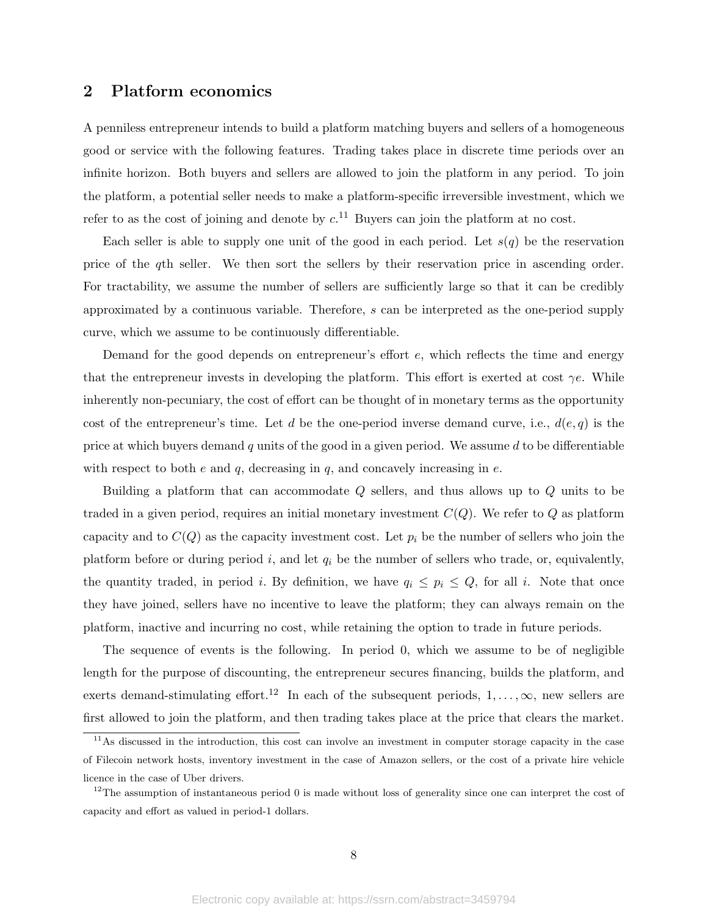## 2 Platform economics

A penniless entrepreneur intends to build a platform matching buyers and sellers of a homogeneous good or service with the following features. Trading takes place in discrete time periods over an infinite horizon. Both buyers and sellers are allowed to join the platform in any period. To join the platform, a potential seller needs to make a platform-specific irreversible investment, which we refer to as the cost of joining and denote by  $c^{11}$ . Buyers can join the platform at no cost.

Each seller is able to supply one unit of the good in each period. Let  $s(q)$  be the reservation price of the qth seller. We then sort the sellers by their reservation price in ascending order. For tractability, we assume the number of sellers are sufficiently large so that it can be credibly approximated by a continuous variable. Therefore, s can be interpreted as the one-period supply curve, which we assume to be continuously differentiable.

Demand for the good depends on entrepreneur's effort e, which reflects the time and energy that the entrepreneur invests in developing the platform. This effort is exerted at cost  $\gamma e$ . While inherently non-pecuniary, the cost of effort can be thought of in monetary terms as the opportunity cost of the entrepreneur's time. Let d be the one-period inverse demand curve, i.e.,  $d(e,q)$  is the price at which buyers demand q units of the good in a given period. We assume  $d$  to be differentiable with respect to both  $e$  and  $q$ , decreasing in  $q$ , and concavely increasing in  $e$ .

Building a platform that can accommodate Q sellers, and thus allows up to Q units to be traded in a given period, requires an initial monetary investment  $C(Q)$ . We refer to Q as platform capacity and to  $C(Q)$  as the capacity investment cost. Let  $p_i$  be the number of sellers who join the platform before or during period i, and let  $q_i$  be the number of sellers who trade, or, equivalently, the quantity traded, in period *i*. By definition, we have  $q_i \leq p_i \leq Q$ , for all *i*. Note that once they have joined, sellers have no incentive to leave the platform; they can always remain on the platform, inactive and incurring no cost, while retaining the option to trade in future periods.

The sequence of events is the following. In period 0, which we assume to be of negligible length for the purpose of discounting, the entrepreneur secures financing, builds the platform, and exerts demand-stimulating effort.<sup>12</sup> In each of the subsequent periods,  $1, \ldots, \infty$ , new sellers are first allowed to join the platform, and then trading takes place at the price that clears the market.

 $11$ As discussed in the introduction, this cost can involve an investment in computer storage capacity in the case of Filecoin network hosts, inventory investment in the case of Amazon sellers, or the cost of a private hire vehicle licence in the case of Uber drivers.

 $12$ The assumption of instantaneous period 0 is made without loss of generality since one can interpret the cost of capacity and effort as valued in period-1 dollars.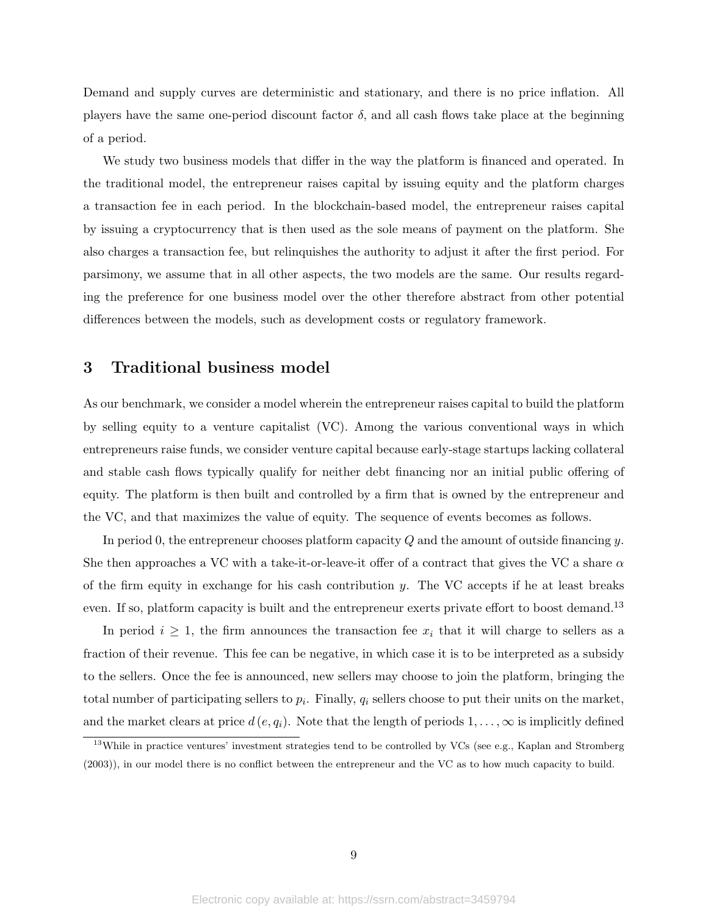Demand and supply curves are deterministic and stationary, and there is no price inflation. All players have the same one-period discount factor  $\delta$ , and all cash flows take place at the beginning of a period.

We study two business models that differ in the way the platform is financed and operated. In the traditional model, the entrepreneur raises capital by issuing equity and the platform charges a transaction fee in each period. In the blockchain-based model, the entrepreneur raises capital by issuing a cryptocurrency that is then used as the sole means of payment on the platform. She also charges a transaction fee, but relinquishes the authority to adjust it after the first period. For parsimony, we assume that in all other aspects, the two models are the same. Our results regarding the preference for one business model over the other therefore abstract from other potential differences between the models, such as development costs or regulatory framework.

## 3 Traditional business model

As our benchmark, we consider a model wherein the entrepreneur raises capital to build the platform by selling equity to a venture capitalist (VC). Among the various conventional ways in which entrepreneurs raise funds, we consider venture capital because early-stage startups lacking collateral and stable cash flows typically qualify for neither debt financing nor an initial public offering of equity. The platform is then built and controlled by a firm that is owned by the entrepreneur and the VC, and that maximizes the value of equity. The sequence of events becomes as follows.

In period 0, the entrepreneur chooses platform capacity  $Q$  and the amount of outside financing y. She then approaches a VC with a take-it-or-leave-it offer of a contract that gives the VC a share  $\alpha$ of the firm equity in exchange for his cash contribution  $y$ . The VC accepts if he at least breaks even. If so, platform capacity is built and the entrepreneur exerts private effort to boost demand.<sup>13</sup>

In period  $i \geq 1$ , the firm announces the transaction fee  $x_i$  that it will charge to sellers as a fraction of their revenue. This fee can be negative, in which case it is to be interpreted as a subsidy to the sellers. Once the fee is announced, new sellers may choose to join the platform, bringing the total number of participating sellers to  $p_i$ . Finally,  $q_i$  sellers choose to put their units on the market, and the market clears at price  $d(e, q_i)$ . Note that the length of periods  $1, \ldots, \infty$  is implicitly defined

 $13$ While in practice ventures' investment strategies tend to be controlled by VCs (see e.g., Kaplan and Stromberg (2003)), in our model there is no conflict between the entrepreneur and the VC as to how much capacity to build.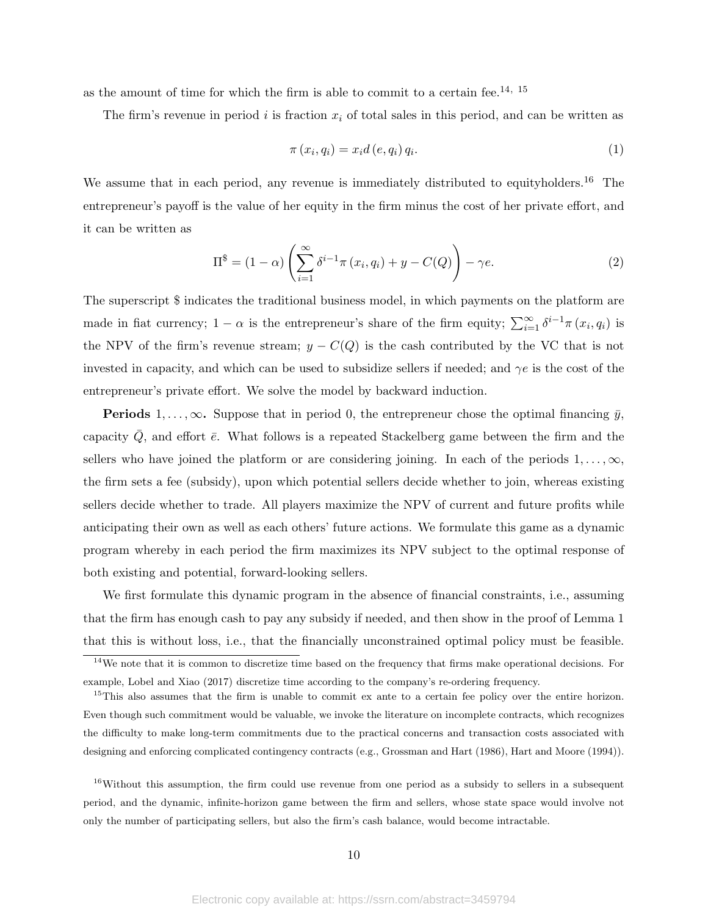as the amount of time for which the firm is able to commit to a certain fee.<sup>14, 15</sup>

The firm's revenue in period i is fraction  $x_i$  of total sales in this period, and can be written as

$$
\pi(x_i, q_i) = x_i d(e, q_i) q_i.
$$
\n
$$
(1)
$$

We assume that in each period, any revenue is immediately distributed to equityholders.<sup>16</sup> The entrepreneur's payoff is the value of her equity in the firm minus the cost of her private effort, and it can be written as

$$
\Pi^{\$} = (1 - \alpha) \left( \sum_{i=1}^{\infty} \delta^{i-1} \pi (x_i, q_i) + y - C(Q) \right) - \gamma e.
$$
 (2)

The superscript \$ indicates the traditional business model, in which payments on the platform are made in fiat currency;  $1 - \alpha$  is the entrepreneur's share of the firm equity;  $\sum_{i=1}^{\infty} \delta^{i-1} \pi(x_i, q_i)$  is the NPV of the firm's revenue stream;  $y - C(Q)$  is the cash contributed by the VC that is not invested in capacity, and which can be used to subsidize sellers if needed; and  $\gamma e$  is the cost of the entrepreneur's private effort. We solve the model by backward induction.

**Periods** 1, ...,  $\infty$ . Suppose that in period 0, the entrepreneur chose the optimal financing  $\bar{y}$ , capacity  $Q$ , and effort  $\bar{e}$ . What follows is a repeated Stackelberg game between the firm and the sellers who have joined the platform or are considering joining. In each of the periods  $1, \ldots, \infty$ , the firm sets a fee (subsidy), upon which potential sellers decide whether to join, whereas existing sellers decide whether to trade. All players maximize the NPV of current and future profits while anticipating their own as well as each others' future actions. We formulate this game as a dynamic program whereby in each period the firm maximizes its NPV subject to the optimal response of both existing and potential, forward-looking sellers.

We first formulate this dynamic program in the absence of financial constraints, i.e., assuming that the firm has enough cash to pay any subsidy if needed, and then show in the proof of Lemma 1 that this is without loss, i.e., that the financially unconstrained optimal policy must be feasible.

<sup>16</sup>Without this assumption, the firm could use revenue from one period as a subsidy to sellers in a subsequent period, and the dynamic, infinite-horizon game between the firm and sellers, whose state space would involve not only the number of participating sellers, but also the firm's cash balance, would become intractable.

 $14$ We note that it is common to discretize time based on the frequency that firms make operational decisions. For example, Lobel and Xiao (2017) discretize time according to the company's re-ordering frequency.

<sup>&</sup>lt;sup>15</sup>This also assumes that the firm is unable to commit ex ante to a certain fee policy over the entire horizon. Even though such commitment would be valuable, we invoke the literature on incomplete contracts, which recognizes the difficulty to make long-term commitments due to the practical concerns and transaction costs associated with designing and enforcing complicated contingency contracts (e.g., Grossman and Hart (1986), Hart and Moore (1994)).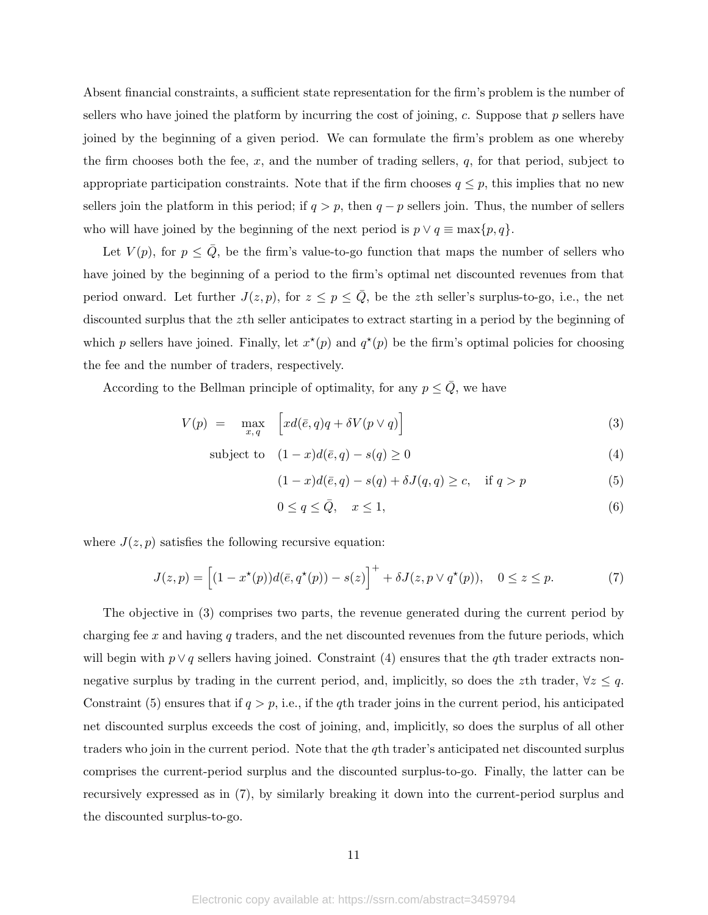Absent financial constraints, a sufficient state representation for the firm's problem is the number of sellers who have joined the platform by incurring the cost of joining, c. Suppose that  $p$  sellers have joined by the beginning of a given period. We can formulate the firm's problem as one whereby the firm chooses both the fee,  $x$ , and the number of trading sellers,  $q$ , for that period, subject to appropriate participation constraints. Note that if the firm chooses  $q \leq p$ , this implies that no new sellers join the platform in this period; if  $q > p$ , then  $q - p$  sellers join. Thus, the number of sellers who will have joined by the beginning of the next period is  $p \vee q \equiv \max\{p, q\}.$ 

Let  $V(p)$ , for  $p \leq \overline{Q}$ , be the firm's value-to-go function that maps the number of sellers who have joined by the beginning of a period to the firm's optimal net discounted revenues from that period onward. Let further  $J(z, p)$ , for  $z \le p \le \overline{Q}$ , be the zth seller's surplus-to-go, i.e., the net discounted surplus that the zth seller anticipates to extract starting in a period by the beginning of which p sellers have joined. Finally, let  $x^*(p)$  and  $q^*(p)$  be the firm's optimal policies for choosing the fee and the number of traders, respectively.

According to the Bellman principle of optimality, for any  $p \leq \overline{Q}$ , we have

$$
V(p) = \max_{x,q} \left[ xd(\bar{e}, q)q + \delta V(p \vee q) \right]
$$
\n(3)

subject to 
$$
(1-x)d(\bar{e},q) - s(q) \ge 0
$$
 (4)

$$
(1-x)d(\bar{e},q) - s(q) + \delta J(q,q) \ge c, \quad \text{if } q > p \tag{5}
$$

$$
0 \le q \le \bar{Q}, \quad x \le 1,\tag{6}
$$

where  $J(z, p)$  satisfies the following recursive equation:

$$
J(z,p) = \left[ (1 - x^*(p))d(\bar{e}, q^*(p)) - s(z) \right]^+ + \delta J(z, p \vee q^*(p)), \quad 0 \le z \le p. \tag{7}
$$

The objective in (3) comprises two parts, the revenue generated during the current period by charging fee x and having q traders, and the net discounted revenues from the future periods, which will begin with  $p \vee q$  sellers having joined. Constraint (4) ensures that the q<sup>th</sup> trader extracts nonnegative surplus by trading in the current period, and, implicitly, so does the zth trader,  $\forall z \leq q$ . Constraint (5) ensures that if  $q > p$ , i.e., if the qth trader joins in the current period, his anticipated net discounted surplus exceeds the cost of joining, and, implicitly, so does the surplus of all other traders who join in the current period. Note that the qth trader's anticipated net discounted surplus comprises the current-period surplus and the discounted surplus-to-go. Finally, the latter can be recursively expressed as in (7), by similarly breaking it down into the current-period surplus and the discounted surplus-to-go.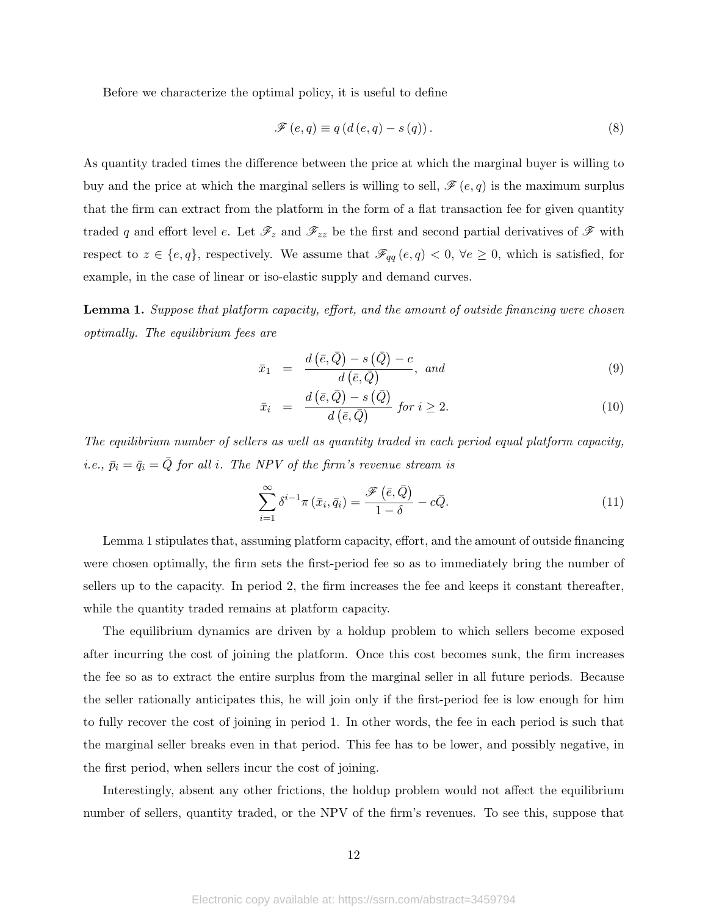Before we characterize the optimal policy, it is useful to define

$$
\mathscr{F}(e,q) \equiv q(d(e,q) - s(q)). \tag{8}
$$

As quantity traded times the difference between the price at which the marginal buyer is willing to buy and the price at which the marginal sellers is willing to sell,  $\mathscr{F}(e,q)$  is the maximum surplus that the firm can extract from the platform in the form of a flat transaction fee for given quantity traded q and effort level e. Let  $\mathscr{F}_z$  and  $\mathscr{F}_{zz}$  be the first and second partial derivatives of  $\mathscr{F}$  with respect to  $z \in \{e, q\}$ , respectively. We assume that  $\mathscr{F}_{qq}(e, q) < 0$ ,  $\forall e \geq 0$ , which is satisfied, for example, in the case of linear or iso-elastic supply and demand curves.

Lemma 1. Suppose that platform capacity, effort, and the amount of outside financing were chosen optimally. The equilibrium fees are

$$
\bar{x}_1 = \frac{d(\bar{e}, \bar{Q}) - s(\bar{Q}) - c}{d(\bar{e}, \bar{Q})}, \text{ and}
$$
\n(9)

$$
\bar{x}_i = \frac{d\left(\bar{e}, \bar{Q}\right) - s\left(\bar{Q}\right)}{d\left(\bar{e}, \bar{Q}\right)} \text{ for } i \ge 2. \tag{10}
$$

The equilibrium number of sellers as well as quantity traded in each period equal platform capacity, i.e.,  $\bar{p}_i = \bar{q}_i = \bar{Q}$  for all i. The NPV of the firm's revenue stream is

$$
\sum_{i=1}^{\infty} \delta^{i-1} \pi \left( \bar{x}_i, \bar{q}_i \right) = \frac{\mathcal{F}\left( \bar{e}, \bar{Q} \right)}{1 - \delta} - c\bar{Q}.
$$
\n(11)

Lemma 1 stipulates that, assuming platform capacity, effort, and the amount of outside financing were chosen optimally, the firm sets the first-period fee so as to immediately bring the number of sellers up to the capacity. In period 2, the firm increases the fee and keeps it constant thereafter, while the quantity traded remains at platform capacity.

The equilibrium dynamics are driven by a holdup problem to which sellers become exposed after incurring the cost of joining the platform. Once this cost becomes sunk, the firm increases the fee so as to extract the entire surplus from the marginal seller in all future periods. Because the seller rationally anticipates this, he will join only if the first-period fee is low enough for him to fully recover the cost of joining in period 1. In other words, the fee in each period is such that the marginal seller breaks even in that period. This fee has to be lower, and possibly negative, in the first period, when sellers incur the cost of joining.

Interestingly, absent any other frictions, the holdup problem would not affect the equilibrium number of sellers, quantity traded, or the NPV of the firm's revenues. To see this, suppose that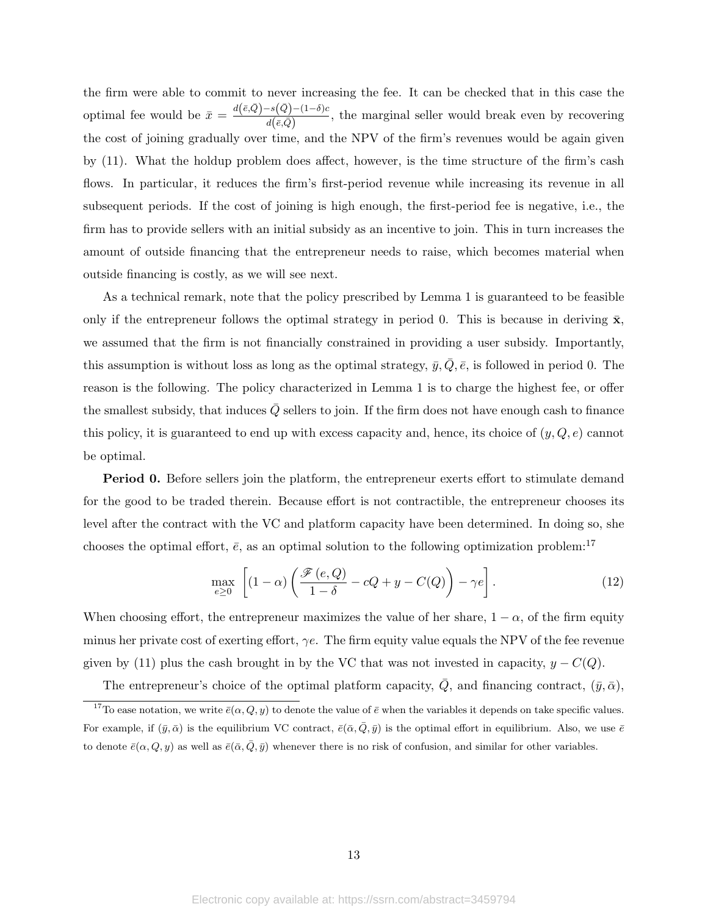the firm were able to commit to never increasing the fee. It can be checked that in this case the optimal fee would be  $\bar{x} = \frac{d(\bar{e}, \bar{Q}) - s(\bar{Q}) - (1-\delta)c}{d(\bar{z}, \bar{Q})}$  $\frac{d\mathbf{z}(\mathbf{z}) - (1 - \theta)\mathbf{c}}{d(\bar{\epsilon}, \bar{Q})}$ , the marginal seller would break even by recovering the cost of joining gradually over time, and the NPV of the firm's revenues would be again given by (11). What the holdup problem does affect, however, is the time structure of the firm's cash flows. In particular, it reduces the firm's first-period revenue while increasing its revenue in all subsequent periods. If the cost of joining is high enough, the first-period fee is negative, i.e., the firm has to provide sellers with an initial subsidy as an incentive to join. This in turn increases the amount of outside financing that the entrepreneur needs to raise, which becomes material when outside financing is costly, as we will see next.

As a technical remark, note that the policy prescribed by Lemma 1 is guaranteed to be feasible only if the entrepreneur follows the optimal strategy in period 0. This is because in deriving  $\bar{x}$ , we assumed that the firm is not financially constrained in providing a user subsidy. Importantly, this assumption is without loss as long as the optimal strategy,  $\bar{y}$ ,  $\bar{Q}$ ,  $\bar{e}$ , is followed in period 0. The reason is the following. The policy characterized in Lemma 1 is to charge the highest fee, or offer the smallest subsidy, that induces  $Q$  sellers to join. If the firm does not have enough cash to finance this policy, it is guaranteed to end up with excess capacity and, hence, its choice of  $(y, Q, e)$  cannot be optimal.

Period 0. Before sellers join the platform, the entrepreneur exerts effort to stimulate demand for the good to be traded therein. Because effort is not contractible, the entrepreneur chooses its level after the contract with the VC and platform capacity have been determined. In doing so, she chooses the optimal effort,  $\bar{e}$ , as an optimal solution to the following optimization problem:<sup>17</sup>

$$
\max_{e \ge 0} \left[ (1 - \alpha) \left( \frac{\mathcal{F}(e, Q)}{1 - \delta} - cQ + y - C(Q) \right) - \gamma e \right]. \tag{12}
$$

When choosing effort, the entrepreneur maximizes the value of her share,  $1 - \alpha$ , of the firm equity minus her private cost of exerting effort,  $\gamma e$ . The firm equity value equals the NPV of the fee revenue given by (11) plus the cash brought in by the VC that was not invested in capacity,  $y - C(Q)$ .

The entrepreneur's choice of the optimal platform capacity,  $\overline{Q}$ , and financing contract,  $(\overline{y}, \overline{\alpha})$ ,

<sup>&</sup>lt;sup>17</sup>To ease notation, we write  $\bar{e}(\alpha, Q, y)$  to denote the value of  $\bar{e}$  when the variables it depends on take specific values. For example, if  $(\bar{y}, \bar{\alpha})$  is the equilibrium VC contract,  $\bar{e}(\bar{\alpha}, \bar{Q}, \bar{y})$  is the optimal effort in equilibrium. Also, we use  $\bar{e}$ to denote  $\bar{e}(\alpha, Q, y)$  as well as  $\bar{e}(\bar{\alpha}, \bar{Q}, \bar{y})$  whenever there is no risk of confusion, and similar for other variables.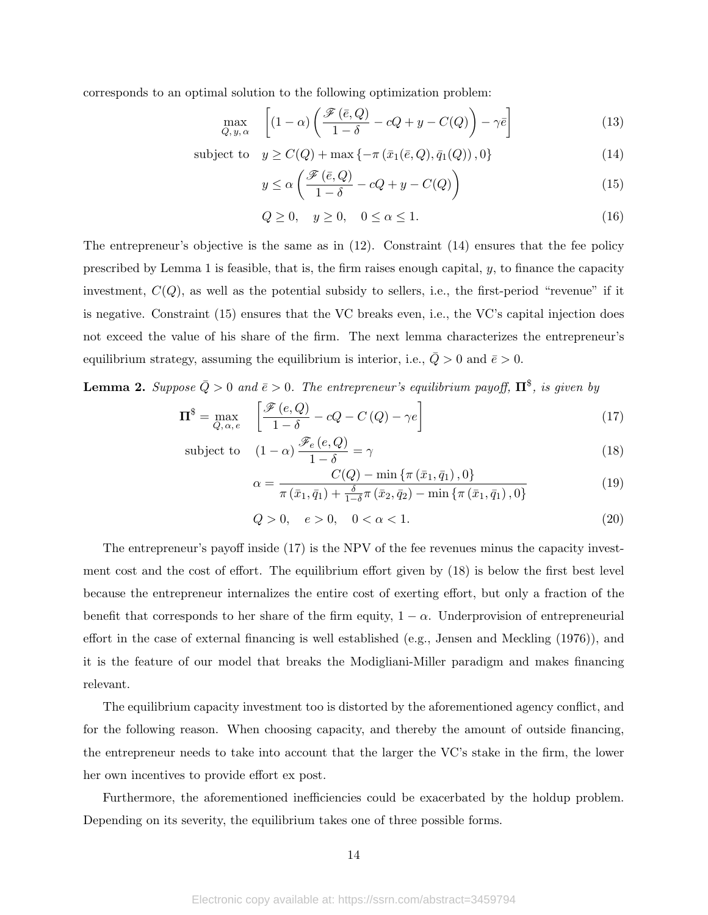corresponds to an optimal solution to the following optimization problem:

$$
\max_{Q, y, \alpha} \quad \left[ (1 - \alpha) \left( \frac{\mathcal{F}\left(\bar{e}, Q\right)}{1 - \delta} - cQ + y - C(Q) \right) - \gamma \bar{e} \right] \tag{13}
$$

subject to  $y \geq C(Q) + \max\{-\pi(\bar{x}_1(\bar{e}, Q), \bar{q}_1(Q)), 0\}$  (14)

$$
y \le \alpha \left( \frac{\mathcal{F}\left(\bar{e}, Q\right)}{1-\delta} - cQ + y - C(Q) \right) \tag{15}
$$

$$
Q \ge 0, \quad y \ge 0, \quad 0 \le \alpha \le 1. \tag{16}
$$

The entrepreneur's objective is the same as in (12). Constraint (14) ensures that the fee policy prescribed by Lemma 1 is feasible, that is, the firm raises enough capital, y, to finance the capacity investment,  $C(Q)$ , as well as the potential subsidy to sellers, i.e., the first-period "revenue" if it is negative. Constraint (15) ensures that the VC breaks even, i.e., the VC's capital injection does not exceed the value of his share of the firm. The next lemma characterizes the entrepreneur's equilibrium strategy, assuming the equilibrium is interior, i.e.,  $Q > 0$  and  $\bar{e} > 0$ .

**Lemma 2.** Suppose  $\bar{Q} > 0$  and  $\bar{e} > 0$ . The entrepreneur's equilibrium payoff,  $\mathbf{\Pi}^{\$}$ , is given by

$$
\Pi^{\$} = \max_{Q, \alpha, e} \quad \left[ \frac{\mathcal{F}(e, Q)}{1 - \delta} - cQ - C\left(Q\right) - \gamma e \right] \tag{17}
$$

subject to 
$$
(1 - \alpha) \frac{\mathscr{F}_e(e, Q)}{1 - \delta} = \gamma
$$
 (18)

$$
\alpha = \frac{C(Q) - \min\left\{\pi(\bar{x}_1, \bar{q}_1), 0\right\}}{\pi(\bar{x}_1, \bar{q}_1) + \frac{\delta}{1 - \delta}\pi(\bar{x}_2, \bar{q}_2) - \min\left\{\pi(\bar{x}_1, \bar{q}_1), 0\right\}}\tag{19}
$$

$$
Q > 0, \quad e > 0, \quad 0 < \alpha < 1. \tag{20}
$$

The entrepreneur's payoff inside (17) is the NPV of the fee revenues minus the capacity investment cost and the cost of effort. The equilibrium effort given by (18) is below the first best level because the entrepreneur internalizes the entire cost of exerting effort, but only a fraction of the benefit that corresponds to her share of the firm equity,  $1 - \alpha$ . Underprovision of entrepreneurial effort in the case of external financing is well established (e.g., Jensen and Meckling (1976)), and it is the feature of our model that breaks the Modigliani-Miller paradigm and makes financing relevant.

The equilibrium capacity investment too is distorted by the aforementioned agency conflict, and for the following reason. When choosing capacity, and thereby the amount of outside financing, the entrepreneur needs to take into account that the larger the VC's stake in the firm, the lower her own incentives to provide effort ex post.

Furthermore, the aforementioned inefficiencies could be exacerbated by the holdup problem. Depending on its severity, the equilibrium takes one of three possible forms.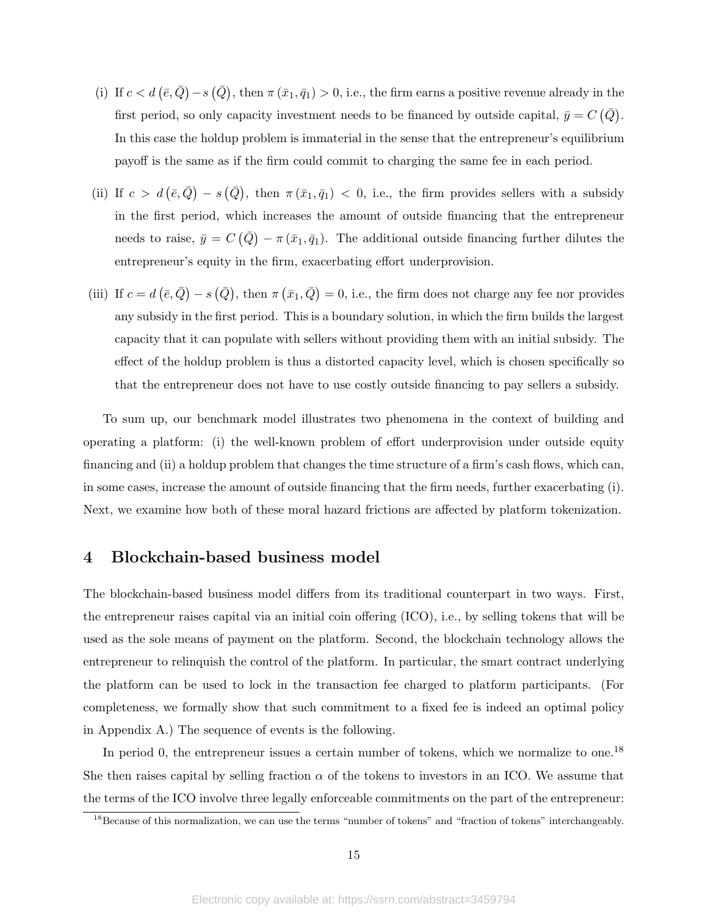- (i) If  $c < d \left(\bar{e}, \bar{Q}\right) s \left(\bar{Q}\right)$ , then  $\pi (\bar{x}_1, \bar{q}_1) > 0$ , i.e., the firm earns a positive revenue already in the first period, so only capacity investment needs to be financed by outside capital,  $\bar{y} = C(\bar{Q})$ . In this case the holdup problem is immaterial in the sense that the entrepreneur's equilibrium payoff is the same as if the firm could commit to charging the same fee in each period.
- (ii) If  $c > d(\bar{e}, \bar{Q}) s(\bar{Q})$ , then  $\pi(\bar{x}_1, \bar{q}_1) < 0$ , i.e., the firm provides sellers with a subsidy in the first period, which increases the amount of outside financing that the entrepreneur needs to raise,  $\bar{y} = C(\bar{Q}) - \pi(\bar{x}_1, \bar{q}_1)$ . The additional outside financing further dilutes the entrepreneur's equity in the firm, exacerbating effort underprovision.
- (iii) If  $c = d\left(\bar{e}, \bar{Q}\right) s\left(\bar{Q}\right)$ , then  $\pi\left(\bar{x}_1, \bar{Q}\right) = 0$ , i.e., the firm does not charge any fee nor provides any subsidy in the first period. This is a boundary solution, in which the firm builds the largest capacity that it can populate with sellers without providing them with an initial subsidy. The effect of the holdup problem is thus a distorted capacity level, which is chosen specifically so that the entrepreneur does not have to use costly outside financing to pay sellers a subsidy.

To sum up, our benchmark model illustrates two phenomena in the context of building and operating a platform: (i) the well-known problem of effort underprovision under outside equity financing and (ii) a holdup problem that changes the time structure of a firm's cash flows, which can, in some cases, increase the amount of outside financing that the firm needs, further exacerbating (i). Next, we examine how both of these moral hazard frictions are affected by platform tokenization.

### 4 Blockchain-based business model

The blockchain-based business model differs from its traditional counterpart in two ways. First, the entrepreneur raises capital via an initial coin offering (ICO), i.e., by selling tokens that will be used as the sole means of payment on the platform. Second, the blockchain technology allows the entrepreneur to relinquish the control of the platform. In particular, the smart contract underlying the platform can be used to lock in the transaction fee charged to platform participants. (For completeness, we formally show that such commitment to a fixed fee is indeed an optimal policy in Appendix A.) The sequence of events is the following.

In period 0, the entrepreneur issues a certain number of tokens, which we normalize to one.<sup>18</sup> She then raises capital by selling fraction  $\alpha$  of the tokens to investors in an ICO. We assume that the terms of the ICO involve three legally enforceable commitments on the part of the entrepreneur:

<sup>&</sup>lt;sup>18</sup>Because of this normalization, we can use the terms "number of tokens" and "fraction of tokens" interchangeably.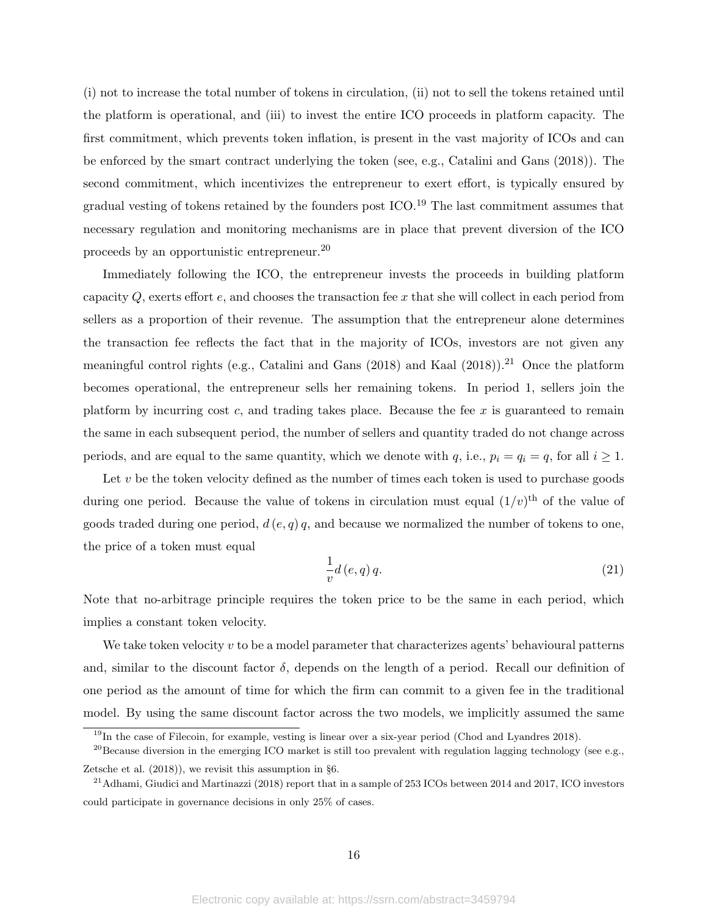(i) not to increase the total number of tokens in circulation, (ii) not to sell the tokens retained until the platform is operational, and (iii) to invest the entire ICO proceeds in platform capacity. The first commitment, which prevents token inflation, is present in the vast majority of ICOs and can be enforced by the smart contract underlying the token (see, e.g., Catalini and Gans (2018)). The second commitment, which incentivizes the entrepreneur to exert effort, is typically ensured by gradual vesting of tokens retained by the founders post ICO.<sup>19</sup> The last commitment assumes that necessary regulation and monitoring mechanisms are in place that prevent diversion of the ICO proceeds by an opportunistic entrepreneur.<sup>20</sup>

Immediately following the ICO, the entrepreneur invests the proceeds in building platform capacity  $Q$ , exerts effort  $e$ , and chooses the transaction fee x that she will collect in each period from sellers as a proportion of their revenue. The assumption that the entrepreneur alone determines the transaction fee reflects the fact that in the majority of ICOs, investors are not given any meaningful control rights (e.g., Catalini and Gans (2018) and Kaal (2018)).<sup>21</sup> Once the platform becomes operational, the entrepreneur sells her remaining tokens. In period 1, sellers join the platform by incurring cost c, and trading takes place. Because the fee  $x$  is guaranteed to remain the same in each subsequent period, the number of sellers and quantity traded do not change across periods, and are equal to the same quantity, which we denote with q, i.e.,  $p_i = q_i = q$ , for all  $i \ge 1$ .

Let  $v$  be the token velocity defined as the number of times each token is used to purchase goods during one period. Because the value of tokens in circulation must equal  $(1/v)^{th}$  of the value of goods traded during one period,  $d(e, q)$ , and because we normalized the number of tokens to one, the price of a token must equal

$$
\frac{1}{v}d\left(e,q\right)q.\tag{21}
$$

Note that no-arbitrage principle requires the token price to be the same in each period, which implies a constant token velocity.

We take token velocity  $v$  to be a model parameter that characterizes agents' behavioural patterns and, similar to the discount factor  $\delta$ , depends on the length of a period. Recall our definition of one period as the amount of time for which the firm can commit to a given fee in the traditional model. By using the same discount factor across the two models, we implicitly assumed the same

<sup>&</sup>lt;sup>19</sup>In the case of Filecoin, for example, vesting is linear over a six-year period (Chod and Lyandres 2018).

<sup>&</sup>lt;sup>20</sup>Because diversion in the emerging ICO market is still too prevalent with regulation lagging technology (see e.g., Zetsche et al. (2018)), we revisit this assumption in §6.

<sup>&</sup>lt;sup>21</sup> Adhami, Giudici and Martinazzi (2018) report that in a sample of 253 ICOs between 2014 and 2017, ICO investors could participate in governance decisions in only 25% of cases.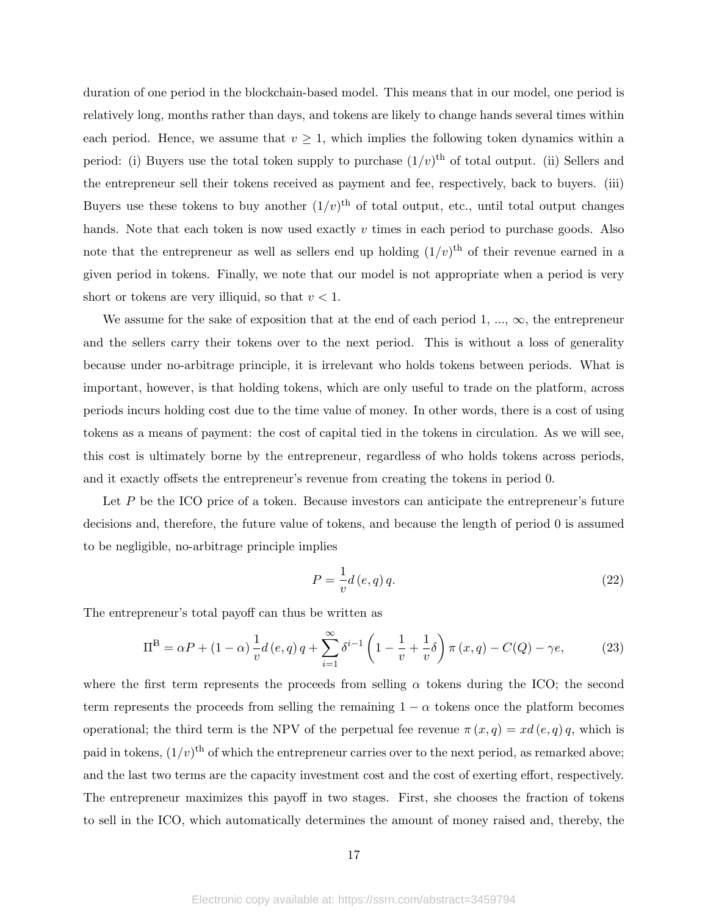duration of one period in the blockchain-based model. This means that in our model, one period is relatively long, months rather than days, and tokens are likely to change hands several times within each period. Hence, we assume that  $v \geq 1$ , which implies the following token dynamics within a period: (i) Buyers use the total token supply to purchase  $(1/v)^{\text{th}}$  of total output. (ii) Sellers and the entrepreneur sell their tokens received as payment and fee, respectively, back to buyers. (iii) Buyers use these tokens to buy another  $(1/v)^{\text{th}}$  of total output, etc., until total output changes hands. Note that each token is now used exactly  $v$  times in each period to purchase goods. Also note that the entrepreneur as well as sellers end up holding  $(1/v)^{th}$  of their revenue earned in a given period in tokens. Finally, we note that our model is not appropriate when a period is very short or tokens are very illiquid, so that  $v < 1$ .

We assume for the sake of exposition that at the end of each period 1,  $..., \infty$ , the entrepreneur and the sellers carry their tokens over to the next period. This is without a loss of generality because under no-arbitrage principle, it is irrelevant who holds tokens between periods. What is important, however, is that holding tokens, which are only useful to trade on the platform, across periods incurs holding cost due to the time value of money. In other words, there is a cost of using tokens as a means of payment: the cost of capital tied in the tokens in circulation. As we will see, this cost is ultimately borne by the entrepreneur, regardless of who holds tokens across periods, and it exactly offsets the entrepreneur's revenue from creating the tokens in period 0.

Let  $P$  be the ICO price of a token. Because investors can anticipate the entrepreneur's future decisions and, therefore, the future value of tokens, and because the length of period 0 is assumed to be negligible, no-arbitrage principle implies

$$
P = \frac{1}{v}d\left(e, q\right)q.\tag{22}
$$

The entrepreneur's total payoff can thus be written as

$$
\Pi^{\mathcal{B}} = \alpha P + (1 - \alpha) \frac{1}{v} d(e, q) q + \sum_{i=1}^{\infty} \delta^{i-1} \left( 1 - \frac{1}{v} + \frac{1}{v} \delta \right) \pi(x, q) - C(Q) - \gamma e,
$$
 (23)

where the first term represents the proceeds from selling  $\alpha$  tokens during the ICO; the second term represents the proceeds from selling the remaining  $1 - \alpha$  tokens once the platform becomes operational; the third term is the NPV of the perpetual fee revenue  $\pi(x,q) = xd(e,q)q$ , which is paid in tokens,  $(1/v)^{\text{th}}$  of which the entrepreneur carries over to the next period, as remarked above; and the last two terms are the capacity investment cost and the cost of exerting effort, respectively. The entrepreneur maximizes this payoff in two stages. First, she chooses the fraction of tokens to sell in the ICO, which automatically determines the amount of money raised and, thereby, the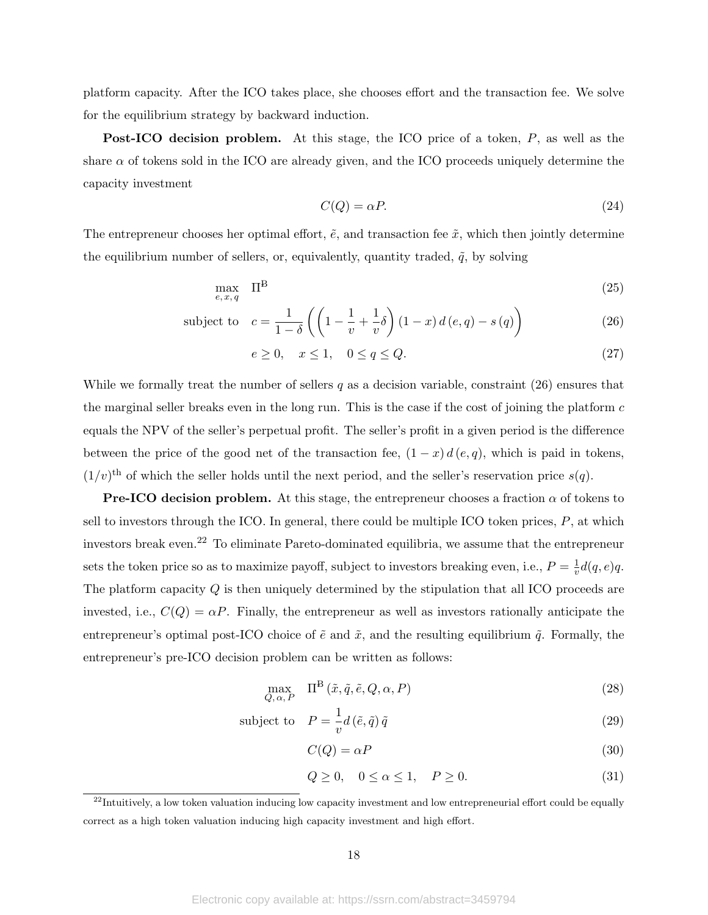platform capacity. After the ICO takes place, she chooses effort and the transaction fee. We solve for the equilibrium strategy by backward induction.

Post-ICO decision problem. At this stage, the ICO price of a token, P, as well as the share  $\alpha$  of tokens sold in the ICO are already given, and the ICO proceeds uniquely determine the capacity investment

$$
C(Q) = \alpha P. \tag{24}
$$

The entrepreneur chooses her optimal effort,  $\tilde{e}$ , and transaction fee  $\tilde{x}$ , which then jointly determine the equilibrium number of sellers, or, equivalently, quantity traded,  $\tilde{q}$ , by solving

$$
\max_{e, x, q} \quad \Pi^{\mathcal{B}} \tag{25}
$$

subject to 
$$
c = \frac{1}{1-\delta} \left( \left( 1 - \frac{1}{v} + \frac{1}{v} \delta \right) (1-x) d(e,q) - s(q) \right)
$$
 (26)

$$
e \ge 0, \quad x \le 1, \quad 0 \le q \le Q. \tag{27}
$$

While we formally treat the number of sellers  $q$  as a decision variable, constraint  $(26)$  ensures that the marginal seller breaks even in the long run. This is the case if the cost of joining the platform c equals the NPV of the seller's perpetual profit. The seller's profit in a given period is the difference between the price of the good net of the transaction fee,  $(1 - x) d(e, q)$ , which is paid in tokens,  $(1/v)$ <sup>th</sup> of which the seller holds until the next period, and the seller's reservation price  $s(q)$ .

**Pre-ICO decision problem.** At this stage, the entrepreneur chooses a fraction  $\alpha$  of tokens to sell to investors through the ICO. In general, there could be multiple ICO token prices,  $P$ , at which investors break even.<sup>22</sup> To eliminate Pareto-dominated equilibria, we assume that the entrepreneur sets the token price so as to maximize payoff, subject to investors breaking even, i.e.,  $P = \frac{1}{n}$  $\frac{1}{v}d(q,e)q.$ The platform capacity  $Q$  is then uniquely determined by the stipulation that all ICO proceeds are invested, i.e.,  $C(Q) = \alpha P$ . Finally, the entrepreneur as well as investors rationally anticipate the entrepreneur's optimal post-ICO choice of  $\tilde{e}$  and  $\tilde{x}$ , and the resulting equilibrium  $\tilde{q}$ . Formally, the entrepreneur's pre-ICO decision problem can be written as follows:

$$
\max_{Q, \alpha, P} \quad \Pi^{\mathcal{B}}\left(\tilde{x}, \tilde{q}, \tilde{e}, Q, \alpha, P\right) \tag{28}
$$

subject to 
$$
P = \frac{1}{v} d(\tilde{e}, \tilde{q}) \tilde{q}
$$
 (29)

$$
C(Q) = \alpha P \tag{30}
$$

$$
Q \ge 0, \quad 0 \le \alpha \le 1, \quad P \ge 0. \tag{31}
$$

 $22$ Intuitively, a low token valuation inducing low capacity investment and low entrepreneurial effort could be equally correct as a high token valuation inducing high capacity investment and high effort.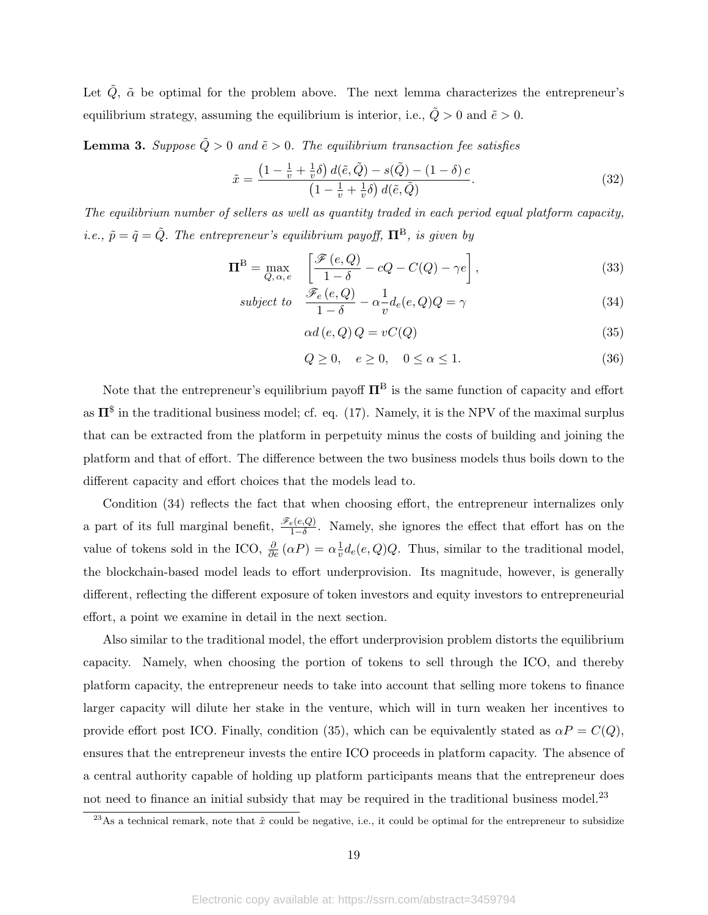Let  $\tilde{Q}$ ,  $\tilde{\alpha}$  be optimal for the problem above. The next lemma characterizes the entrepreneur's equilibrium strategy, assuming the equilibrium is interior, i.e.,  $\tilde{Q} > 0$  and  $\tilde{e} > 0$ .

**Lemma 3.** Suppose  $\tilde{Q} > 0$  and  $\tilde{e} > 0$ . The equilibrium transaction fee satisfies

$$
\tilde{x} = \frac{\left(1 - \frac{1}{v} + \frac{1}{v}\delta\right)d(\tilde{e}, \tilde{Q}) - s(\tilde{Q}) - (1 - \delta)c}{\left(1 - \frac{1}{v} + \frac{1}{v}\delta\right)d(\tilde{e}, \tilde{Q})}.
$$
\n(32)

The equilibrium number of sellers as well as quantity traded in each period equal platform capacity, i.e.,  $\tilde{p} = \tilde{q} = \tilde{Q}$ . The entrepreneur's equilibrium payoff,  $\Pi^B$ , is given by

$$
\Pi^{\mathcal{B}} = \max_{Q, \alpha, e} \quad \left[ \frac{\mathcal{F}(e, Q)}{1 - \delta} - cQ - C(Q) - \gamma e \right],\tag{33}
$$

subject to 
$$
\frac{\mathcal{F}_e(e,Q)}{1-\delta} - \alpha \frac{1}{v} d_e(e,Q) Q = \gamma
$$
 (34)

$$
\alpha d\left(e,Q\right)Q = vC(Q) \tag{35}
$$

$$
Q \ge 0, \quad e \ge 0, \quad 0 \le \alpha \le 1. \tag{36}
$$

Note that the entrepreneur's equilibrium payoff  $\Pi^B$  is the same function of capacity and effort as  $\Pi^{\$}$  in the traditional business model; cf. eq. (17). Namely, it is the NPV of the maximal surplus that can be extracted from the platform in perpetuity minus the costs of building and joining the platform and that of effort. The difference between the two business models thus boils down to the different capacity and effort choices that the models lead to.

Condition (34) reflects the fact that when choosing effort, the entrepreneur internalizes only a part of its full marginal benefit,  $\frac{\mathscr{F}_e(e,Q)}{1-\delta}$ . Namely, she ignores the effect that effort has on the value of tokens sold in the ICO,  $\frac{\partial}{\partial e}(\alpha P) = \alpha \frac{1}{v}$  $\frac{1}{v}d_e(e,Q)Q$ . Thus, similar to the traditional model, the blockchain-based model leads to effort underprovision. Its magnitude, however, is generally different, reflecting the different exposure of token investors and equity investors to entrepreneurial effort, a point we examine in detail in the next section.

Also similar to the traditional model, the effort underprovision problem distorts the equilibrium capacity. Namely, when choosing the portion of tokens to sell through the ICO, and thereby platform capacity, the entrepreneur needs to take into account that selling more tokens to finance larger capacity will dilute her stake in the venture, which will in turn weaken her incentives to provide effort post ICO. Finally, condition (35), which can be equivalently stated as  $\alpha P = C(Q)$ , ensures that the entrepreneur invests the entire ICO proceeds in platform capacity. The absence of a central authority capable of holding up platform participants means that the entrepreneur does not need to finance an initial subsidy that may be required in the traditional business model.<sup>23</sup>

<sup>&</sup>lt;sup>23</sup>As a technical remark, note that  $\tilde{x}$  could be negative, i.e., it could be optimal for the entrepreneur to subsidize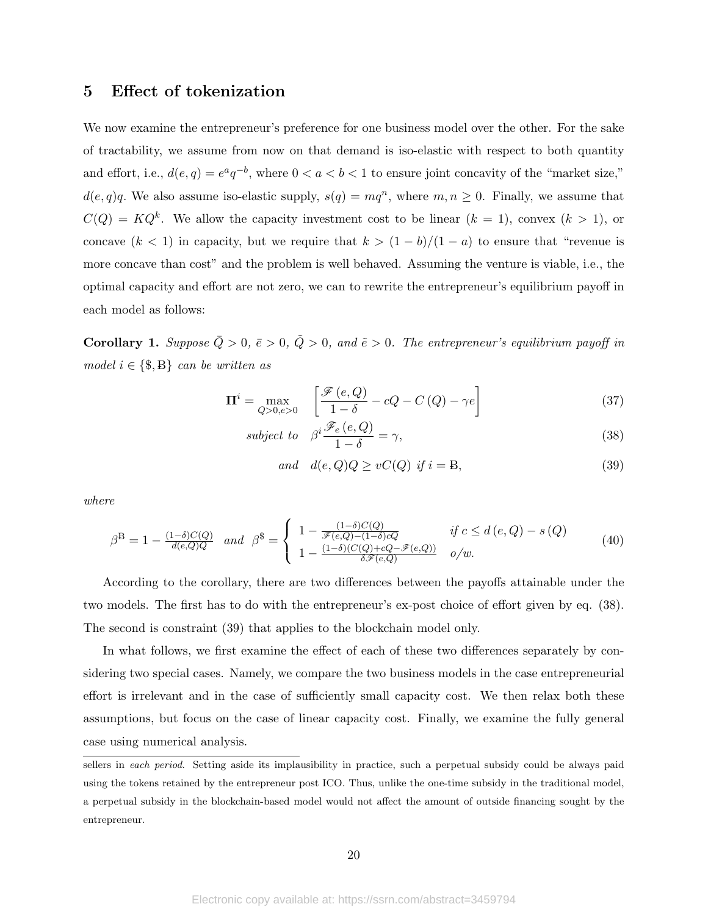## 5 Effect of tokenization

We now examine the entrepreneur's preference for one business model over the other. For the sake of tractability, we assume from now on that demand is iso-elastic with respect to both quantity and effort, i.e.,  $d(e,q) = e^a q^{-b}$ , where  $0 < a < b < 1$  to ensure joint concavity of the "market size,"  $d(e,q)q$ . We also assume iso-elastic supply,  $s(q) = mq^n$ , where  $m, n \ge 0$ . Finally, we assume that  $C(Q) = KQ^k$ . We allow the capacity investment cost to be linear  $(k = 1)$ , convex  $(k > 1)$ , or concave  $(k < 1)$  in capacity, but we require that  $k > (1 - b)/(1 - a)$  to ensure that "revenue is more concave than cost" and the problem is well behaved. Assuming the venture is viable, i.e., the optimal capacity and effort are not zero, we can to rewrite the entrepreneur's equilibrium payoff in each model as follows:

**Corollary 1.** Suppose  $\overline{Q} > 0$ ,  $\overline{e} > 0$ ,  $\tilde{Q} > 0$ , and  $\tilde{e} > 0$ . The entrepreneur's equilibrium payoff in model  $i \in \{\$\}, B\}$  can be written as

$$
\Pi^{i} = \max_{Q > 0, e > 0} \quad \left[ \frac{\mathcal{F}(e, Q)}{1 - \delta} - cQ - C\left(Q\right) - \gamma e \right] \tag{37}
$$

$$
subject\ to\ \ \beta^i \frac{\mathscr{F}_e(e, Q)}{1 - \delta} = \gamma,\tag{38}
$$

$$
and \quad d(e,Q)Q \ge vC(Q) \text{ if } i = B,
$$
\n
$$
(39)
$$

where

$$
\beta^{\mathcal{B}} = 1 - \frac{(1-\delta)C(Q)}{d(e,Q)Q} \quad and \quad \beta^{\mathcal{S}} = \begin{cases} 1 - \frac{(1-\delta)C(Q)}{\mathscr{F}(e,Q) - (1-\delta)cQ} & \text{if } c \le d(e,Q) - s(Q) \\ 1 - \frac{(1-\delta)(C(Q) + cQ - \mathscr{F}(e,Q))}{\delta \mathscr{F}(e,Q)} & o/w. \end{cases} \tag{40}
$$

According to the corollary, there are two differences between the payoffs attainable under the two models. The first has to do with the entrepreneur's ex-post choice of effort given by eq. (38). The second is constraint (39) that applies to the blockchain model only.

In what follows, we first examine the effect of each of these two differences separately by considering two special cases. Namely, we compare the two business models in the case entrepreneurial effort is irrelevant and in the case of sufficiently small capacity cost. We then relax both these assumptions, but focus on the case of linear capacity cost. Finally, we examine the fully general case using numerical analysis.

sellers in each period. Setting aside its implausibility in practice, such a perpetual subsidy could be always paid using the tokens retained by the entrepreneur post ICO. Thus, unlike the one-time subsidy in the traditional model, a perpetual subsidy in the blockchain-based model would not affect the amount of outside financing sought by the entrepreneur.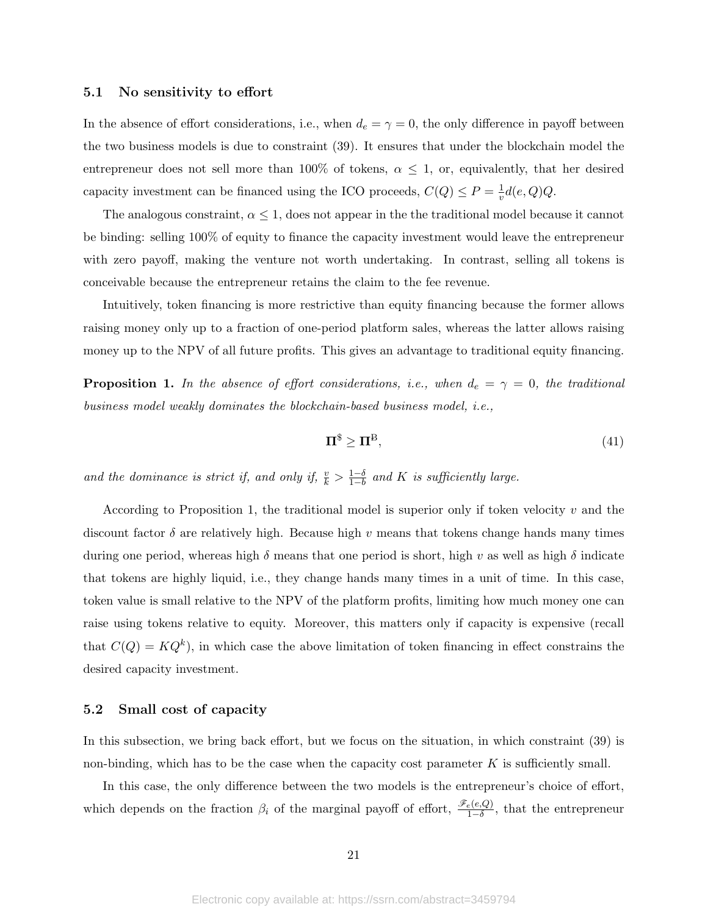#### 5.1 No sensitivity to effort

In the absence of effort considerations, i.e., when  $d_e = \gamma = 0$ , the only difference in payoff between the two business models is due to constraint (39). It ensures that under the blockchain model the entrepreneur does not sell more than 100% of tokens,  $\alpha \leq 1$ , or, equivalently, that her desired capacity investment can be financed using the ICO proceeds,  $C(Q) \leq P = \frac{1}{n}$  $\frac{1}{v}d(e,Q)Q.$ 

The analogous constraint,  $\alpha \leq 1$ , does not appear in the the traditional model because it cannot be binding: selling 100% of equity to finance the capacity investment would leave the entrepreneur with zero payoff, making the venture not worth undertaking. In contrast, selling all tokens is conceivable because the entrepreneur retains the claim to the fee revenue.

Intuitively, token financing is more restrictive than equity financing because the former allows raising money only up to a fraction of one-period platform sales, whereas the latter allows raising money up to the NPV of all future profits. This gives an advantage to traditional equity financing.

**Proposition 1.** In the absence of effort considerations, i.e., when  $d_e = \gamma = 0$ , the traditional business model weakly dominates the blockchain-based business model, i.e.,

$$
\Pi^{\$} \ge \Pi^{\$},\tag{41}
$$

and the dominance is strict if, and only if,  $\frac{v}{k} > \frac{1-\delta}{1-b}$  $\frac{1-\delta}{1-b}$  and K is sufficiently large.

According to Proposition 1, the traditional model is superior only if token velocity  $v$  and the discount factor  $\delta$  are relatively high. Because high v means that tokens change hands many times during one period, whereas high  $\delta$  means that one period is short, high v as well as high  $\delta$  indicate that tokens are highly liquid, i.e., they change hands many times in a unit of time. In this case, token value is small relative to the NPV of the platform profits, limiting how much money one can raise using tokens relative to equity. Moreover, this matters only if capacity is expensive (recall that  $C(Q) = KQ^k$ , in which case the above limitation of token financing in effect constrains the desired capacity investment.

#### 5.2 Small cost of capacity

In this subsection, we bring back effort, but we focus on the situation, in which constraint (39) is non-binding, which has to be the case when the capacity cost parameter  $K$  is sufficiently small.

In this case, the only difference between the two models is the entrepreneur's choice of effort, which depends on the fraction  $\beta_i$  of the marginal payoff of effort,  $\frac{\mathscr{F}_e(e,Q)}{1-\delta}$ , that the entrepreneur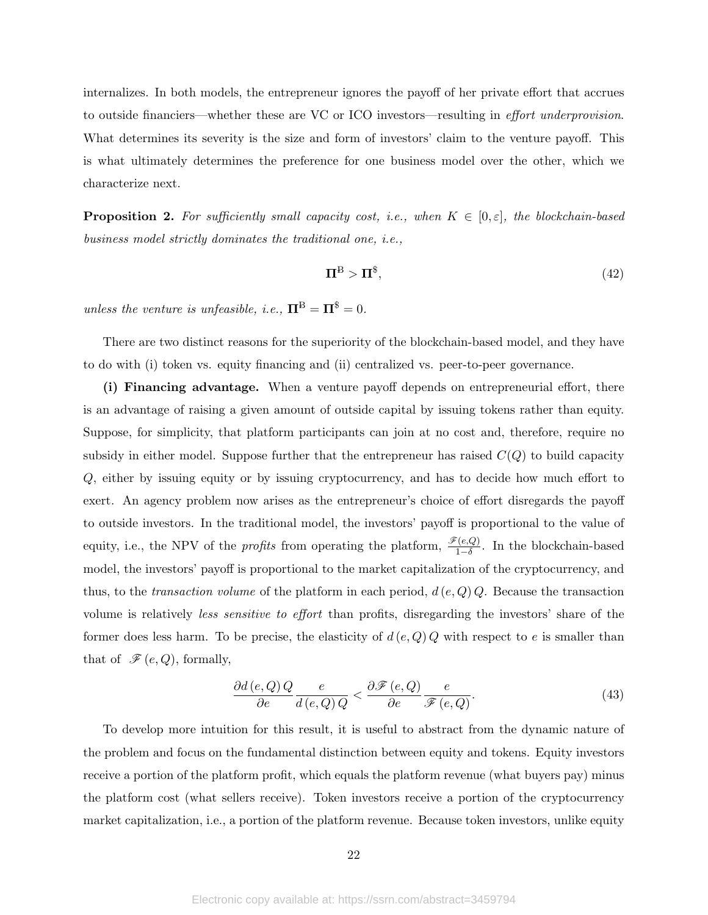internalizes. In both models, the entrepreneur ignores the payoff of her private effort that accrues to outside financiers—whether these are VC or ICO investors—resulting in effort underprovision. What determines its severity is the size and form of investors' claim to the venture payoff. This is what ultimately determines the preference for one business model over the other, which we characterize next.

**Proposition 2.** For sufficiently small capacity cost, i.e., when  $K \in [0, \varepsilon]$ , the blockchain-based business model strictly dominates the traditional one, i.e.,

$$
\Pi^{\mathcal{B}} > \Pi^{\$},\tag{42}
$$

unless the venture is unfeasible, i.e.,  $\Pi^B = \Pi^\$ = 0$ .

There are two distinct reasons for the superiority of the blockchain-based model, and they have to do with (i) token vs. equity financing and (ii) centralized vs. peer-to-peer governance.

(i) Financing advantage. When a venture payoff depends on entrepreneurial effort, there is an advantage of raising a given amount of outside capital by issuing tokens rather than equity. Suppose, for simplicity, that platform participants can join at no cost and, therefore, require no subsidy in either model. Suppose further that the entrepreneur has raised  $C(Q)$  to build capacity Q, either by issuing equity or by issuing cryptocurrency, and has to decide how much effort to exert. An agency problem now arises as the entrepreneur's choice of effort disregards the payoff to outside investors. In the traditional model, the investors' payoff is proportional to the value of equity, i.e., the NPV of the *profits* from operating the platform,  $\frac{\mathscr{F}(e,Q)}{1-\delta}$ . In the blockchain-based model, the investors' payoff is proportional to the market capitalization of the cryptocurrency, and thus, to the transaction volume of the platform in each period,  $d(e, Q)$  Q. Because the transaction volume is relatively less sensitive to effort than profits, disregarding the investors' share of the former does less harm. To be precise, the elasticity of  $d(e, Q)$  with respect to e is smaller than that of  $\mathscr{F}(e,Q)$ , formally,

$$
\frac{\partial d(e,Q)Q}{\partial e} \frac{e}{d(e,Q)Q} < \frac{\partial \mathcal{F}(e,Q)}{\partial e} \frac{e}{\mathcal{F}(e,Q)}.\tag{43}
$$

To develop more intuition for this result, it is useful to abstract from the dynamic nature of the problem and focus on the fundamental distinction between equity and tokens. Equity investors receive a portion of the platform profit, which equals the platform revenue (what buyers pay) minus the platform cost (what sellers receive). Token investors receive a portion of the cryptocurrency market capitalization, i.e., a portion of the platform revenue. Because token investors, unlike equity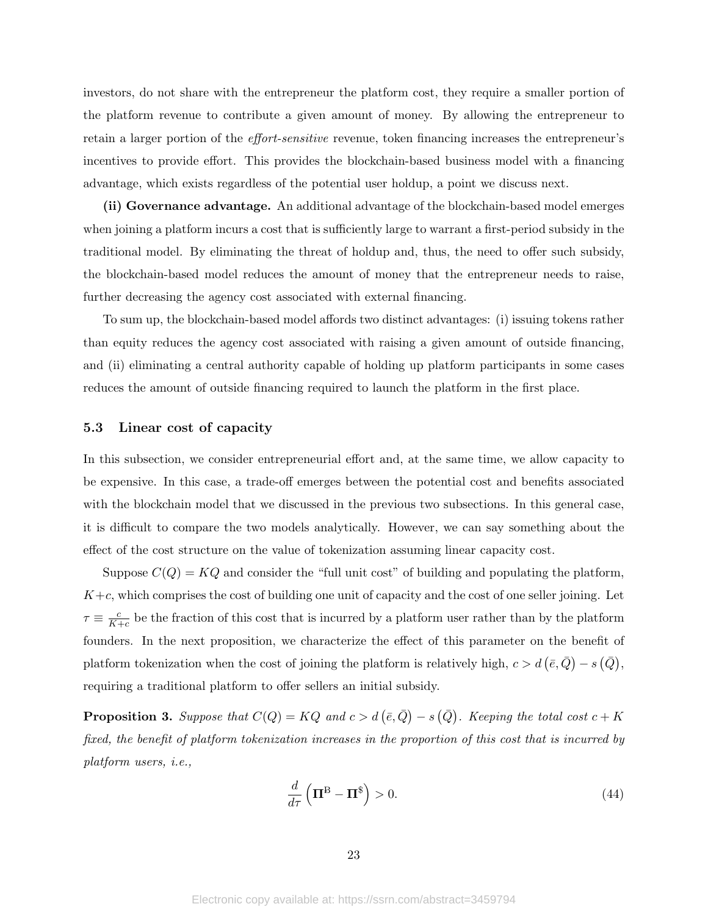investors, do not share with the entrepreneur the platform cost, they require a smaller portion of the platform revenue to contribute a given amount of money. By allowing the entrepreneur to retain a larger portion of the effort-sensitive revenue, token financing increases the entrepreneur's incentives to provide effort. This provides the blockchain-based business model with a financing advantage, which exists regardless of the potential user holdup, a point we discuss next.

(ii) Governance advantage. An additional advantage of the blockchain-based model emerges when joining a platform incurs a cost that is sufficiently large to warrant a first-period subsidy in the traditional model. By eliminating the threat of holdup and, thus, the need to offer such subsidy, the blockchain-based model reduces the amount of money that the entrepreneur needs to raise, further decreasing the agency cost associated with external financing.

To sum up, the blockchain-based model affords two distinct advantages: (i) issuing tokens rather than equity reduces the agency cost associated with raising a given amount of outside financing, and (ii) eliminating a central authority capable of holding up platform participants in some cases reduces the amount of outside financing required to launch the platform in the first place.

#### 5.3 Linear cost of capacity

In this subsection, we consider entrepreneurial effort and, at the same time, we allow capacity to be expensive. In this case, a trade-off emerges between the potential cost and benefits associated with the blockchain model that we discussed in the previous two subsections. In this general case, it is difficult to compare the two models analytically. However, we can say something about the effect of the cost structure on the value of tokenization assuming linear capacity cost.

Suppose  $C(Q) = KQ$  and consider the "full unit cost" of building and populating the platform,  $K+c$ , which comprises the cost of building one unit of capacity and the cost of one seller joining. Let  $\tau \equiv \frac{c}{K}$  $\frac{c}{K+c}$  be the fraction of this cost that is incurred by a platform user rather than by the platform founders. In the next proposition, we characterize the effect of this parameter on the benefit of platform tokenization when the cost of joining the platform is relatively high,  $c > d \ (\bar{e}, \bar{Q}) - s \ (\bar{Q})$ , requiring a traditional platform to offer sellers an initial subsidy.

**Proposition 3.** Suppose that  $C(Q) = KQ$  and  $c > d(\bar{e}, \bar{Q}) - s(\bar{Q})$ . Keeping the total cost  $c + K$ fixed, the benefit of platform tokenization increases in the proportion of this cost that is incurred by platform users, i.e.,

$$
\frac{d}{d\tau}\left(\Pi^{\mathcal{B}} - \Pi^{\$}\right) > 0.\tag{44}
$$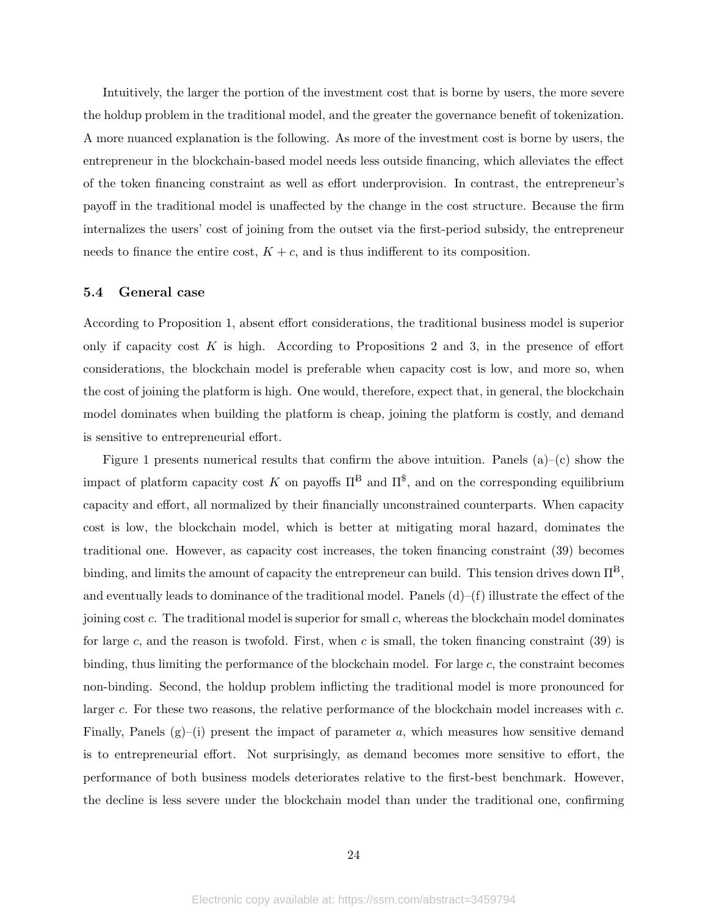Intuitively, the larger the portion of the investment cost that is borne by users, the more severe the holdup problem in the traditional model, and the greater the governance benefit of tokenization. A more nuanced explanation is the following. As more of the investment cost is borne by users, the entrepreneur in the blockchain-based model needs less outside financing, which alleviates the effect of the token financing constraint as well as effort underprovision. In contrast, the entrepreneur's payoff in the traditional model is unaffected by the change in the cost structure. Because the firm internalizes the users' cost of joining from the outset via the first-period subsidy, the entrepreneur needs to finance the entire cost,  $K + c$ , and is thus indifferent to its composition.

#### 5.4 General case

According to Proposition 1, absent effort considerations, the traditional business model is superior only if capacity cost  $K$  is high. According to Propositions 2 and 3, in the presence of effort considerations, the blockchain model is preferable when capacity cost is low, and more so, when the cost of joining the platform is high. One would, therefore, expect that, in general, the blockchain model dominates when building the platform is cheap, joining the platform is costly, and demand is sensitive to entrepreneurial effort.

Figure 1 presents numerical results that confirm the above intuition. Panels  $(a)$ – $(c)$  show the impact of platform capacity cost K on payoffs  $\Pi^{\text{B}}$  and  $\Pi^{\text{S}}$ , and on the corresponding equilibrium capacity and effort, all normalized by their financially unconstrained counterparts. When capacity cost is low, the blockchain model, which is better at mitigating moral hazard, dominates the traditional one. However, as capacity cost increases, the token financing constraint (39) becomes binding, and limits the amount of capacity the entrepreneur can build. This tension drives down  $\Pi^B$ , and eventually leads to dominance of the traditional model. Panels  $(d)$ –(f) illustrate the effect of the joining cost c. The traditional model is superior for small c, whereas the blockchain model dominates for large c, and the reason is twofold. First, when c is small, the token financing constraint  $(39)$  is binding, thus limiting the performance of the blockchain model. For large c, the constraint becomes non-binding. Second, the holdup problem inflicting the traditional model is more pronounced for larger c. For these two reasons, the relative performance of the blockchain model increases with c. Finally, Panels  $(g)$ –(i) present the impact of parameter a, which measures how sensitive demand is to entrepreneurial effort. Not surprisingly, as demand becomes more sensitive to effort, the performance of both business models deteriorates relative to the first-best benchmark. However, the decline is less severe under the blockchain model than under the traditional one, confirming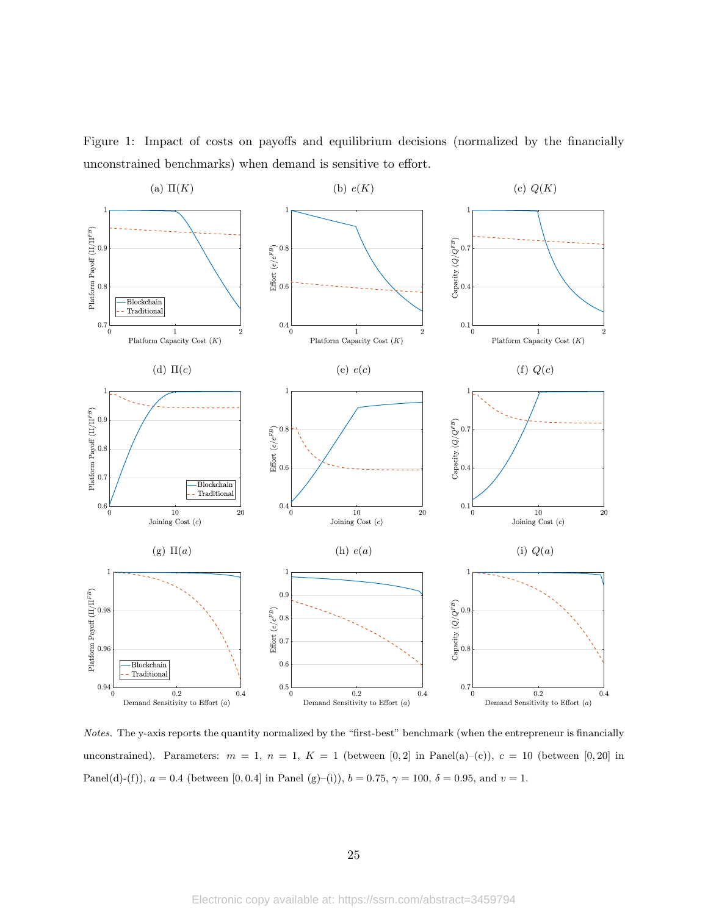

Figure 1: Impact of costs on payoffs and equilibrium decisions (normalized by the financially unconstrained benchmarks) when demand is sensitive to effort.

Notes. The y-axis reports the quantity normalized by the "first-best" benchmark (when the entrepreneur is financially unconstrained). Parameters:  $m = 1, n = 1, K = 1$  (between [0,2] in Panel(a)–(c)),  $c = 10$  (between [0,20] in Panel(d)-(f)),  $a = 0.4$  (between [0, 0.4] in Panel (g)-(i)),  $b = 0.75$ ,  $\gamma = 100$ ,  $\delta = 0.95$ , and  $v = 1$ .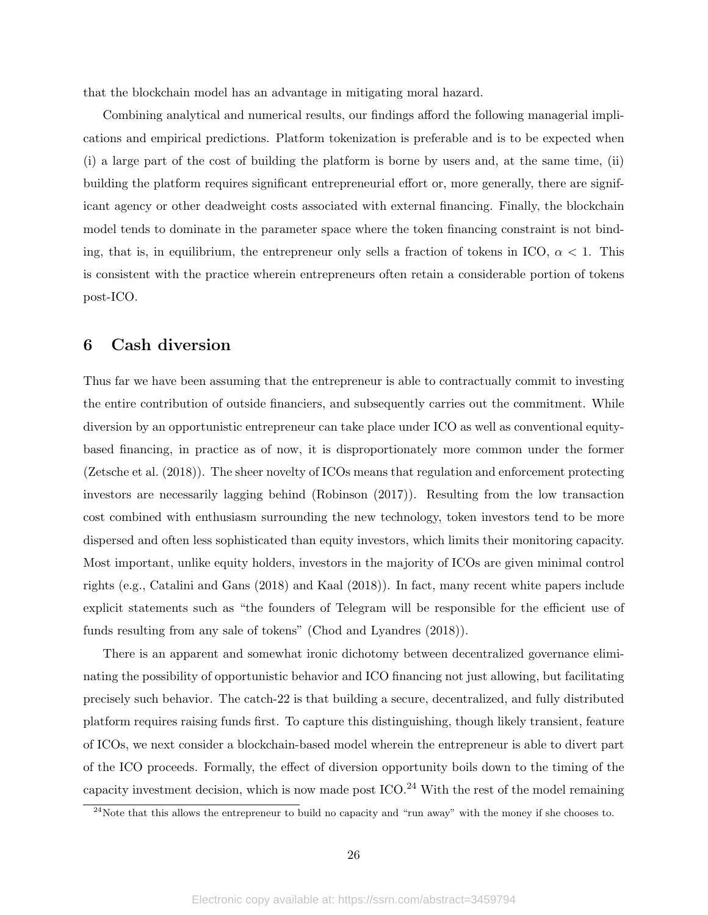that the blockchain model has an advantage in mitigating moral hazard.

Combining analytical and numerical results, our findings afford the following managerial implications and empirical predictions. Platform tokenization is preferable and is to be expected when (i) a large part of the cost of building the platform is borne by users and, at the same time, (ii) building the platform requires significant entrepreneurial effort or, more generally, there are significant agency or other deadweight costs associated with external financing. Finally, the blockchain model tends to dominate in the parameter space where the token financing constraint is not binding, that is, in equilibrium, the entrepreneur only sells a fraction of tokens in ICO,  $\alpha < 1$ . This is consistent with the practice wherein entrepreneurs often retain a considerable portion of tokens post-ICO.

## 6 Cash diversion

Thus far we have been assuming that the entrepreneur is able to contractually commit to investing the entire contribution of outside financiers, and subsequently carries out the commitment. While diversion by an opportunistic entrepreneur can take place under ICO as well as conventional equitybased financing, in practice as of now, it is disproportionately more common under the former (Zetsche et al. (2018)). The sheer novelty of ICOs means that regulation and enforcement protecting investors are necessarily lagging behind (Robinson (2017)). Resulting from the low transaction cost combined with enthusiasm surrounding the new technology, token investors tend to be more dispersed and often less sophisticated than equity investors, which limits their monitoring capacity. Most important, unlike equity holders, investors in the majority of ICOs are given minimal control rights (e.g., Catalini and Gans (2018) and Kaal (2018)). In fact, many recent white papers include explicit statements such as "the founders of Telegram will be responsible for the efficient use of funds resulting from any sale of tokens" (Chod and Lyandres (2018)).

There is an apparent and somewhat ironic dichotomy between decentralized governance eliminating the possibility of opportunistic behavior and ICO financing not just allowing, but facilitating precisely such behavior. The catch-22 is that building a secure, decentralized, and fully distributed platform requires raising funds first. To capture this distinguishing, though likely transient, feature of ICOs, we next consider a blockchain-based model wherein the entrepreneur is able to divert part of the ICO proceeds. Formally, the effect of diversion opportunity boils down to the timing of the capacity investment decision, which is now made post  $\text{ICO.}^{24}$  With the rest of the model remaining

<sup>&</sup>lt;sup>24</sup>Note that this allows the entrepreneur to build no capacity and "run away" with the money if she chooses to.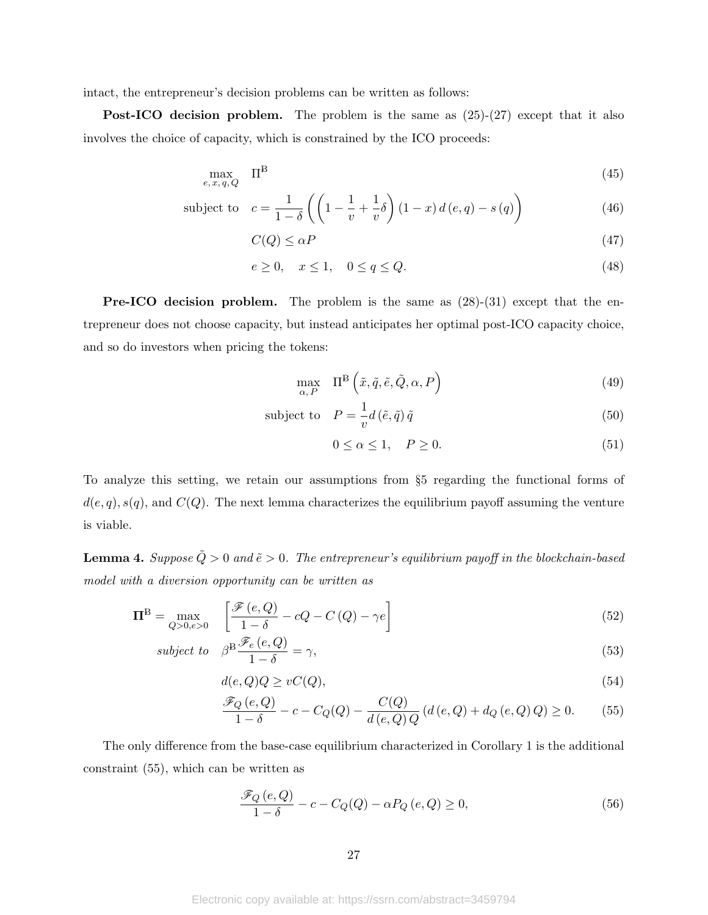intact, the entrepreneur's decision problems can be written as follows:

Post-ICO decision problem. The problem is the same as  $(25)-(27)$  except that it also involves the choice of capacity, which is constrained by the ICO proceeds:

$$
\max_{e,x,q,Q} \quad \Pi^{\mathcal{B}} \tag{45}
$$

subject to 
$$
c = \frac{1}{1-\delta} \left( \left( 1 - \frac{1}{v} + \frac{1}{v} \delta \right) (1-x) d(e,q) - s(q) \right)
$$
(46)

$$
C(Q) \leq \alpha P \tag{47}
$$

$$
e \ge 0, \quad x \le 1, \quad 0 \le q \le Q. \tag{48}
$$

**Pre-ICO decision problem.** The problem is the same as  $(28)-(31)$  except that the entrepreneur does not choose capacity, but instead anticipates her optimal post-ICO capacity choice, and so do investors when pricing the tokens:

$$
\max_{\alpha, P} \quad \Pi^{\mathcal{B}}\left(\tilde{x}, \tilde{q}, \tilde{e}, \tilde{Q}, \alpha, P\right) \tag{49}
$$

subject to 
$$
P = \frac{1}{v} d(\tilde{e}, \tilde{q}) \tilde{q}
$$
 (50)

$$
0 \le \alpha \le 1, \quad P \ge 0. \tag{51}
$$

To analyze this setting, we retain our assumptions from §5 regarding the functional forms of  $d(e, q), s(q)$ , and  $C(Q)$ . The next lemma characterizes the equilibrium payoff assuming the venture is viable.

**Lemma 4.** Suppose  $\tilde{Q} > 0$  and  $\tilde{e} > 0$ . The entrepreneur's equilibrium payoff in the blockchain-based model with a diversion opportunity can be written as

$$
\Pi^{\mathcal{B}} = \max_{Q > 0, e > 0} \quad \left[ \frac{\mathcal{F}(e, Q)}{1 - \delta} - cQ - C\left(Q\right) - \gamma e \right] \tag{52}
$$

subject to 
$$
\beta^{\mathcal{B}} \frac{\mathcal{F}_e(e, Q)}{1 - \delta} = \gamma,
$$
 (53)

$$
d(e,Q)Q \ge vC(Q),\tag{54}
$$

$$
\frac{\mathcal{F}_Q(e,Q)}{1-\delta} - c - C_Q(Q) - \frac{C(Q)}{d(e,Q)Q} (d(e,Q) + d_Q(e,Q)Q) \ge 0.
$$
 (55)

The only difference from the base-case equilibrium characterized in Corollary 1 is the additional constraint (55), which can be written as

$$
\frac{\mathcal{F}_Q(e,Q)}{1-\delta} - c - C_Q(Q) - \alpha P_Q(e,Q) \ge 0,
$$
\n(56)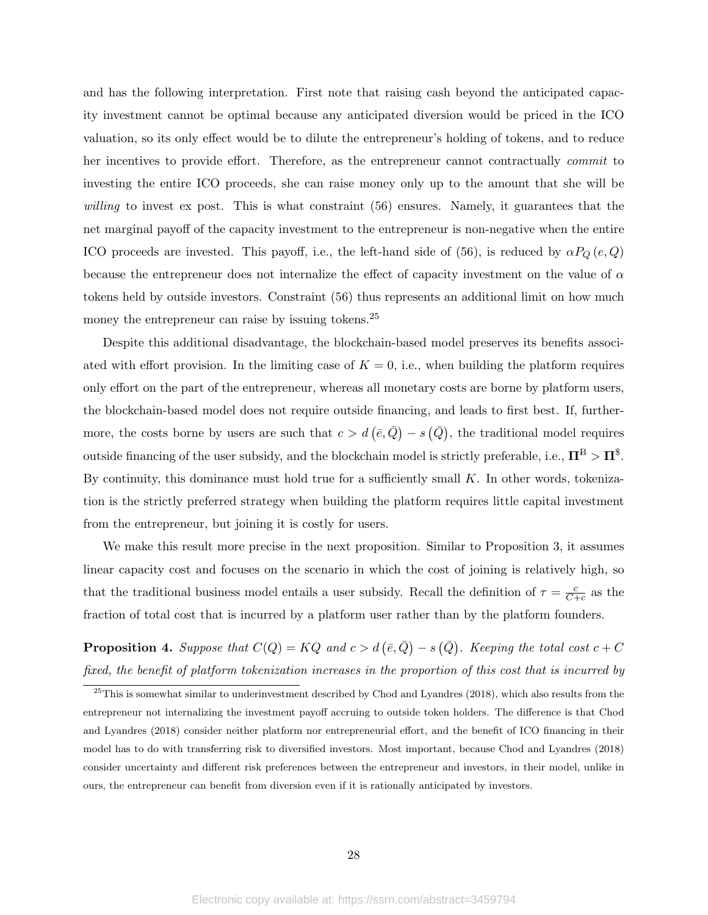and has the following interpretation. First note that raising cash beyond the anticipated capacity investment cannot be optimal because any anticipated diversion would be priced in the ICO valuation, so its only effect would be to dilute the entrepreneur's holding of tokens, and to reduce her incentives to provide effort. Therefore, as the entrepreneur cannot contractually commit to investing the entire ICO proceeds, she can raise money only up to the amount that she will be willing to invest ex post. This is what constraint (56) ensures. Namely, it guarantees that the net marginal payoff of the capacity investment to the entrepreneur is non-negative when the entire ICO proceeds are invested. This payoff, i.e., the left-hand side of (56), is reduced by  $\alpha P_Q(e,Q)$ because the entrepreneur does not internalize the effect of capacity investment on the value of  $\alpha$ tokens held by outside investors. Constraint (56) thus represents an additional limit on how much money the entrepreneur can raise by issuing tokens.<sup>25</sup>

Despite this additional disadvantage, the blockchain-based model preserves its benefits associated with effort provision. In the limiting case of  $K = 0$ , i.e., when building the platform requires only effort on the part of the entrepreneur, whereas all monetary costs are borne by platform users, the blockchain-based model does not require outside financing, and leads to first best. If, furthermore, the costs borne by users are such that  $c > d(\bar{e}, \bar{Q}) - s(\bar{Q})$ , the traditional model requires outside financing of the user subsidy, and the blockchain model is strictly preferable, i.e.,  $\Pi^{\rm B}>\Pi^{\rm \tiny S}.$ By continuity, this dominance must hold true for a sufficiently small  $K$ . In other words, tokenization is the strictly preferred strategy when building the platform requires little capital investment from the entrepreneur, but joining it is costly for users.

We make this result more precise in the next proposition. Similar to Proposition 3, it assumes linear capacity cost and focuses on the scenario in which the cost of joining is relatively high, so that the traditional business model entails a user subsidy. Recall the definition of  $\tau = \frac{c}{C}$  $\frac{c}{C+c}$  as the fraction of total cost that is incurred by a platform user rather than by the platform founders.

**Proposition 4.** Suppose that  $C(Q) = KQ$  and  $c > d\left(\bar{e}, \bar{Q}\right) - s\left(\bar{Q}\right)$ . Keeping the total cost  $c + C$ fixed, the benefit of platform tokenization increases in the proportion of this cost that is incurred by

 $^{25}$ This is somewhat similar to underinvestment described by Chod and Lyandres (2018), which also results from the entrepreneur not internalizing the investment payoff accruing to outside token holders. The difference is that Chod and Lyandres (2018) consider neither platform nor entrepreneurial effort, and the benefit of ICO financing in their model has to do with transferring risk to diversified investors. Most important, because Chod and Lyandres (2018) consider uncertainty and different risk preferences between the entrepreneur and investors, in their model, unlike in ours, the entrepreneur can benefit from diversion even if it is rationally anticipated by investors.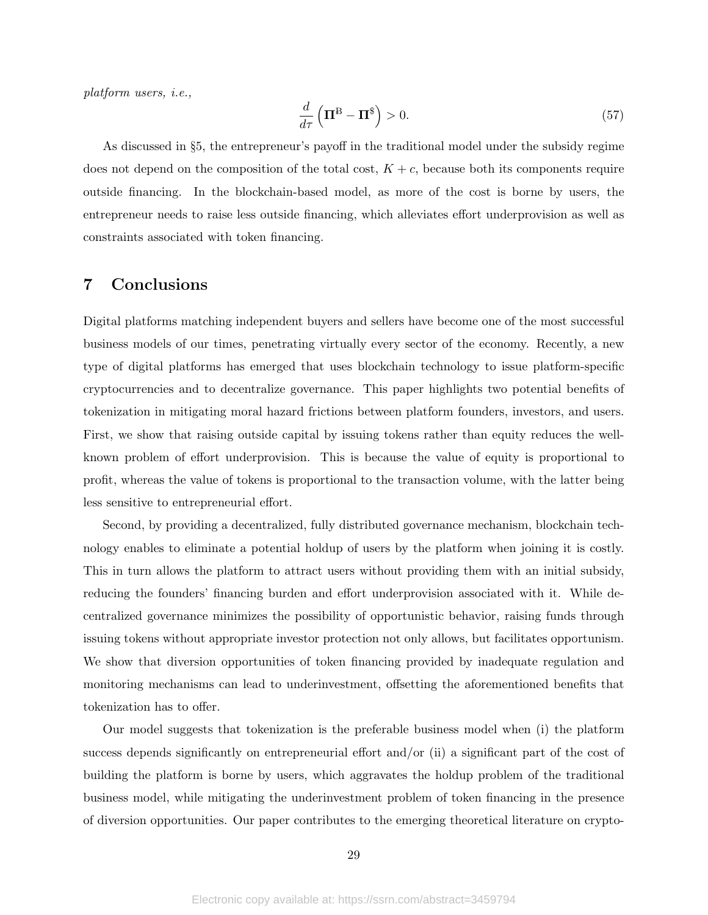platform users, i.e.,

$$
\frac{d}{d\tau} \left( \mathbf{\Pi}^{\mathbf{B}} - \mathbf{\Pi}^{\$} \right) > 0. \tag{57}
$$

As discussed in §5, the entrepreneur's payoff in the traditional model under the subsidy regime does not depend on the composition of the total cost,  $K + c$ , because both its components require outside financing. In the blockchain-based model, as more of the cost is borne by users, the entrepreneur needs to raise less outside financing, which alleviates effort underprovision as well as constraints associated with token financing.

## 7 Conclusions

Digital platforms matching independent buyers and sellers have become one of the most successful business models of our times, penetrating virtually every sector of the economy. Recently, a new type of digital platforms has emerged that uses blockchain technology to issue platform-specific cryptocurrencies and to decentralize governance. This paper highlights two potential benefits of tokenization in mitigating moral hazard frictions between platform founders, investors, and users. First, we show that raising outside capital by issuing tokens rather than equity reduces the wellknown problem of effort underprovision. This is because the value of equity is proportional to profit, whereas the value of tokens is proportional to the transaction volume, with the latter being less sensitive to entrepreneurial effort.

Second, by providing a decentralized, fully distributed governance mechanism, blockchain technology enables to eliminate a potential holdup of users by the platform when joining it is costly. This in turn allows the platform to attract users without providing them with an initial subsidy, reducing the founders' financing burden and effort underprovision associated with it. While decentralized governance minimizes the possibility of opportunistic behavior, raising funds through issuing tokens without appropriate investor protection not only allows, but facilitates opportunism. We show that diversion opportunities of token financing provided by inadequate regulation and monitoring mechanisms can lead to underinvestment, offsetting the aforementioned benefits that tokenization has to offer.

Our model suggests that tokenization is the preferable business model when (i) the platform success depends significantly on entrepreneurial effort and/or (ii) a significant part of the cost of building the platform is borne by users, which aggravates the holdup problem of the traditional business model, while mitigating the underinvestment problem of token financing in the presence of diversion opportunities. Our paper contributes to the emerging theoretical literature on crypto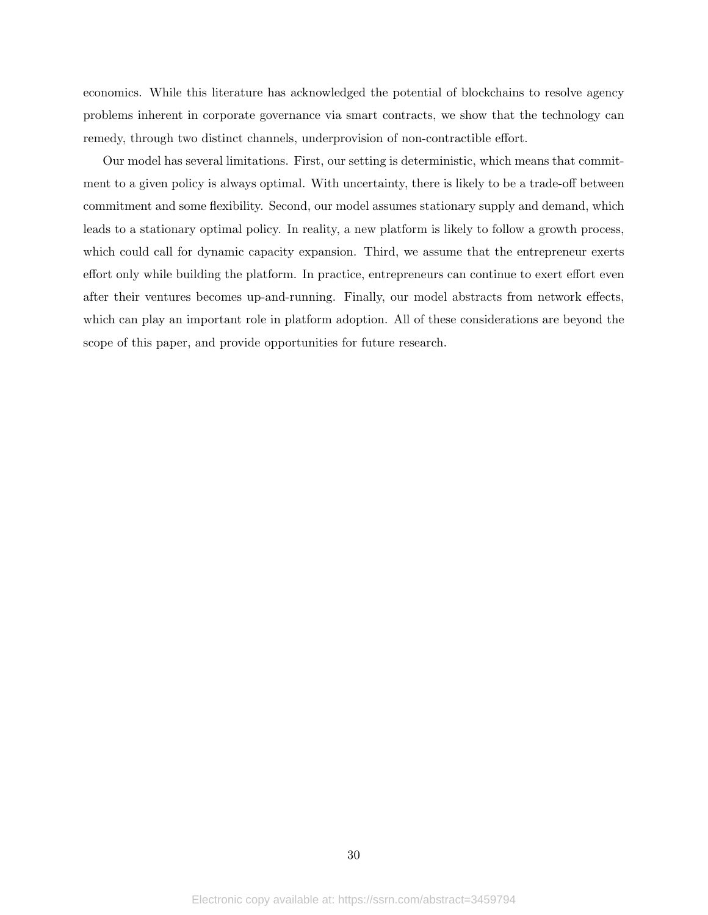economics. While this literature has acknowledged the potential of blockchains to resolve agency problems inherent in corporate governance via smart contracts, we show that the technology can remedy, through two distinct channels, underprovision of non-contractible effort.

Our model has several limitations. First, our setting is deterministic, which means that commitment to a given policy is always optimal. With uncertainty, there is likely to be a trade-off between commitment and some flexibility. Second, our model assumes stationary supply and demand, which leads to a stationary optimal policy. In reality, a new platform is likely to follow a growth process, which could call for dynamic capacity expansion. Third, we assume that the entrepreneur exerts effort only while building the platform. In practice, entrepreneurs can continue to exert effort even after their ventures becomes up-and-running. Finally, our model abstracts from network effects, which can play an important role in platform adoption. All of these considerations are beyond the scope of this paper, and provide opportunities for future research.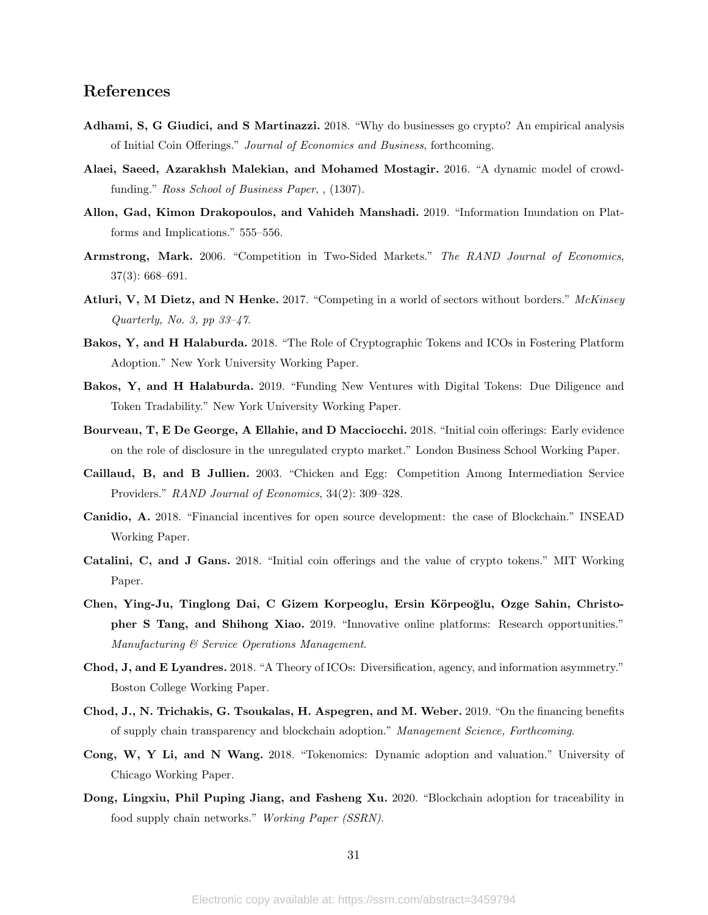## References

- Adhami, S, G Giudici, and S Martinazzi. 2018. "Why do businesses go crypto? An empirical analysis of Initial Coin Offerings." Journal of Economics and Business, forthcoming.
- Alaei, Saeed, Azarakhsh Malekian, and Mohamed Mostagir. 2016. "A dynamic model of crowdfunding." Ross School of Business Paper, , (1307).
- Allon, Gad, Kimon Drakopoulos, and Vahideh Manshadi. 2019. "Information Inundation on Platforms and Implications." 555–556.
- Armstrong, Mark. 2006. "Competition in Two-Sided Markets." The RAND Journal of Economics, 37(3): 668–691.
- Atluri, V, M Dietz, and N Henke. 2017. "Competing in a world of sectors without borders." McKinsey Quarterly, No. 3, pp 33–47.
- Bakos, Y, and H Halaburda. 2018. "The Role of Cryptographic Tokens and ICOs in Fostering Platform Adoption." New York University Working Paper.
- Bakos, Y, and H Halaburda. 2019. "Funding New Ventures with Digital Tokens: Due Diligence and Token Tradability." New York University Working Paper.
- Bourveau, T, E De George, A Ellahie, and D Macciocchi. 2018. "Initial coin offerings: Early evidence on the role of disclosure in the unregulated crypto market." London Business School Working Paper.
- Caillaud, B, and B Jullien. 2003. "Chicken and Egg: Competition Among Intermediation Service Providers." RAND Journal of Economics, 34(2): 309–328.
- Canidio, A. 2018. "Financial incentives for open source development: the case of Blockchain." INSEAD Working Paper.
- Catalini, C, and J Gans. 2018. "Initial coin offerings and the value of crypto tokens." MIT Working Paper.
- Chen, Ying-Ju, Tinglong Dai, C Gizem Korpeoglu, Ersin Körpeoğlu, Ozge Sahin, Christopher S Tang, and Shihong Xiao. 2019. "Innovative online platforms: Research opportunities." Manufacturing & Service Operations Management.
- Chod, J, and E Lyandres. 2018. "A Theory of ICOs: Diversification, agency, and information asymmetry." Boston College Working Paper.
- Chod, J., N. Trichakis, G. Tsoukalas, H. Aspegren, and M. Weber. 2019. "On the financing benefits of supply chain transparency and blockchain adoption." Management Science, Forthcoming.
- Cong, W, Y Li, and N Wang. 2018. "Tokenomics: Dynamic adoption and valuation." University of Chicago Working Paper.
- Dong, Lingxiu, Phil Puping Jiang, and Fasheng Xu. 2020. "Blockchain adoption for traceability in food supply chain networks." Working Paper (SSRN).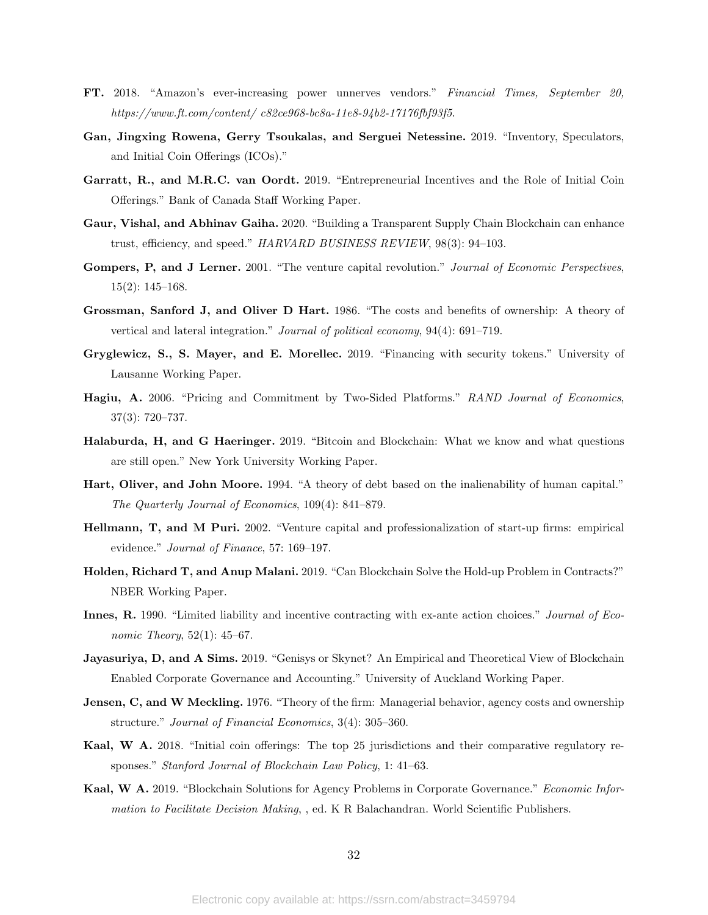- FT. 2018. "Amazon's ever-increasing power unnerves vendors." Financial Times, September 20, https://www.ft.com/content/ c82ce968-bc8a-11e8-94b2-17176fbf93f5.
- Gan, Jingxing Rowena, Gerry Tsoukalas, and Serguei Netessine. 2019. "Inventory, Speculators, and Initial Coin Offerings (ICOs)."
- Garratt, R., and M.R.C. van Oordt. 2019. "Entrepreneurial Incentives and the Role of Initial Coin Offerings." Bank of Canada Staff Working Paper.
- Gaur, Vishal, and Abhinav Gaiha. 2020. "Building a Transparent Supply Chain Blockchain can enhance trust, efficiency, and speed." HARVARD BUSINESS REVIEW, 98(3): 94–103.
- Gompers, P, and J Lerner. 2001. "The venture capital revolution." Journal of Economic Perspectives, 15(2): 145–168.
- Grossman, Sanford J, and Oliver D Hart. 1986. "The costs and benefits of ownership: A theory of vertical and lateral integration." *Journal of political economy*,  $94(4)$ :  $691-719$ .
- Gryglewicz, S., S. Mayer, and E. Morellec. 2019. "Financing with security tokens." University of Lausanne Working Paper.
- Hagiu, A. 2006. "Pricing and Commitment by Two-Sided Platforms." RAND Journal of Economics, 37(3): 720–737.
- Halaburda, H, and G Haeringer. 2019. "Bitcoin and Blockchain: What we know and what questions are still open." New York University Working Paper.
- Hart, Oliver, and John Moore. 1994. "A theory of debt based on the inalienability of human capital." The Quarterly Journal of Economics, 109(4): 841–879.
- Hellmann, T, and M Puri. 2002. "Venture capital and professionalization of start-up firms: empirical evidence." Journal of Finance, 57: 169-197.
- Holden, Richard T, and Anup Malani. 2019. "Can Blockchain Solve the Hold-up Problem in Contracts?" NBER Working Paper.
- Innes, R. 1990. "Limited liability and incentive contracting with ex-ante action choices." Journal of Economic Theory, 52(1): 45–67.
- Jayasuriya, D, and A Sims. 2019. "Genisys or Skynet? An Empirical and Theoretical View of Blockchain Enabled Corporate Governance and Accounting." University of Auckland Working Paper.
- Jensen, C, and W Meckling. 1976. "Theory of the firm: Managerial behavior, agency costs and ownership structure." Journal of Financial Economics, 3(4): 305-360.
- Kaal, W A. 2018. "Initial coin offerings: The top 25 jurisdictions and their comparative regulatory responses." Stanford Journal of Blockchain Law Policy, 1: 41–63.
- Kaal, W A. 2019. "Blockchain Solutions for Agency Problems in Corporate Governance." Economic Information to Facilitate Decision Making, , ed. K R Balachandran. World Scientific Publishers.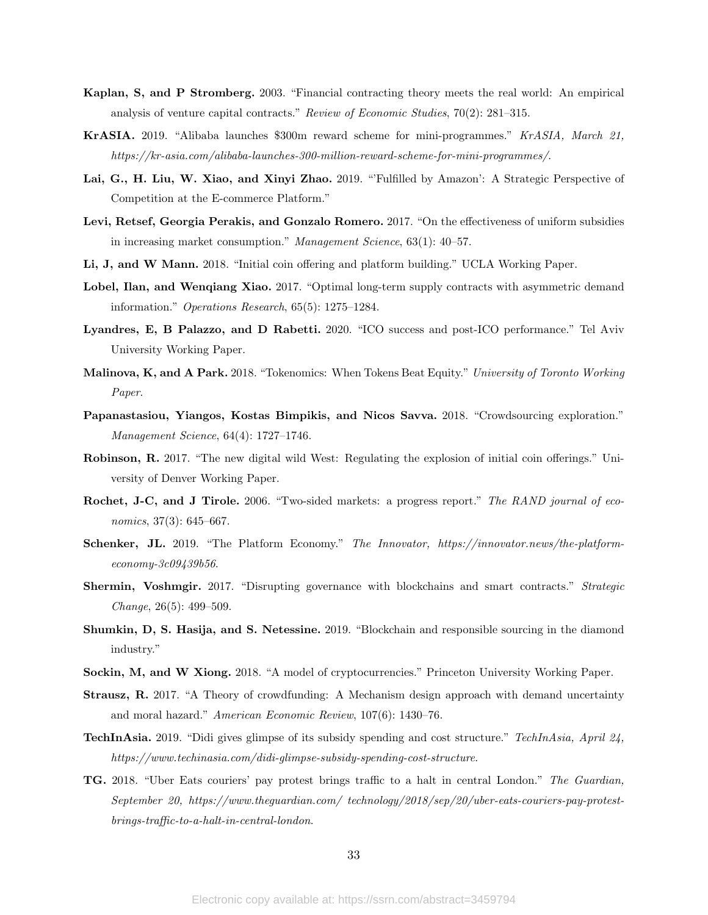- Kaplan, S, and P Stromberg. 2003. "Financial contracting theory meets the real world: An empirical analysis of venture capital contracts." Review of Economic Studies, 70(2): 281–315.
- KrASIA. 2019. "Alibaba launches \$300m reward scheme for mini-programmes." KrASIA, March 21, https://kr-asia.com/alibaba-launches-300-million-reward-scheme-for-mini-programmes/.
- Lai, G., H. Liu, W. Xiao, and Xinyi Zhao. 2019. "'Fulfilled by Amazon': A Strategic Perspective of Competition at the E-commerce Platform."
- Levi, Retsef, Georgia Perakis, and Gonzalo Romero. 2017. "On the effectiveness of uniform subsidies in increasing market consumption." Management Science, 63(1): 40–57.
- Li, J, and W Mann. 2018. "Initial coin offering and platform building." UCLA Working Paper.
- Lobel, Ilan, and Wengiang Xiao. 2017. "Optimal long-term supply contracts with asymmetric demand information." Operations Research, 65(5): 1275–1284.
- Lyandres, E, B Palazzo, and D Rabetti. 2020. "ICO success and post-ICO performance." Tel Aviv University Working Paper.
- Malinova, K, and A Park. 2018. "Tokenomics: When Tokens Beat Equity." University of Toronto Working Paper.
- Papanastasiou, Yiangos, Kostas Bimpikis, and Nicos Savva. 2018. "Crowdsourcing exploration." Management Science, 64(4): 1727–1746.
- Robinson, R. 2017. "The new digital wild West: Regulating the explosion of initial coin offerings." University of Denver Working Paper.
- Rochet, J-C, and J Tirole. 2006. "Two-sided markets: a progress report." The RAND journal of economics, 37(3): 645–667.
- Schenker, JL. 2019. "The Platform Economy." The Innovator, https://innovator.news/the-platformeconomy-3c09439b56.
- Shermin, Voshmgir. 2017. "Disrupting governance with blockchains and smart contracts." Strategic Change, 26(5): 499–509.
- Shumkin, D, S. Hasija, and S. Netessine. 2019. "Blockchain and responsible sourcing in the diamond industry."
- Sockin, M, and W Xiong. 2018. "A model of cryptocurrencies." Princeton University Working Paper.
- Strausz, R. 2017. "A Theory of crowdfunding: A Mechanism design approach with demand uncertainty and moral hazard." American Economic Review, 107(6): 1430–76.
- TechInAsia. 2019. "Didi gives glimpse of its subsidy spending and cost structure." TechInAsia, April 24, https://www.techinasia.com/didi-glimpse-subsidy-spending-cost-structure.
- TG. 2018. "Uber Eats couriers' pay protest brings traffic to a halt in central London." The Guardian, September 20, https://www.theguardian.com/ technology/2018/sep/20/uber-eats-couriers-pay-protestbrings-traffic-to-a-halt-in-central-london.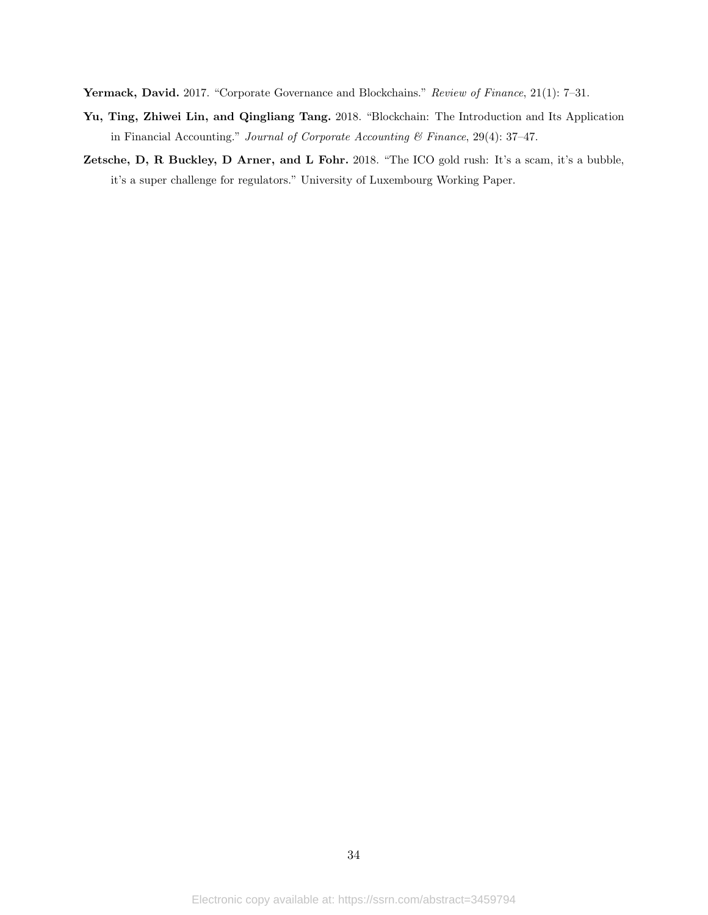Yermack, David. 2017. "Corporate Governance and Blockchains." Review of Finance, 21(1): 7-31.

- Yu, Ting, Zhiwei Lin, and Qingliang Tang. 2018. "Blockchain: The Introduction and Its Application in Financial Accounting." Journal of Corporate Accounting & Finance, 29(4): 37–47.
- Zetsche, D, R Buckley, D Arner, and L Fohr. 2018. "The ICO gold rush: It's a scam, it's a bubble, it's a super challenge for regulators." University of Luxembourg Working Paper.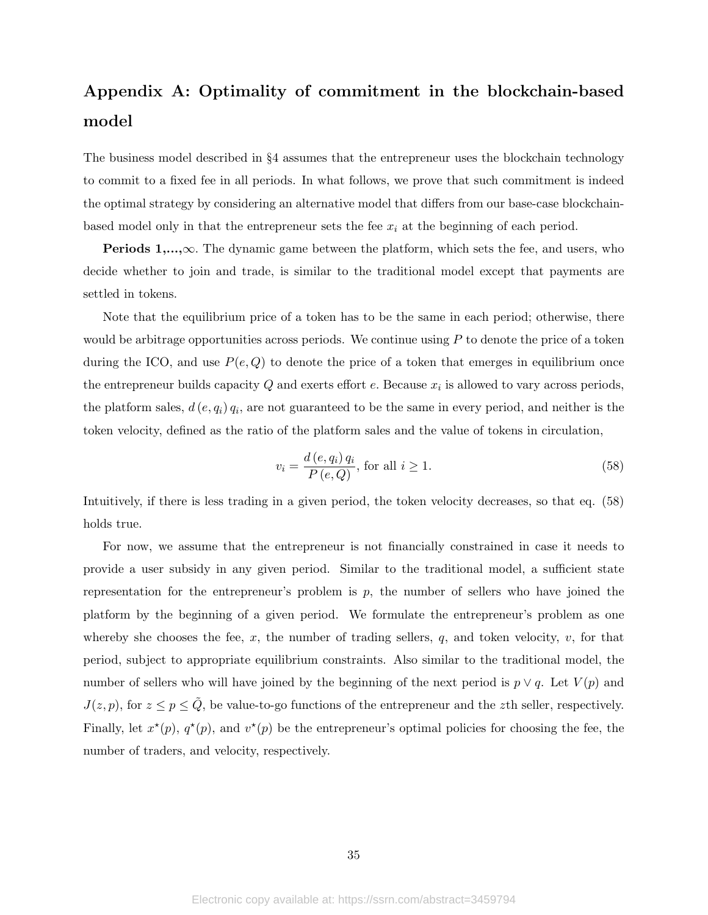# Appendix A: Optimality of commitment in the blockchain-based model

The business model described in §4 assumes that the entrepreneur uses the blockchain technology to commit to a fixed fee in all periods. In what follows, we prove that such commitment is indeed the optimal strategy by considering an alternative model that differs from our base-case blockchainbased model only in that the entrepreneur sets the fee  $x_i$  at the beginning of each period.

**Periods 1,...,** $\infty$ . The dynamic game between the platform, which sets the fee, and users, who decide whether to join and trade, is similar to the traditional model except that payments are settled in tokens.

Note that the equilibrium price of a token has to be the same in each period; otherwise, there would be arbitrage opportunities across periods. We continue using  $P$  to denote the price of a token during the ICO, and use  $P(e, Q)$  to denote the price of a token that emerges in equilibrium once the entrepreneur builds capacity  $Q$  and exerts effort  $e$ . Because  $x_i$  is allowed to vary across periods, the platform sales,  $d(e, q_i)$   $q_i$ , are not guaranteed to be the same in every period, and neither is the token velocity, defined as the ratio of the platform sales and the value of tokens in circulation,

$$
v_i = \frac{d(e, q_i) q_i}{P(e, Q)}, \text{ for all } i \ge 1.
$$
 (58)

Intuitively, if there is less trading in a given period, the token velocity decreases, so that eq. (58) holds true.

For now, we assume that the entrepreneur is not financially constrained in case it needs to provide a user subsidy in any given period. Similar to the traditional model, a sufficient state representation for the entrepreneur's problem is  $p$ , the number of sellers who have joined the platform by the beginning of a given period. We formulate the entrepreneur's problem as one whereby she chooses the fee, x, the number of trading sellers,  $q$ , and token velocity,  $v$ , for that period, subject to appropriate equilibrium constraints. Also similar to the traditional model, the number of sellers who will have joined by the beginning of the next period is  $p \vee q$ . Let  $V(p)$  and  $J(z, p)$ , for  $z \le p \le \tilde{Q}$ , be value-to-go functions of the entrepreneur and the zth seller, respectively. Finally, let  $x^*(p)$ ,  $q^*(p)$ , and  $v^*(p)$  be the entrepreneur's optimal policies for choosing the fee, the number of traders, and velocity, respectively.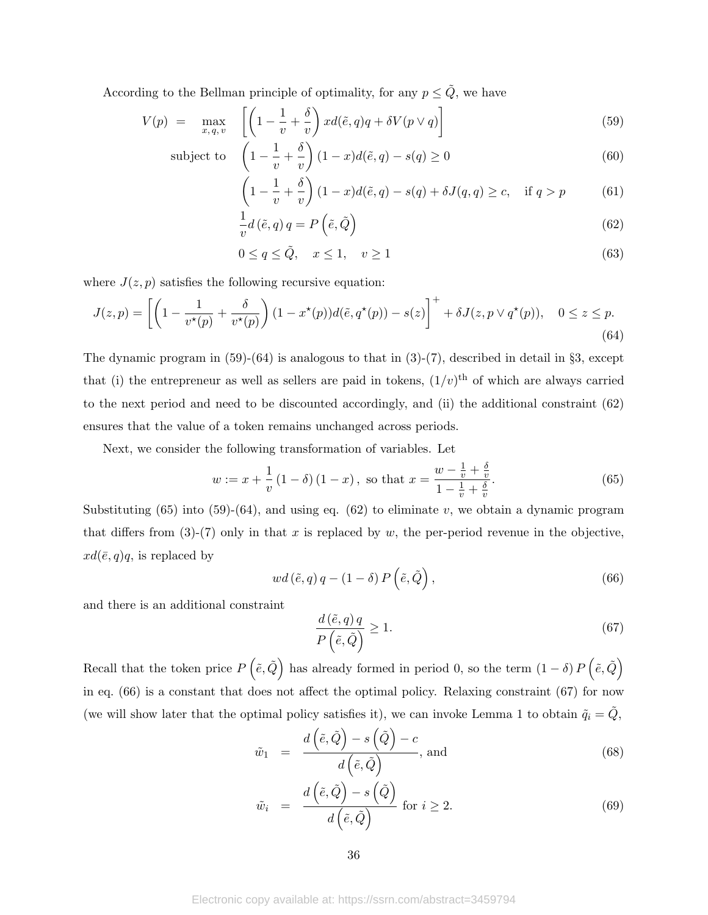According to the Bellman principle of optimality, for any  $p \leq \tilde{Q}$ , we have

$$
V(p) = \max_{x, q, v} \left[ \left( 1 - \frac{1}{v} + \frac{\delta}{v} \right) x d(\tilde{e}, q) q + \delta V(p \vee q) \right]
$$
(59)

subject to 
$$
\left(1 - \frac{1}{v} + \frac{\delta}{v}\right)(1 - x)d(\tilde{e}, q) - s(q) \ge 0
$$
 (60)

$$
\left(1 - \frac{1}{v} + \frac{\delta}{v}\right)(1 - x)d(\tilde{e}, q) - s(q) + \delta J(q, q) \ge c, \quad \text{if } q > p \tag{61}
$$

$$
\frac{1}{v}d\left(\tilde{e},q\right)q = P\left(\tilde{e},\tilde{Q}\right)
$$
\n(62)

$$
0 \le q \le \tilde{Q}, \quad x \le 1, \quad v \ge 1 \tag{63}
$$

where  $J(z, p)$  satisfies the following recursive equation:

$$
J(z,p) = \left[ \left( 1 - \frac{1}{v^\star(p)} + \frac{\delta}{v^\star(p)} \right) (1 - x^\star(p)) d(\tilde{e}, q^\star(p)) - s(z) \right]^+ + \delta J(z, p \vee q^\star(p)), \quad 0 \le z \le p. \tag{64}
$$

The dynamic program in  $(59)-(64)$  is analogous to that in  $(3)-(7)$ , described in detail in §3, except that (i) the entrepreneur as well as sellers are paid in tokens,  $(1/v)^{th}$  of which are always carried to the next period and need to be discounted accordingly, and (ii) the additional constraint (62) ensures that the value of a token remains unchanged across periods.

Next, we consider the following transformation of variables. Let

$$
w := x + \frac{1}{v} \left( 1 - \delta \right) \left( 1 - x \right), \text{ so that } x = \frac{w - \frac{1}{v} + \frac{\delta}{v}}{1 - \frac{1}{v} + \frac{\delta}{v}}. \tag{65}
$$

Substituting (65) into (59)-(64), and using eq. (62) to eliminate v, we obtain a dynamic program that differs from  $(3)-(7)$  only in that x is replaced by w, the per-period revenue in the objective,  $xd(\bar{e}, q)q$ , is replaced by

$$
wd(\tilde{e}, q)q - (1 - \delta) P(\tilde{e}, \tilde{Q}), \qquad (66)
$$

and there is an additional constraint

$$
\frac{d(\tilde{e}, q)q}{P(\tilde{e}, \tilde{Q})} \ge 1.
$$
\n(67)

Recall that the token price  $P(\tilde{e}, \tilde{Q})$  has already formed in period 0, so the term  $(1 - \delta) P(\tilde{e}, \tilde{Q})$ in eq. (66) is a constant that does not affect the optimal policy. Relaxing constraint (67) for now (we will show later that the optimal policy satisfies it), we can invoke Lemma 1 to obtain  $\tilde{q}_i = \tilde{Q}$ ,

$$
\tilde{w}_1 = \frac{d(\tilde{e}, \tilde{Q}) - s(\tilde{Q}) - c}{d(\tilde{e}, \tilde{Q})}, \text{ and}
$$
\n(68)

$$
\tilde{w}_i = \frac{d(\tilde{e}, \tilde{Q}) - s(\tilde{Q})}{d(\tilde{e}, \tilde{Q})} \text{ for } i \ge 2.
$$
\n(69)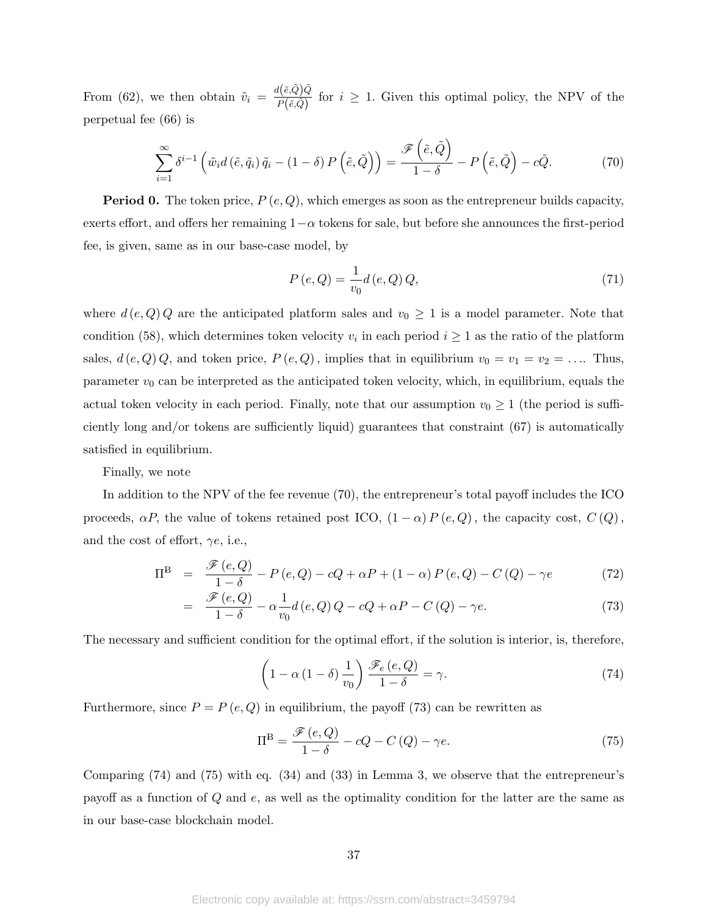From (62), we then obtain  $\tilde{v}_i = \frac{d(\tilde{e}, \tilde{Q})\tilde{Q}}{P(\tilde{e}, \tilde{Q})}$  $\frac{P(\overline{e},\overline{Q})\overline{Q}}{P(\tilde{e},\tilde{Q})}$  for  $i \geq 1$ . Given this optimal policy, the NPV of the perpetual fee (66) is

$$
\sum_{i=1}^{\infty} \delta^{i-1} \left( \tilde{w}_i d \left( \tilde{e}, \tilde{q}_i \right) \tilde{q}_i - (1 - \delta) P \left( \tilde{e}, \tilde{Q} \right) \right) = \frac{\mathscr{F} \left( \tilde{e}, \tilde{Q} \right)}{1 - \delta} - P \left( \tilde{e}, \tilde{Q} \right) - c \tilde{Q}.
$$
 (70)

**Period 0.** The token price,  $P(e,Q)$ , which emerges as soon as the entrepreneur builds capacity, exerts effort, and offers her remaining  $1-\alpha$  tokens for sale, but before she announces the first-period fee, is given, same as in our base-case model, by

$$
P(e,Q) = \frac{1}{v_0} d(e,Q) Q,
$$
\n(71)

where  $d(e, Q)$  are the anticipated platform sales and  $v_0 \geq 1$  is a model parameter. Note that condition (58), which determines token velocity  $v_i$  in each period  $i \geq 1$  as the ratio of the platform sales,  $d(e, Q)$ , and token price,  $P(e, Q)$ , implies that in equilibrium  $v_0 = v_1 = v_2 = \dots$  Thus, parameter  $v_0$  can be interpreted as the anticipated token velocity, which, in equilibrium, equals the actual token velocity in each period. Finally, note that our assumption  $v_0 \geq 1$  (the period is sufficiently long and/or tokens are sufficiently liquid) guarantees that constraint (67) is automatically satisfied in equilibrium.

Finally, we note

In addition to the NPV of the fee revenue (70), the entrepreneur's total payoff includes the ICO proceeds,  $\alpha P$ , the value of tokens retained post ICO,  $(1 - \alpha) P(e, Q)$ , the capacity cost,  $C(Q)$ , and the cost of effort,  $\gamma e$ , i.e.,

$$
\Pi^{\mathcal{B}} = \frac{\mathcal{F}(e, Q)}{1 - \delta} - P(e, Q) - cQ + \alpha P + (1 - \alpha) P(e, Q) - C(Q) - \gamma e \tag{72}
$$

$$
= \frac{\mathscr{F}(e,Q)}{1-\delta} - \alpha \frac{1}{v_0} d(e,Q) Q - cQ + \alpha P - C(Q) - \gamma e. \tag{73}
$$

The necessary and sufficient condition for the optimal effort, if the solution is interior, is, therefore,

$$
\left(1 - \alpha \left(1 - \delta\right) \frac{1}{v_0}\right) \frac{\mathscr{F}_e(e, Q)}{1 - \delta} = \gamma.
$$
\n(74)

Furthermore, since  $P = P(e, Q)$  in equilibrium, the payoff (73) can be rewritten as

$$
\Pi^{\mathcal{B}} = \frac{\mathcal{F}(e, Q)}{1 - \delta} - cQ - C\left(Q\right) - \gamma e. \tag{75}
$$

Comparing (74) and (75) with eq. (34) and (33) in Lemma 3, we observe that the entrepreneur's payoff as a function of Q and e, as well as the optimality condition for the latter are the same as in our base-case blockchain model.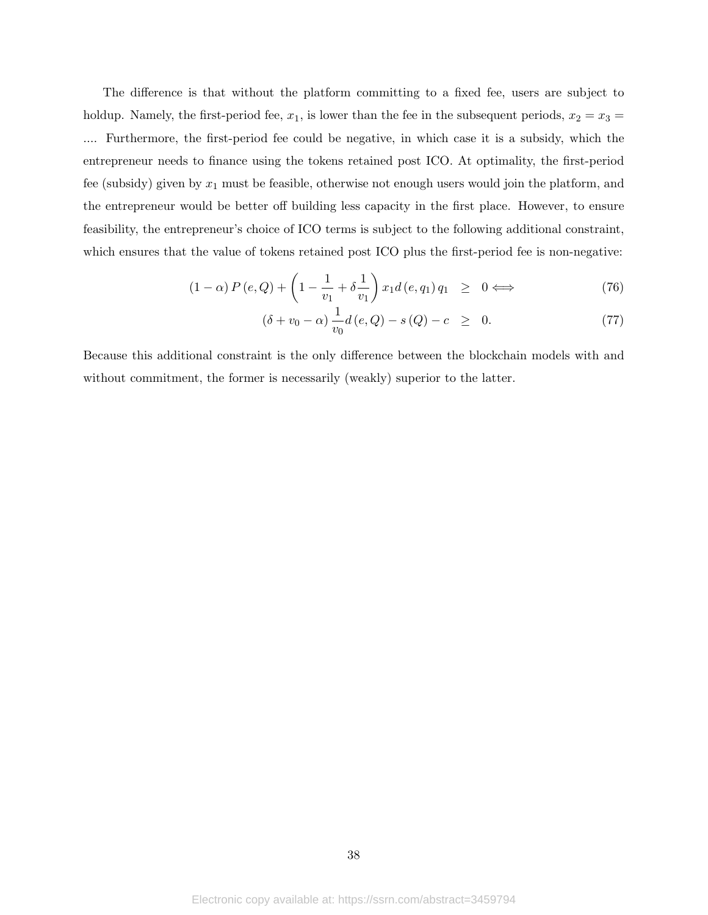The difference is that without the platform committing to a fixed fee, users are subject to holdup. Namely, the first-period fee,  $x_1$ , is lower than the fee in the subsequent periods,  $x_2 = x_3 =$ .... Furthermore, the first-period fee could be negative, in which case it is a subsidy, which the entrepreneur needs to finance using the tokens retained post ICO. At optimality, the first-period fee (subsidy) given by  $x_1$  must be feasible, otherwise not enough users would join the platform, and the entrepreneur would be better off building less capacity in the first place. However, to ensure feasibility, the entrepreneur's choice of ICO terms is subject to the following additional constraint, which ensures that the value of tokens retained post ICO plus the first-period fee is non-negative:

$$
(1 - \alpha) P(e, Q) + \left(1 - \frac{1}{v_1} + \delta \frac{1}{v_1}\right) x_1 d(e, q_1) q_1 \geq 0 \Longleftrightarrow \tag{76}
$$

$$
(\delta + v_0 - \alpha) \frac{1}{v_0} d(e, Q) - s(Q) - c \geq 0.
$$
 (77)

Because this additional constraint is the only difference between the blockchain models with and without commitment, the former is necessarily (weakly) superior to the latter.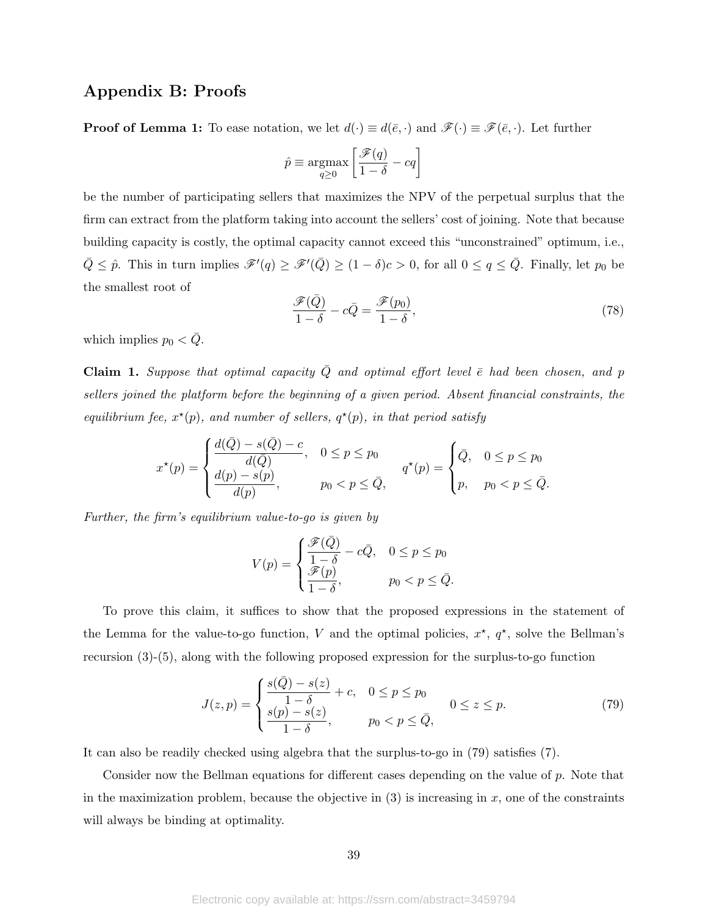## Appendix B: Proofs

**Proof of Lemma 1:** To ease notation, we let  $d(\cdot) \equiv d(\bar{e}, \cdot)$  and  $\mathscr{F}(\cdot) \equiv \mathscr{F}(\bar{e}, \cdot)$ . Let further

$$
\hat{p} \equiv \operatornamewithlimits{argmax}_{q \geq 0} \left[ \frac{\mathscr{F}(q)}{1-\delta} - cq \right]
$$

be the number of participating sellers that maximizes the NPV of the perpetual surplus that the firm can extract from the platform taking into account the sellers' cost of joining. Note that because building capacity is costly, the optimal capacity cannot exceed this "unconstrained" optimum, i.e.,  $\overline{Q} \leq \hat{p}$ . This in turn implies  $\mathscr{F}'(q) \geq \mathscr{F}'(\overline{Q}) \geq (1 - \delta)c > 0$ , for all  $0 \leq q \leq \overline{Q}$ . Finally, let  $p_0$  be the smallest root of

$$
\frac{\mathcal{F}(\bar{Q})}{1-\delta} - c\bar{Q} = \frac{\mathcal{F}(p_0)}{1-\delta},\tag{78}
$$

which implies  $p_0 < \bar{Q}$ .

Claim 1. Suppose that optimal capacity  $\overline{Q}$  and optimal effort level  $\overline{e}$  had been chosen, and p sellers joined the platform before the beginning of a given period. Absent financial constraints, the equilibrium fee,  $x^*(p)$ , and number of sellers,  $q^*(p)$ , in that period satisfy

$$
x^{\star}(p) = \begin{cases} \frac{d(\bar{Q}) - s(\bar{Q}) - c}{d(\bar{Q})}, & 0 \le p \le p_0 \\ \frac{d(p) - s(p)}{d(p)}, & p_0 < p \le \bar{Q}, \end{cases} \qquad q^{\star}(p) = \begin{cases} \bar{Q}, & 0 \le p \le p_0 \\ p, & p_0 < p \le \bar{Q}. \end{cases}
$$

Further, the firm's equilibrium value-to-go is given by

$$
V(p) = \begin{cases} \frac{\mathscr{F}(\bar{Q})}{1-\delta} - c\bar{Q}, & 0 \le p \le p_0 \\ \frac{\mathscr{F}(p)}{1-\delta}, & p_0 < p \le \bar{Q}. \end{cases}
$$

To prove this claim, it suffices to show that the proposed expressions in the statement of the Lemma for the value-to-go function, V and the optimal policies,  $x^*$ ,  $q^*$ , solve the Bellman's recursion (3)-(5), along with the following proposed expression for the surplus-to-go function

$$
J(z,p) = \begin{cases} \frac{s(\bar{Q}) - s(z)}{1 - \delta} + c, & 0 \le p \le p_0 \\ \frac{s(p) - s(z)}{1 - \delta}, & p_0 < p \le \bar{Q}, \end{cases} \qquad (79)
$$

It can also be readily checked using algebra that the surplus-to-go in (79) satisfies (7).

Consider now the Bellman equations for different cases depending on the value of p. Note that in the maximization problem, because the objective in  $(3)$  is increasing in x, one of the constraints will always be binding at optimality.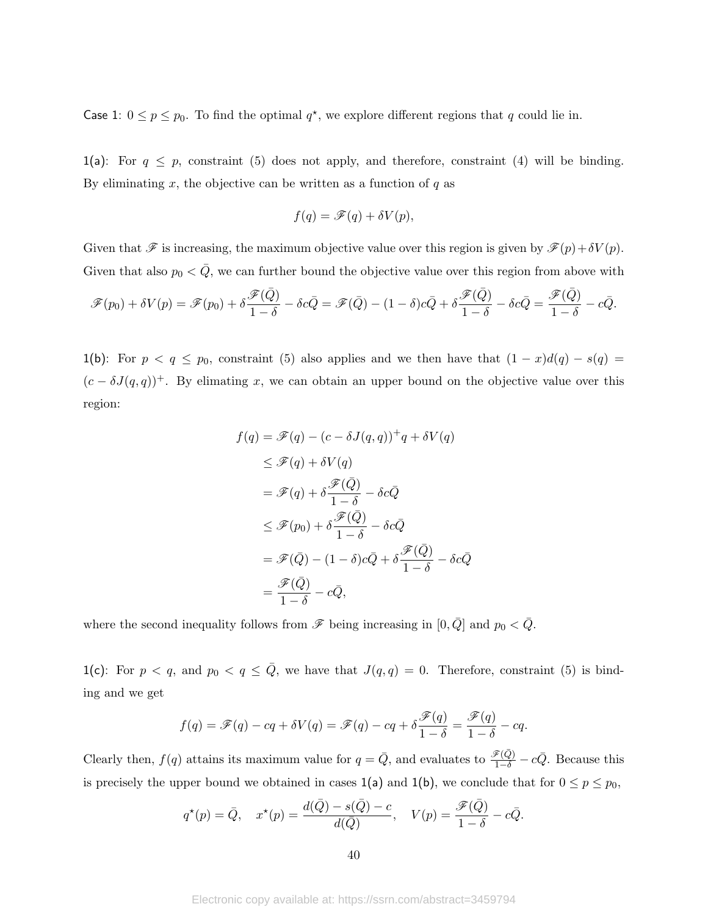Case 1:  $0 \le p \le p_0$ . To find the optimal  $q^*$ , we explore different regions that q could lie in.

1(a): For  $q \leq p$ , constraint (5) does not apply, and therefore, constraint (4) will be binding. By eliminating  $x$ , the objective can be written as a function of  $q$  as

$$
f(q) = \mathscr{F}(q) + \delta V(p),
$$

Given that  $\mathscr{F}$  is increasing, the maximum objective value over this region is given by  $\mathscr{F}(p)+\delta V(p)$ . Given that also  $p_0 < \overline{Q}$ , we can further bound the objective value over this region from above with

$$
\mathscr{F}(p_0) + \delta V(p) = \mathscr{F}(p_0) + \delta \frac{\mathscr{F}(\bar{Q})}{1 - \delta} - \delta c \bar{Q} = \mathscr{F}(\bar{Q}) - (1 - \delta)c\bar{Q} + \delta \frac{\mathscr{F}(\bar{Q})}{1 - \delta} - \delta c \bar{Q} = \frac{\mathscr{F}(\bar{Q})}{1 - \delta} - c\bar{Q}.
$$

1(b): For  $p < q \le p_0$ , constraint (5) also applies and we then have that  $(1 - x)d(q) - s(q) =$  $(c - \delta J(q,q))^+$ . By elimating x, we can obtain an upper bound on the objective value over this region:

$$
f(q) = \mathscr{F}(q) - (c - \delta J(q, q)) + q + \delta V(q)
$$
  
\n
$$
\leq \mathscr{F}(q) + \delta V(q)
$$
  
\n
$$
= \mathscr{F}(q) + \delta \frac{\mathscr{F}(\bar{Q})}{1 - \delta} - \delta c \bar{Q}
$$
  
\n
$$
\leq \mathscr{F}(p_0) + \delta \frac{\mathscr{F}(\bar{Q})}{1 - \delta} - \delta c \bar{Q}
$$
  
\n
$$
= \mathscr{F}(\bar{Q}) - (1 - \delta) c \bar{Q} + \delta \frac{\mathscr{F}(\bar{Q})}{1 - \delta} - \delta c \bar{Q}
$$
  
\n
$$
= \frac{\mathscr{F}(\bar{Q})}{1 - \delta} - c \bar{Q},
$$

where the second inequality follows from  $\mathscr F$  being increasing in  $[0, \overline{Q}]$  and  $p_0 < \overline{Q}$ .

1(c): For  $p < q$ , and  $p_0 < q \le \overline{Q}$ , we have that  $J(q,q) = 0$ . Therefore, constraint (5) is binding and we get

$$
f(q) = \mathscr{F}(q) - cq + \delta V(q) = \mathscr{F}(q) - cq + \delta \frac{\mathscr{F}(q)}{1 - \delta} = \frac{\mathscr{F}(q)}{1 - \delta} - cq.
$$

Clearly then,  $f(q)$  attains its maximum value for  $q = \overline{Q}$ , and evaluates to  $\frac{\mathscr{F}(\overline{Q})}{1-\delta} - c\overline{Q}$ . Because this is precisely the upper bound we obtained in cases  $1(a)$  and  $1(b)$ , we conclude that for  $0 \le p \le p_0$ ,

$$
q^{\star}(p) = \bar{Q}, \quad x^{\star}(p) = \frac{d(\bar{Q}) - s(\bar{Q}) - c}{d(\bar{Q})}, \quad V(p) = \frac{\mathscr{F}(\bar{Q})}{1 - \delta} - c\bar{Q}.
$$

Electronic copy available at: https://ssrn.com/abstract=3459794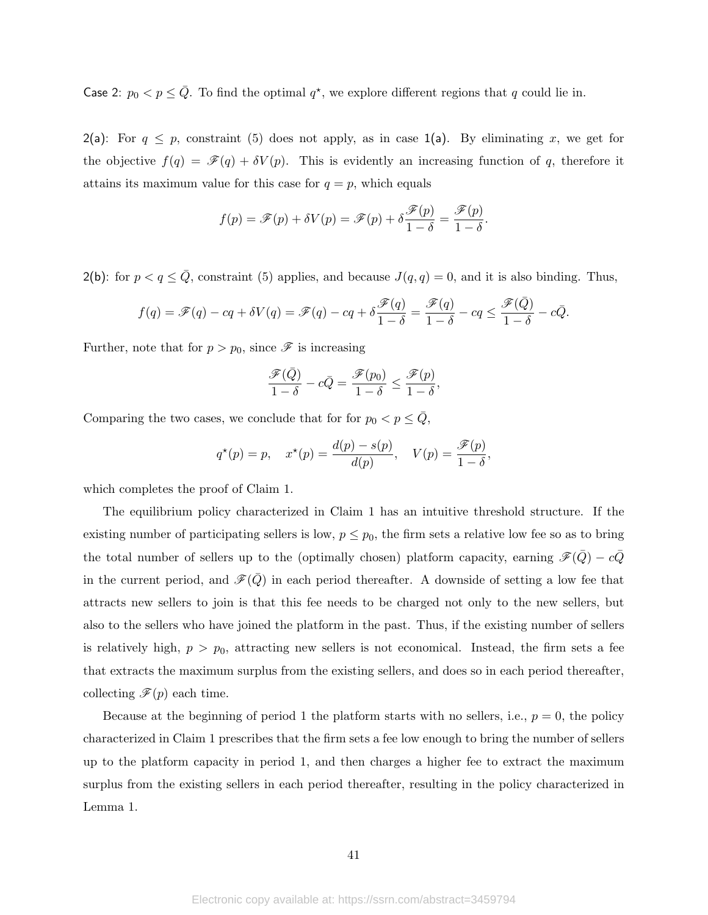Case 2:  $p_0 < p \le \overline{Q}$ . To find the optimal  $q^*$ , we explore different regions that q could lie in.

2(a): For  $q \leq p$ , constraint (5) does not apply, as in case 1(a). By eliminating x, we get for the objective  $f(q) = \mathscr{F}(q) + \delta V(p)$ . This is evidently an increasing function of q, therefore it attains its maximum value for this case for  $q = p$ , which equals

$$
f(p) = \mathscr{F}(p) + \delta V(p) = \mathscr{F}(p) + \delta \frac{\mathscr{F}(p)}{1 - \delta} = \frac{\mathscr{F}(p)}{1 - \delta}.
$$

2(b): for  $p < q \le \overline{Q}$ , constraint (5) applies, and because  $J(q, q) = 0$ , and it is also binding. Thus,

$$
f(q) = \mathscr{F}(q) - cq + \delta V(q) = \mathscr{F}(q) - cq + \delta \frac{\mathscr{F}(q)}{1 - \delta} = \frac{\mathscr{F}(q)}{1 - \delta} - cq \le \frac{\mathscr{F}(\bar{Q})}{1 - \delta} - c\bar{Q}.
$$

Further, note that for  $p > p_0$ , since  $\mathscr F$  is increasing

$$
\frac{\mathscr{F}(\bar{Q})}{1-\delta}-c\bar{Q}=\frac{\mathscr{F}(p_0)}{1-\delta}\leq \frac{\mathscr{F}(p)}{1-\delta},
$$

Comparing the two cases, we conclude that for for  $p_0 < p \leq \overline{Q}$ ,

$$
q^*(p) = p, \quad x^*(p) = \frac{d(p) - s(p)}{d(p)}, \quad V(p) = \frac{\mathscr{F}(p)}{1 - \delta},
$$

which completes the proof of Claim 1.

The equilibrium policy characterized in Claim 1 has an intuitive threshold structure. If the existing number of participating sellers is low,  $p \leq p_0$ , the firm sets a relative low fee so as to bring the total number of sellers up to the (optimally chosen) platform capacity, earning  $\mathcal{F}(Q) - cQ$ in the current period, and  $\mathscr{F}(\bar{Q})$  in each period thereafter. A downside of setting a low fee that attracts new sellers to join is that this fee needs to be charged not only to the new sellers, but also to the sellers who have joined the platform in the past. Thus, if the existing number of sellers is relatively high,  $p > p_0$ , attracting new sellers is not economical. Instead, the firm sets a fee that extracts the maximum surplus from the existing sellers, and does so in each period thereafter, collecting  $\mathscr{F}(p)$  each time.

Because at the beginning of period 1 the platform starts with no sellers, i.e.,  $p = 0$ , the policy characterized in Claim 1 prescribes that the firm sets a fee low enough to bring the number of sellers up to the platform capacity in period 1, and then charges a higher fee to extract the maximum surplus from the existing sellers in each period thereafter, resulting in the policy characterized in Lemma 1.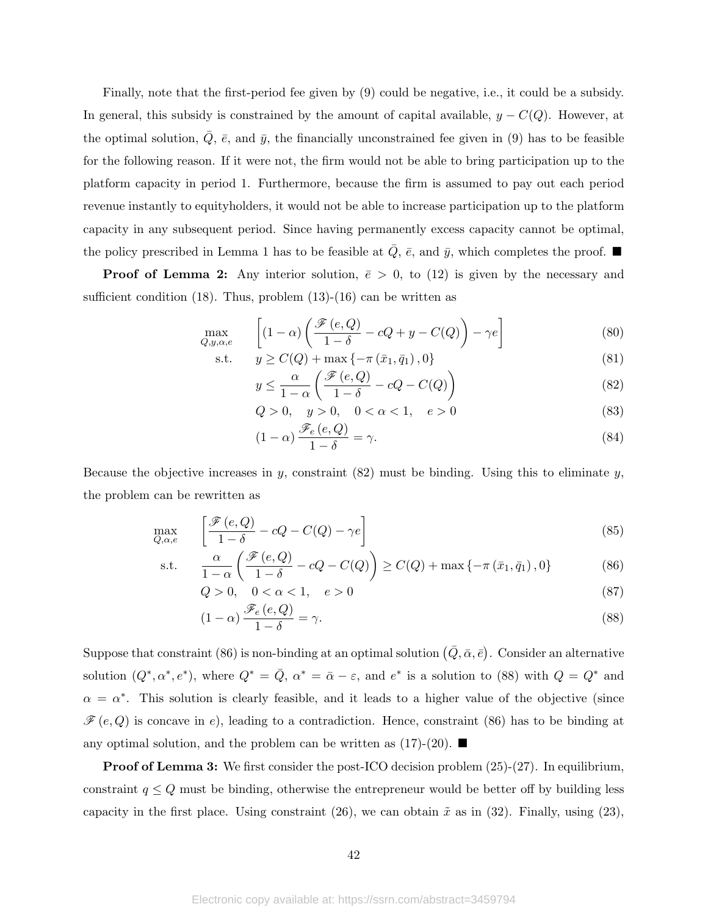Finally, note that the first-period fee given by (9) could be negative, i.e., it could be a subsidy. In general, this subsidy is constrained by the amount of capital available,  $y - C(Q)$ . However, at the optimal solution,  $\overline{Q}$ ,  $\overline{e}$ , and  $\overline{y}$ , the financially unconstrained fee given in (9) has to be feasible for the following reason. If it were not, the firm would not be able to bring participation up to the platform capacity in period 1. Furthermore, because the firm is assumed to pay out each period revenue instantly to equityholders, it would not be able to increase participation up to the platform capacity in any subsequent period. Since having permanently excess capacity cannot be optimal, the policy prescribed in Lemma 1 has to be feasible at  $\overline{Q}$ ,  $\overline{e}$ , and  $\overline{y}$ , which completes the proof.  $\blacksquare$ 

**Proof of Lemma 2:** Any interior solution,  $\bar{e} > 0$ , to (12) is given by the necessary and sufficient condition  $(18)$ . Thus, problem  $(13)-(16)$  can be written as

$$
\max_{Q,y,\alpha,e} \qquad \left[ (1-\alpha) \left( \frac{\mathcal{F}(e,Q)}{1-\delta} - cQ + y - C(Q) \right) - \gamma e \right] \tag{80}
$$

s.t. 
$$
y \ge C(Q) + \max\{-\pi(\bar{x}_1, \bar{q}_1), 0\}
$$

$$
\alpha \quad (\mathscr{F}(e, Q) \quad \alpha \quad C(Q))
$$
 (81)

$$
y \le \frac{\alpha}{1-\alpha} \left( \frac{\mathcal{F}(e,Q)}{1-\delta} - cQ - C(Q) \right) \tag{82}
$$

$$
Q > 0, \quad y > 0, \quad 0 < \alpha < 1, \quad e > 0
$$
\n(83)

$$
(1 - \alpha) \frac{\mathcal{F}_e(e, Q)}{1 - \delta} = \gamma.
$$
\n(84)

Because the objective increases in y, constraint  $(82)$  must be binding. Using this to eliminate y, the problem can be rewritten as

$$
\max_{Q,\alpha,e} \qquad \left[ \frac{\mathcal{F}(e,Q)}{1-\delta} - cQ - C(Q) - \gamma e \right] \tag{85}
$$

s.t. 
$$
\frac{\alpha}{1-\alpha} \left( \frac{\mathcal{F}(e,Q)}{1-\delta} - cQ - C(Q) \right) \ge C(Q) + \max \{-\pi (\bar{x}_1, \bar{q}_1), 0\}
$$
(86)

$$
Q > 0, \quad 0 < \alpha < 1, \quad e > 0 \tag{87}
$$

$$
(1 - \alpha) \frac{\mathcal{F}_e(e, Q)}{1 - \delta} = \gamma.
$$
\n(88)

Suppose that constraint (86) is non-binding at an optimal solution  $(\bar{Q}, \bar{\alpha}, \bar{e})$ . Consider an alternative solution  $(Q^*, \alpha^*, e^*)$ , where  $Q^* = \overline{Q}$ ,  $\alpha^* = \overline{\alpha} - \varepsilon$ , and  $e^*$  is a solution to (88) with  $Q = Q^*$  and  $\alpha = \alpha^*$ . This solution is clearly feasible, and it leads to a higher value of the objective (since  $\mathscr{F}(e,Q)$  is concave in e), leading to a contradiction. Hence, constraint (86) has to be binding at any optimal solution, and the problem can be written as  $(17)-(20)$ .

**Proof of Lemma 3:** We first consider the post-ICO decision problem  $(25)-(27)$ . In equilibrium, constraint  $q \leq Q$  must be binding, otherwise the entrepreneur would be better off by building less capacity in the first place. Using constraint (26), we can obtain  $\tilde{x}$  as in (32). Finally, using (23),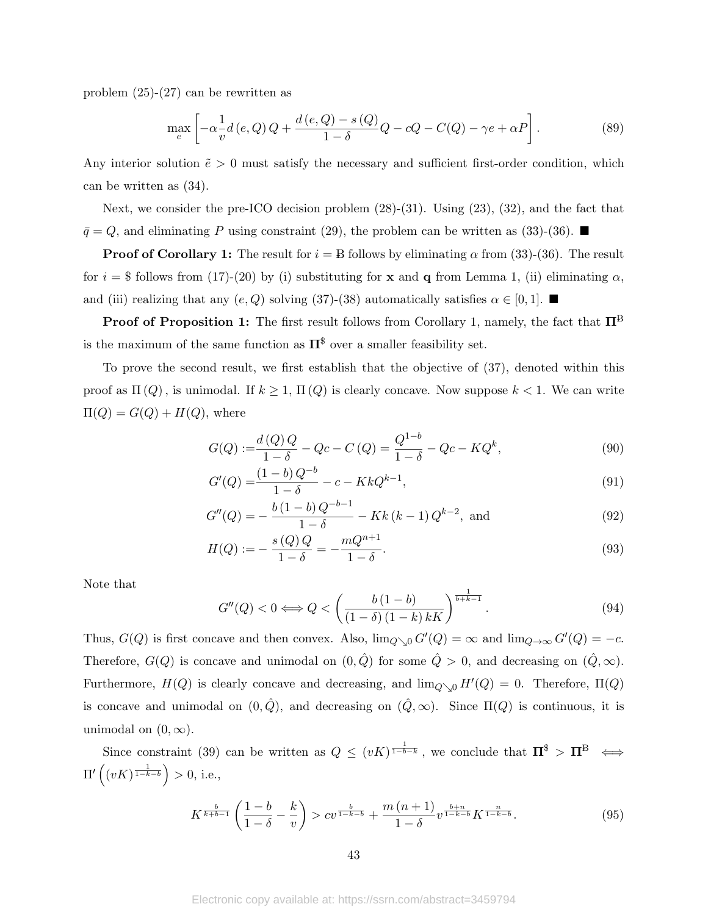problem  $(25)-(27)$  can be rewritten as

$$
\max_{e} \left[ -\alpha \frac{1}{v} d\left(e, Q\right) Q + \frac{d\left(e, Q\right) - s\left(Q\right)}{1 - \delta} Q - cQ - C(Q) - \gamma e + \alpha P \right]. \tag{89}
$$

Any interior solution  $\tilde{e} > 0$  must satisfy the necessary and sufficient first-order condition, which can be written as (34).

Next, we consider the pre-ICO decision problem  $(28)-(31)$ . Using  $(23)$ ,  $(32)$ , and the fact that  $\bar{q} = Q$ , and eliminating P using constraint (29), the problem can be written as (33)-(36).

**Proof of Corollary 1:** The result for  $i = B$  follows by eliminating  $\alpha$  from (33)-(36). The result for  $i = $$  follows from (17)-(20) by (i) substituting for x and q from Lemma 1, (ii) eliminating  $\alpha$ , and (iii) realizing that any  $(e, Q)$  solving (37)-(38) automatically satisfies  $\alpha \in [0, 1]$ .

**Proof of Proposition 1:** The first result follows from Corollary 1, namely, the fact that  $\Pi^B$ is the maximum of the same function as  $\Pi^{\$}$  over a smaller feasibility set.

To prove the second result, we first establish that the objective of (37), denoted within this proof as  $\Pi(Q)$ , is unimodal. If  $k \geq 1$ ,  $\Pi(Q)$  is clearly concave. Now suppose  $k < 1$ . We can write  $\Pi(Q) = G(Q) + H(Q)$ , where

$$
G(Q) := \frac{d(Q)Q}{1-\delta} - Qc - C(Q) = \frac{Q^{1-b}}{1-\delta} - Qc - KQ^{k},
$$
\n(90)

$$
G'(Q) = \frac{(1-b)Q^{-b}}{1-\delta} - c - KkQ^{k-1},\tag{91}
$$

$$
G''(Q) = -\frac{b(1-b)Q^{-b-1}}{1-\delta} - Kk(k-1)Q^{k-2}, \text{ and}
$$
\n(92)

$$
H(Q) := -\frac{s(Q)Q}{1-\delta} = -\frac{mQ^{n+1}}{1-\delta}.
$$
\n(93)

Note that

$$
G''(Q) < 0 \Longleftrightarrow Q < \left(\frac{b\left(1-b\right)}{\left(1-\delta\right)\left(1-k\right)k}{\right)^{\frac{1}{b+k-1}}}.
$$
\n(94)

Thus,  $G(Q)$  is first concave and then convex. Also,  $\lim_{Q\searrow0} G'(Q) = \infty$  and  $\lim_{Q\to\infty} G'(Q) = -c$ . Therefore,  $G(Q)$  is concave and unimodal on  $(0, \hat{Q})$  for some  $\hat{Q} > 0$ , and decreasing on  $(\hat{Q}, \infty)$ . Furthermore,  $H(Q)$  is clearly concave and decreasing, and  $\lim_{Q\searrow 0} H'(Q) = 0$ . Therefore,  $\Pi(Q)$ is concave and unimodal on  $(0, \hat{Q})$ , and decreasing on  $(\hat{Q}, \infty)$ . Since  $\Pi(Q)$  is continuous, it is unimodal on  $(0, \infty)$ .

Since constraint (39) can be written as  $Q \leq (vK)^{\frac{1}{1-b-k}}$ , we conclude that  $\Pi^{\$} > \Pi^{B} \iff$  $\Pi'\left((vK)^{\frac{1}{1-k-b}}\right) > 0$ , i.e.,

$$
K^{\frac{b}{k+b-1}}\left(\frac{1-b}{1-\delta}-\frac{k}{v}\right) > cv^{\frac{b}{1-k-b}} + \frac{m(n+1)}{1-\delta}v^{\frac{b+n}{1-k-b}}K^{\frac{n}{1-k-b}}.\tag{95}
$$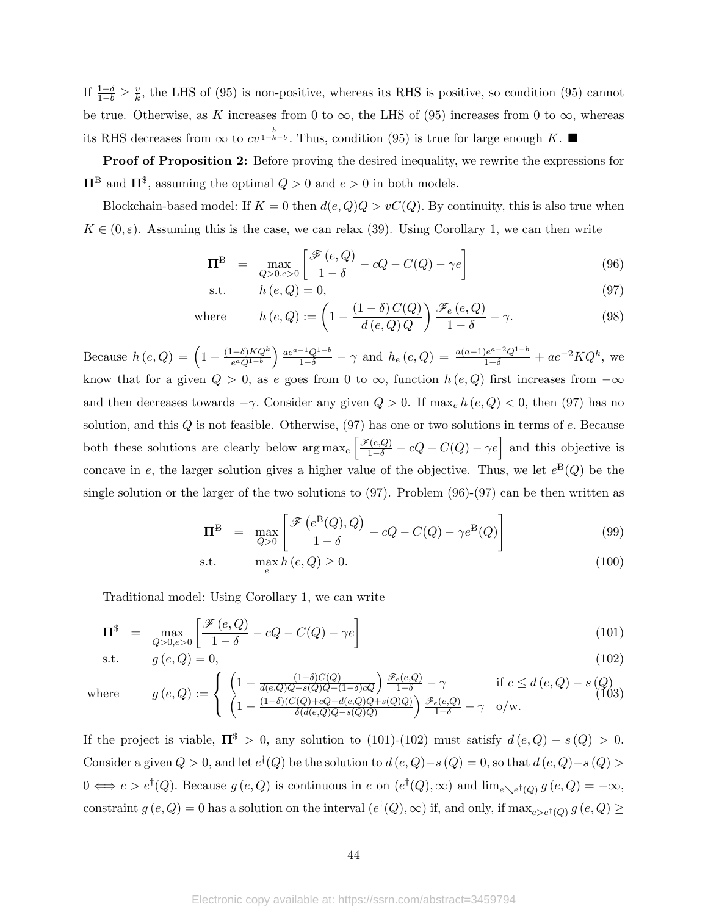If  $\frac{1-\delta}{1-b} \geq \frac{v}{k}$  $\frac{v}{k}$ , the LHS of (95) is non-positive, whereas its RHS is positive, so condition (95) cannot be true. Otherwise, as K increases from 0 to  $\infty$ , the LHS of (95) increases from 0 to  $\infty$ , whereas its RHS decreases from  $\infty$  to  $cv^{\frac{b}{1-k-b}}$ . Thus, condition (95) is true for large enough K. ■

Proof of Proposition 2: Before proving the desired inequality, we rewrite the expressions for  $\Pi^{\text{B}}$  and  $\Pi^{\$}$ , assuming the optimal  $Q > 0$  and  $e > 0$  in both models.

Blockchain-based model: If  $K = 0$  then  $d(e, Q)Q > vC(Q)$ . By continuity, this is also true when  $K \in (0, \varepsilon)$ . Assuming this is the case, we can relax (39). Using Corollary 1, we can then write

$$
\Pi^{\mathcal{B}} = \max_{Q>0, e>0} \left[ \frac{\mathcal{F}(e, Q)}{1-\delta} - cQ - C(Q) - \gamma e \right]
$$
(96)

$$
\text{s.t.} \qquad h\left(e,Q\right) = 0,\tag{97}
$$

where 
$$
h(e,Q) := \left(1 - \frac{(1-\delta)C(Q)}{d(e,Q)Q}\right) \frac{\mathscr{F}_e(e,Q)}{1-\delta} - \gamma.
$$
 (98)

Because  $h(e,Q) = \left(1 - \frac{(1-\delta)KQ^k}{e^aQ(1-b)}\right)$  $\frac{(-\delta)KQ^k}{e^aQ^{1-b}}\left(\frac{ae^{a-1}Q^{1-b}}{1-\delta}-\gamma\right)$  and  $h_e(e,Q)=\frac{a(a-1)e^{a-2}Q^{1-b}}{1-\delta}+ae^{-2}KQ^k$ , we know that for a given  $Q > 0$ , as e goes from 0 to  $\infty$ , function  $h(e, Q)$  first increases from  $-\infty$ and then decreases towards  $-\gamma$ . Consider any given  $Q > 0$ . If max<sub>e</sub>  $h(e, Q) < 0$ , then (97) has no solution, and this  $Q$  is not feasible. Otherwise,  $(97)$  has one or two solutions in terms of  $e$ . Because both these solutions are clearly below  $\arg \max_e \left[ \frac{\mathscr{F}(e,Q)}{1-\delta} - cQ - C(Q) - \gamma e \right]$  and this objective is concave in e, the larger solution gives a higher value of the objective. Thus, we let  $e^{B}(Q)$  be the single solution or the larger of the two solutions to  $(97)$ . Problem  $(96)-(97)$  can be then written as

$$
\Pi^{\mathcal{B}} = \max_{Q>0} \left[ \frac{\mathcal{F}\left(e^{\mathcal{B}}(Q), Q\right)}{1-\delta} - cQ - C(Q) - \gamma e^{\mathcal{B}}(Q) \right]
$$
(99)

$$
\max_{e} h(e, Q) \ge 0. \tag{100}
$$

Traditional model: Using Corollary 1, we can write

$$
\Pi^{\$} = \max_{Q>0, e>0} \left[ \frac{\mathcal{F}(e,Q)}{1-\delta} - cQ - C(Q) - \gamma e \right]
$$
\n
$$
\text{s.t.} \quad g(e,Q) = 0,\tag{102}
$$

$$
\quad \text{s.t.} \quad
$$

where 
$$
g(e,Q) := \begin{cases} \left(1 - \frac{(1-\delta)C(Q)}{d(e,Q)Q - s(Q)Q - (1-\delta)cQ}\right) \frac{\mathscr{F}_e(e,Q)}{1-\delta} - \gamma & \text{if } c \le d(e,Q) - s(Q) \\ \left(1 - \frac{(1-\delta)(C(Q) + cQ - d(e,Q)Q + s(Q)Q)}{\delta(d(e,Q)Q - s(Q)Q)}\right) \frac{\mathscr{F}_e(e,Q)}{1-\delta} - \gamma & o/w. \end{cases}
$$
(103)

If the project is viable,  $\Pi^{\$} > 0$ , any solution to (101)-(102) must satisfy  $d(e, Q) - s(Q) > 0$ . Consider a given  $Q > 0$ , and let  $e^{\dagger}(Q)$  be the solution to  $d(e,Q) - s(Q) = 0$ , so that  $d(e,Q) - s(Q) > 0$  $0 \iff e > e^{\dagger}(Q)$ . Because  $g(e,Q)$  is continuous in e on  $(e^{\dagger}(Q), \infty)$  and  $\lim_{e \searrow e^{\dagger}(Q)} g(e,Q) = -\infty$ , constraint  $g(e,Q) = 0$  has a solution on the interval  $(e^{\dagger}(Q), \infty)$  if, and only, if  $\max_{e > e^{\dagger}(Q)} g(e,Q) \ge$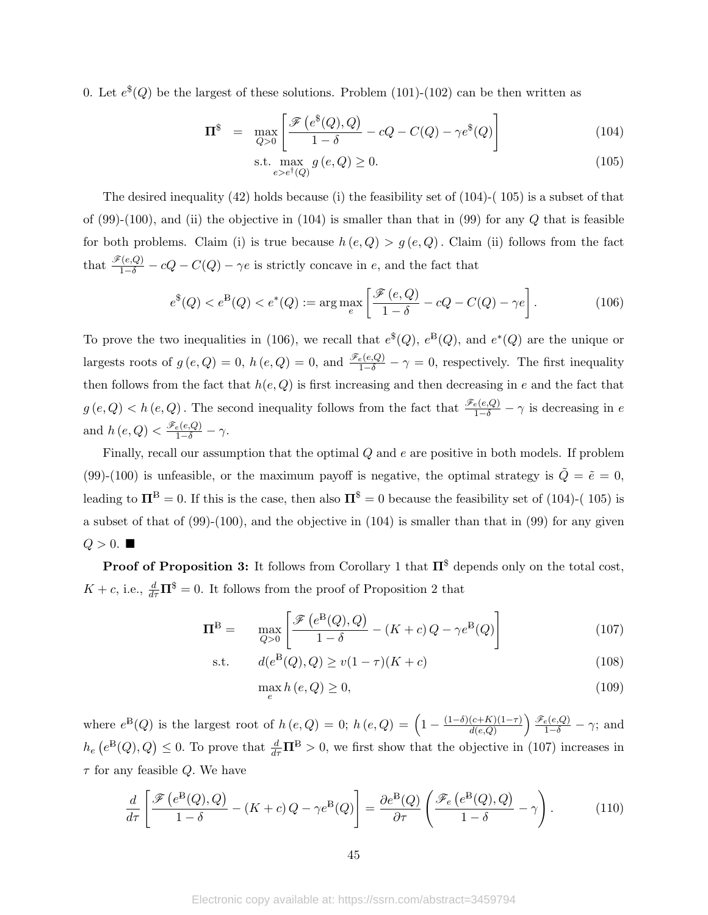0. Let  $e^{i\phi}(Q)$  be the largest of these solutions. Problem (101)-(102) can be then written as

$$
\Pi^{\$} = \max_{Q>0} \left[ \frac{\mathcal{F}\left(e^{\$}(Q), Q\right)}{1-\delta} - cQ - C(Q) - \gamma e^{\$}(Q) \right]
$$
(104)

$$
\text{s.t.} \max_{e>e^{\dagger}(Q)} g(e,Q) \ge 0. \tag{105}
$$

The desired inequality  $(42)$  holds because (i) the feasibility set of  $(104)-(105)$  is a subset of that of  $(99)-(100)$ , and (ii) the objective in  $(104)$  is smaller than that in  $(99)$  for any Q that is feasible for both problems. Claim (i) is true because  $h(e, Q) > g(e, Q)$ . Claim (ii) follows from the fact that  $\frac{\mathscr{F}(e,Q)}{1-\delta} - cQ - C(Q) - \gamma e$  is strictly concave in e, and the fact that

$$
e^{\$}(Q) < e^{\$}(Q) < e^*(Q) := \arg\max_{e} \left[ \frac{\mathcal{F}(e,Q)}{1-\delta} - cQ - C(Q) - \gamma e \right]. \tag{106}
$$

To prove the two inequalities in (106), we recall that  $e^{\$}(Q)$ ,  $e^{\$}(Q)$ , and  $e^*(Q)$  are the unique or largests roots of  $g(e,Q) = 0$ ,  $h(e,Q) = 0$ , and  $\frac{\mathscr{F}_e(e,Q)}{1-\delta} - \gamma = 0$ , respectively. The first inequality then follows from the fact that  $h(e, Q)$  is first increasing and then decreasing in e and the fact that  $g(e,Q) < h(e,Q)$ . The second inequality follows from the fact that  $\frac{\mathscr{F}_e(e,Q)}{1-\delta} - \gamma$  is decreasing in e and  $h(e,Q) < \frac{\mathscr{F}_e(e,Q)}{1-\delta} - \gamma$ .

Finally, recall our assumption that the optimal  $Q$  and  $e$  are positive in both models. If problem (99)-(100) is unfeasible, or the maximum payoff is negative, the optimal strategy is  $\tilde{Q} = \tilde{e} = 0$ , leading to  $\Pi^B = 0$ . If this is the case, then also  $\Pi^{\$} = 0$  because the feasibility set of (104)-(105) is a subset of that of  $(99)-(100)$ , and the objective in  $(104)$  is smaller than that in  $(99)$  for any given  $Q > 0$ .

**Proof of Proposition 3:** It follows from Corollary 1 that  $\Pi^{\$}$  depends only on the total cost,  $K + c$ , i.e.,  $\frac{d}{d\tau} \mathbf{\Pi}^{\$} = 0$ . It follows from the proof of Proposition 2 that

$$
\Pi^{\mathcal{B}} = \max_{Q>0} \left[ \frac{\mathcal{F}\left(e^{\mathcal{B}}(Q), Q\right)}{1-\delta} - (K+c)Q - \gamma e^{\mathcal{B}}(Q) \right]
$$
(107)

s.t. 
$$
d(e^{B}(Q), Q) \ge v(1 - \tau)(K + c)
$$
 (108)

$$
\max_{e} h\left(e,Q\right) \ge 0,\tag{109}
$$

where  $e^{B}(Q)$  is the largest root of  $h(e,Q) = 0$ ;  $h(e,Q) = \left(1 - \frac{(1-\delta)(c+K)(1-\tau)}{d(e,Q)}\right)$  $\frac{(c+K)(1-\tau)}{d(e,Q)}$   $\frac{\mathscr{F}_e(e,Q)}{1-\delta}$  -  $\gamma$ ; and  $h_e\left(e^{B}(Q), Q\right) \leq 0$ . To prove that  $\frac{d}{d\tau} \mathbf{\Pi}^B > 0$ , we first show that the objective in (107) increases in  $\tau$  for any feasible Q. We have

$$
\frac{d}{d\tau} \left[ \frac{\mathscr{F}\left(e^{\mathcal{B}}(Q), Q\right)}{1 - \delta} - (K + c) Q - \gamma e^{\mathcal{B}}(Q) \right] = \frac{\partial e^{\mathcal{B}}(Q)}{\partial \tau} \left( \frac{\mathscr{F}_e\left(e^{\mathcal{B}}(Q), Q\right)}{1 - \delta} - \gamma \right). \tag{110}
$$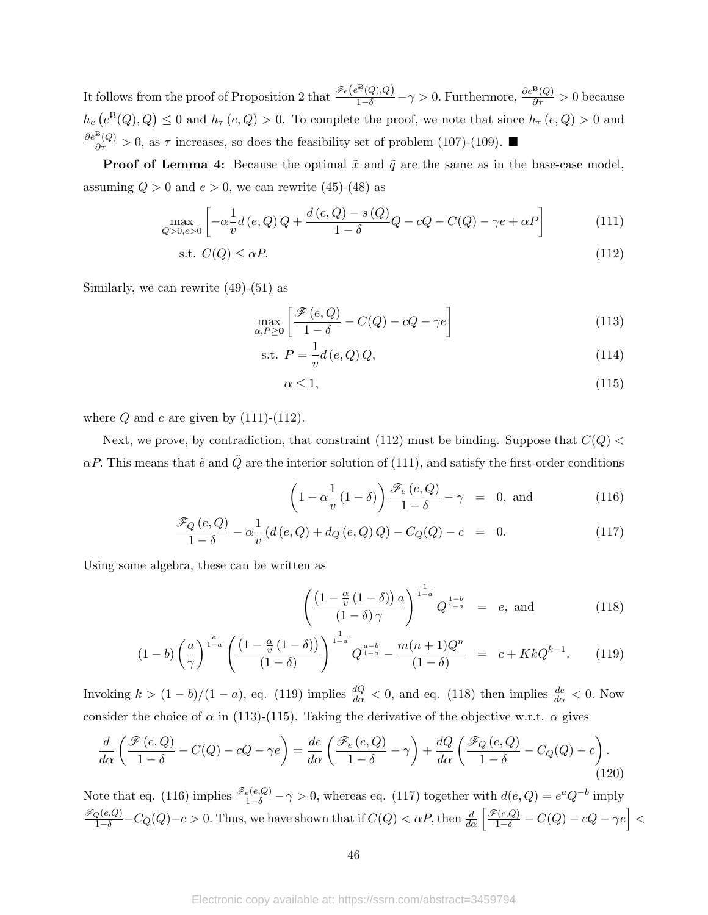It follows from the proof of Proposition 2 that  $\frac{\mathscr{F}_e(e^{B}(Q),Q)}{1-\delta}-\gamma>0$ . Furthermore,  $\frac{\partial e^{B}(Q)}{\partial \tau}>0$  because  $h_e(e^{B}(Q), Q) \leq 0$  and  $h_\tau(e, Q) > 0$ . To complete the proof, we note that since  $h_\tau(e, Q) > 0$  and  $\frac{\partial e^{B}(Q)}{\partial \tau} > 0$ , as  $\tau$  increases, so does the feasibility set of problem (107)-(109). ■

**Proof of Lemma 4:** Because the optimal  $\tilde{x}$  and  $\tilde{q}$  are the same as in the base-case model, assuming  $Q > 0$  and  $e > 0$ , we can rewrite (45)-(48) as

$$
\max_{Q>0,e>0} \left[ -\alpha \frac{1}{v} d(e,Q) Q + \frac{d(e,Q) - s(Q)}{1 - \delta} Q - cQ - C(Q) - \gamma e + \alpha P \right]
$$
(111)

$$
\text{s.t. } C(Q) \le \alpha P. \tag{112}
$$

Similarly, we can rewrite  $(49)-(51)$  as

$$
\max_{\alpha, P \ge 0} \left[ \frac{\mathcal{F}(e, Q)}{1 - \delta} - C(Q) - cQ - \gamma e \right]
$$
\n(113)

s.t. 
$$
P = \frac{1}{v}d(e,Q)Q,
$$
 (114)

$$
\alpha \le 1,\tag{115}
$$

where  $Q$  and  $e$  are given by (111)-(112).

Next, we prove, by contradiction, that constraint (112) must be binding. Suppose that  $C(Q)$  $\alpha P$ . This means that  $\tilde{e}$  and  $\tilde{Q}$  are the interior solution of (111), and satisfy the first-order conditions

$$
\left(1 - \alpha \frac{1}{v} (1 - \delta)\right) \frac{\mathcal{F}_e(e, Q)}{1 - \delta} - \gamma = 0, \text{ and } (116)
$$

$$
\frac{\mathcal{F}_Q(e,Q)}{1-\delta} - \alpha \frac{1}{v} \left( d\left(e,Q\right) + d_Q\left(e,Q\right)Q \right) - C_Q(Q) - c = 0. \tag{117}
$$

Using some algebra, these can be written as

$$
\left(\frac{\left(1-\frac{\alpha}{v}\left(1-\delta\right)\right)a}{\left(1-\delta\right)\gamma}\right)^{\frac{1}{1-a}}Q^{\frac{1-b}{1-a}} = e, \text{ and } (118)
$$

$$
(1-b)\left(\frac{a}{\gamma}\right)^{\frac{a}{1-a}}\left(\frac{\left(1-\frac{\alpha}{v}\left(1-\delta\right)\right)}{\left(1-\delta\right)}\right)^{\frac{1}{1-a}}Q^{\frac{a-b}{1-a}} - \frac{m(n+1)Q^n}{\left(1-\delta\right)} = c + KkQ^{k-1}.\tag{119}
$$

Invoking  $k > (1 - b)/(1 - a)$ , eq. (119) implies  $\frac{dQ}{d\alpha} < 0$ , and eq. (118) then implies  $\frac{de}{d\alpha} < 0$ . Now consider the choice of  $\alpha$  in (113)-(115). Taking the derivative of the objective w.r.t.  $\alpha$  gives

$$
\frac{d}{d\alpha} \left( \frac{\mathcal{F}(e,Q)}{1-\delta} - C(Q) - cQ - \gamma e \right) = \frac{de}{d\alpha} \left( \frac{\mathcal{F}_e(e,Q)}{1-\delta} - \gamma \right) + \frac{dQ}{d\alpha} \left( \frac{\mathcal{F}_Q(e,Q)}{1-\delta} - C_Q(Q) - c \right). \tag{120}
$$

Note that eq. (116) implies  $\frac{\mathscr{F}_e(e,Q)}{1-\delta} - \gamma > 0$ , whereas eq. (117) together with  $d(e,Q) = e^a Q^{-b}$  imply  $\frac{\mathscr{F}_Q(e,Q)}{1-\delta}-C_Q(Q)-c>0.$  Thus, we have shown that if  $C(Q)<\alpha P$ , then  $\frac{d}{d\alpha}\left[\frac{\mathscr{F}(e,Q)}{1-\delta}-C(Q)-cQ-\gamma e\right]<$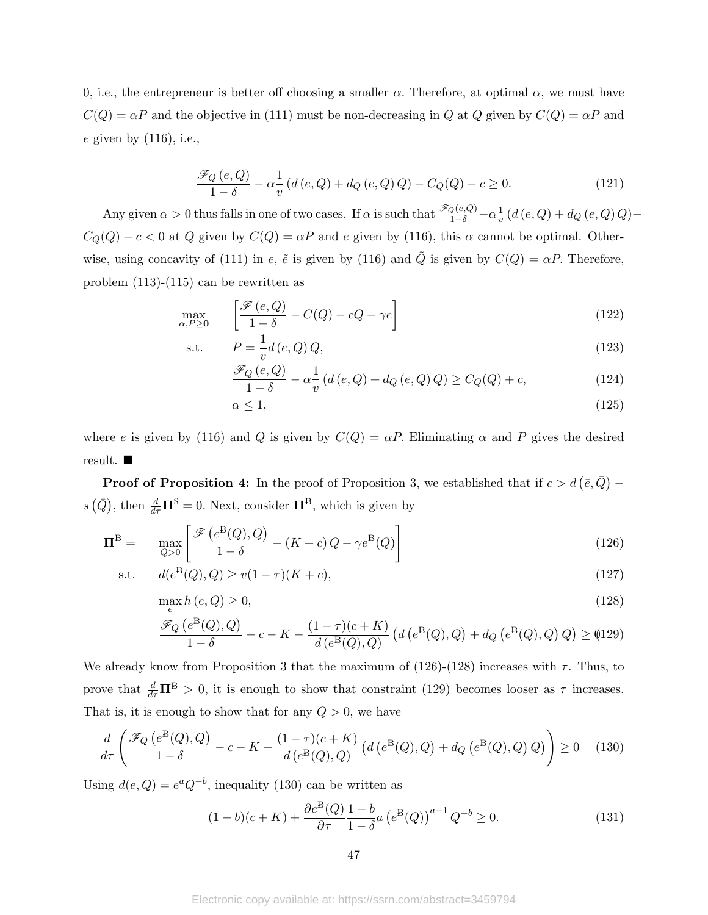0, i.e., the entrepreneur is better off choosing a smaller  $\alpha$ . Therefore, at optimal  $\alpha$ , we must have  $C(Q) = \alpha P$  and the objective in (111) must be non-decreasing in Q at Q given by  $C(Q) = \alpha P$  and e given by (116), i.e.,

$$
\frac{\mathcal{F}_Q(e,Q)}{1-\delta} - \alpha \frac{1}{v} \left( d\left(e,Q\right) + d_Q\left(e,Q\right)Q \right) - C_Q(Q) - c \ge 0. \tag{121}
$$

Any given  $\alpha > 0$  thus falls in one of two cases. If  $\alpha$  is such that  $\frac{\mathscr{F}_Q(e,Q)}{1-\delta} - \alpha \frac{1}{v}$  $\frac{1}{v}$   $(d(e,Q) + d_Q(e,Q)Q) C_Q(Q) - c < 0$  at Q given by  $C(Q) = \alpha P$  and e given by (116), this  $\alpha$  cannot be optimal. Otherwise, using concavity of (111) in e,  $\tilde{e}$  is given by (116) and  $\tilde{Q}$  is given by  $C(Q) = \alpha P$ . Therefore, problem (113)-(115) can be rewritten as

$$
\max_{\alpha, P \ge 0} \quad \left[ \frac{\mathcal{F}(e, Q)}{1 - \delta} - C(Q) - cQ - \gamma e \right] \tag{122}
$$

s.t. 
$$
P = \frac{1}{v}d(e, Q)Q,
$$
 (123)

$$
\frac{\mathcal{F}_Q(e,Q)}{1-\delta} - \alpha \frac{1}{v} \left( d\left(e,Q\right) + d_Q\left(e,Q\right)Q \right) \ge C_Q(Q) + c,\tag{124}
$$

$$
\alpha \le 1,\tag{125}
$$

where e is given by (116) and Q is given by  $C(Q) = \alpha P$ . Eliminating  $\alpha$  and P gives the desired result.

**Proof of Proposition 4:** In the proof of Proposition 3, we established that if  $c > d\left(\bar{e}, \bar{Q}\right)$  –  $s(\bar{Q})$ , then  $\frac{d}{d\tau}\Pi^{\$} = 0$ . Next, consider  $\Pi^{\{B\}}$ , which is given by

$$
\Pi^{\mathcal{B}} = \max_{Q>0} \left[ \frac{\mathcal{F}\left(e^{\mathcal{B}}(Q), Q\right)}{1-\delta} - (K+c)Q - \gamma e^{\mathcal{B}}(Q) \right]
$$
(126)

s.t. 
$$
d(e^{B}(Q), Q) \ge v(1 - \tau)(K + c),
$$
 (127)

$$
\max_{e} h\left(e,Q\right) \ge 0,\tag{128}
$$

$$
\frac{\mathscr{F}_Q\left(e^B(Q),Q\right)}{1-\delta}-c-K-\frac{(1-\tau)(c+K)}{d\left(e^B(Q),Q\right)}\left(d\left(e^B(Q),Q\right)+d_Q\left(e^B(Q),Q\right)Q\right)\geq\left(\!\!\!\!\begin{array}{c}4129\end{array}\!\!\!\!\right)
$$

We already know from Proposition 3 that the maximum of (126)-(128) increases with  $\tau$ . Thus, to prove that  $\frac{d}{d\tau}\Pi^{\text{B}}>0$ , it is enough to show that constraint (129) becomes looser as  $\tau$  increases. That is, it is enough to show that for any  $Q > 0$ , we have

$$
\frac{d}{d\tau} \left( \frac{\mathcal{F}_Q \left( e^B(Q), Q \right)}{1 - \delta} - c - K - \frac{(1 - \tau)(c + K)}{d \left( e^B(Q), Q \right)} \left( d \left( e^B(Q), Q \right) + d_Q \left( e^B(Q), Q \right) Q \right) \right) \ge 0 \tag{130}
$$

Using  $d(e,Q) = e^a Q^{-b}$ , inequality (130) can be written as

$$
(1-b)(c+K) + \frac{\partial e^{B}(Q)}{\partial \tau} \frac{1-b}{1-\delta} a \left( e^{B}(Q) \right)^{a-1} Q^{-b} \ge 0.
$$
 (131)